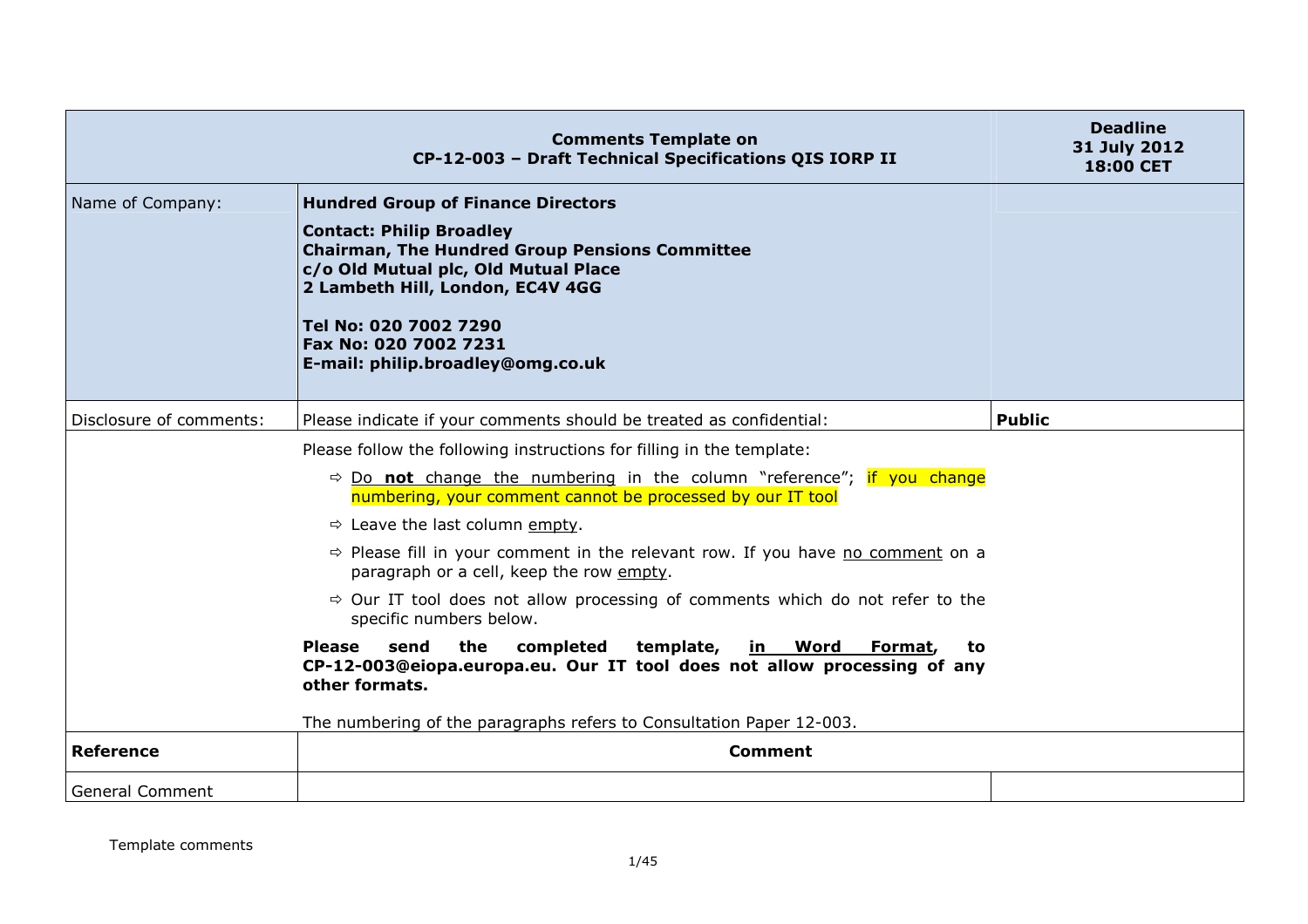|                         | <b>Comments Template on</b><br>CP-12-003 - Draft Technical Specifications QIS IORP II                                                                                                         | <b>Deadline</b><br>31 July 2012<br><b>18:00 CET</b> |
|-------------------------|-----------------------------------------------------------------------------------------------------------------------------------------------------------------------------------------------|-----------------------------------------------------|
| Name of Company:        | <b>Hundred Group of Finance Directors</b>                                                                                                                                                     |                                                     |
|                         | <b>Contact: Philip Broadley</b><br><b>Chairman, The Hundred Group Pensions Committee</b><br>c/o Old Mutual plc, Old Mutual Place<br>2 Lambeth Hill, London, EC4V 4GG<br>Tel No: 020 7002 7290 |                                                     |
|                         | Fax No: 020 7002 7231<br>E-mail: philip.broadley@omg.co.uk                                                                                                                                    |                                                     |
| Disclosure of comments: | Please indicate if your comments should be treated as confidential:                                                                                                                           | <b>Public</b>                                       |
|                         | Please follow the following instructions for filling in the template:                                                                                                                         |                                                     |
|                         | $\Rightarrow$ Do not change the numbering in the column "reference"; if you change<br>numbering, your comment cannot be processed by our IT tool                                              |                                                     |
|                         | $\Rightarrow$ Leave the last column empty.                                                                                                                                                    |                                                     |
|                         | $\Rightarrow$ Please fill in your comment in the relevant row. If you have no comment on a<br>paragraph or a cell, keep the row empty.                                                        |                                                     |
|                         | $\Rightarrow$ Our IT tool does not allow processing of comments which do not refer to the<br>specific numbers below.                                                                          |                                                     |
|                         | the<br><b>Please</b><br>send<br>completed<br>template,<br><u>in Word</u><br>Format,<br>to<br>CP-12-003@eiopa.europa.eu. Our IT tool does not allow processing of any<br>other formats.        |                                                     |
|                         | The numbering of the paragraphs refers to Consultation Paper 12-003.                                                                                                                          |                                                     |
| <b>Reference</b>        | <b>Comment</b>                                                                                                                                                                                |                                                     |
| <b>General Comment</b>  |                                                                                                                                                                                               |                                                     |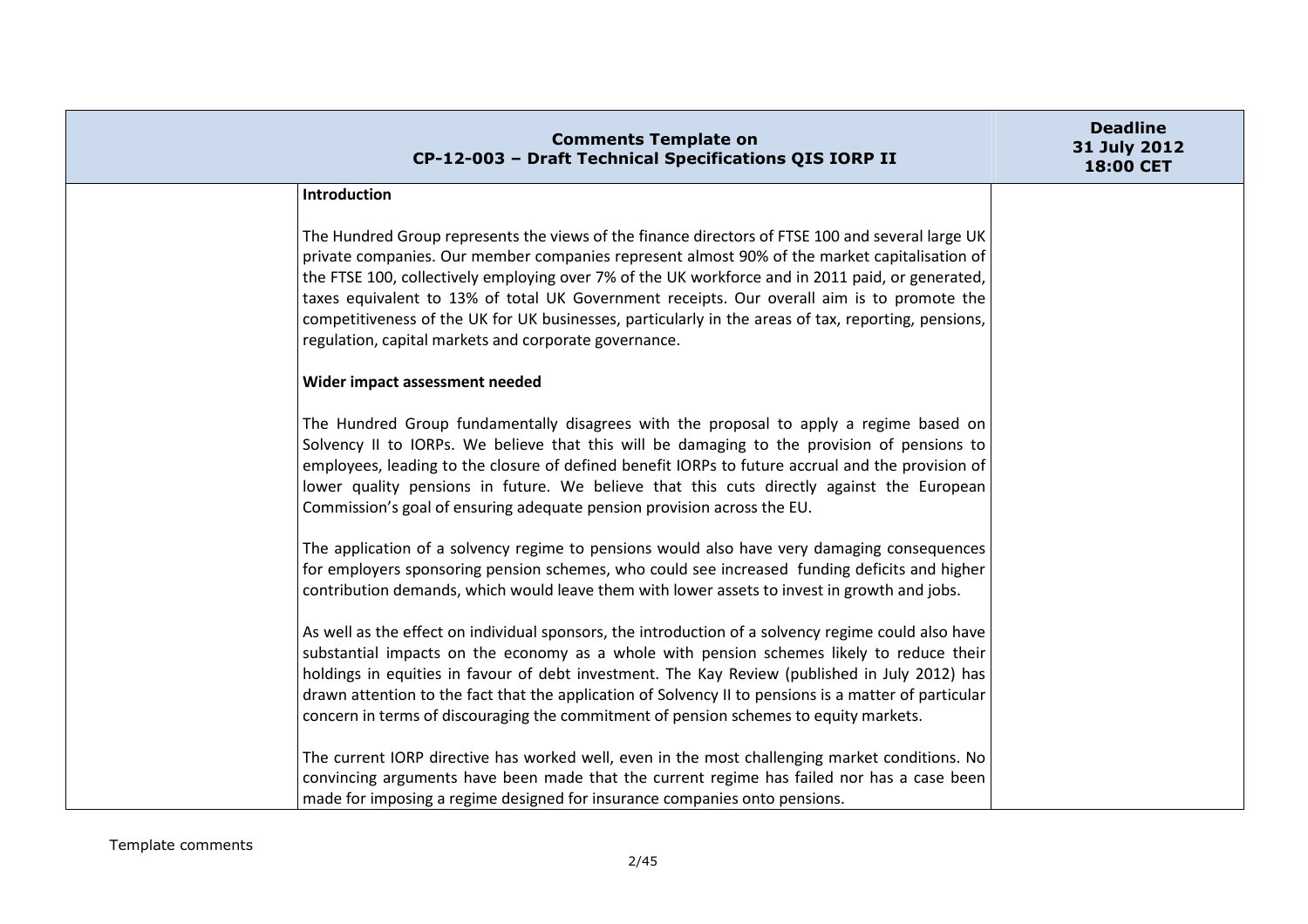| <b>Comments Template on</b><br>CP-12-003 - Draft Technical Specifications QIS IORP II                                                                                                                                                                                                                                                                                                                                                                                                                                                                              | <b>Deadline</b><br>31 July 2012<br><b>18:00 CET</b> |
|--------------------------------------------------------------------------------------------------------------------------------------------------------------------------------------------------------------------------------------------------------------------------------------------------------------------------------------------------------------------------------------------------------------------------------------------------------------------------------------------------------------------------------------------------------------------|-----------------------------------------------------|
| Introduction                                                                                                                                                                                                                                                                                                                                                                                                                                                                                                                                                       |                                                     |
| The Hundred Group represents the views of the finance directors of FTSE 100 and several large UK<br>private companies. Our member companies represent almost 90% of the market capitalisation of<br>the FTSE 100, collectively employing over 7% of the UK workforce and in 2011 paid, or generated,<br>taxes equivalent to 13% of total UK Government receipts. Our overall aim is to promote the<br>competitiveness of the UK for UK businesses, particularly in the areas of tax, reporting, pensions,<br>regulation, capital markets and corporate governance. |                                                     |
| Wider impact assessment needed                                                                                                                                                                                                                                                                                                                                                                                                                                                                                                                                     |                                                     |
| The Hundred Group fundamentally disagrees with the proposal to apply a regime based on<br>Solvency II to IORPs. We believe that this will be damaging to the provision of pensions to<br>employees, leading to the closure of defined benefit IORPs to future accrual and the provision of<br>lower quality pensions in future. We believe that this cuts directly against the European<br>Commission's goal of ensuring adequate pension provision across the EU.                                                                                                 |                                                     |
| The application of a solvency regime to pensions would also have very damaging consequences<br>for employers sponsoring pension schemes, who could see increased funding deficits and higher<br>contribution demands, which would leave them with lower assets to invest in growth and jobs.                                                                                                                                                                                                                                                                       |                                                     |
| As well as the effect on individual sponsors, the introduction of a solvency regime could also have<br>substantial impacts on the economy as a whole with pension schemes likely to reduce their<br>holdings in equities in favour of debt investment. The Kay Review (published in July 2012) has<br>drawn attention to the fact that the application of Solvency II to pensions is a matter of particular<br>concern in terms of discouraging the commitment of pension schemes to equity markets.                                                               |                                                     |
| The current IORP directive has worked well, even in the most challenging market conditions. No<br>convincing arguments have been made that the current regime has failed nor has a case been<br>made for imposing a regime designed for insurance companies onto pensions.                                                                                                                                                                                                                                                                                         |                                                     |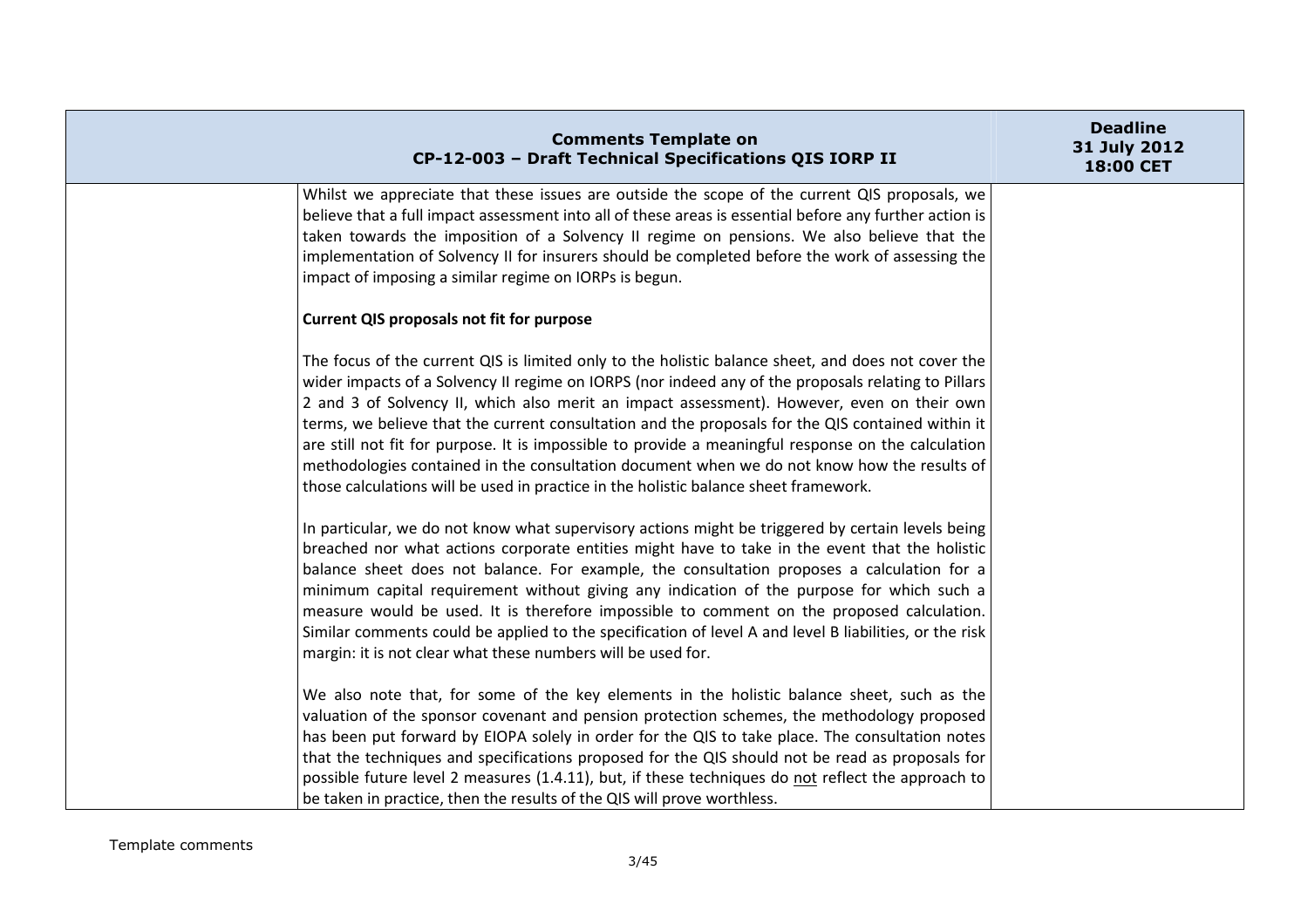| <b>Comments Template on</b><br>CP-12-003 - Draft Technical Specifications QIS IORP II                                                                                                                                                                                                                                                                                                                                                                                                                                                                                                                                                                                                                                                                                                                           | <b>Deadline</b><br>31 July 2012<br>18:00 CET |
|-----------------------------------------------------------------------------------------------------------------------------------------------------------------------------------------------------------------------------------------------------------------------------------------------------------------------------------------------------------------------------------------------------------------------------------------------------------------------------------------------------------------------------------------------------------------------------------------------------------------------------------------------------------------------------------------------------------------------------------------------------------------------------------------------------------------|----------------------------------------------|
| Whilst we appreciate that these issues are outside the scope of the current QIS proposals, we<br>believe that a full impact assessment into all of these areas is essential before any further action is<br>taken towards the imposition of a Solvency II regime on pensions. We also believe that the<br>implementation of Solvency II for insurers should be completed before the work of assessing the<br>impact of imposing a similar regime on IORPs is begun.                                                                                                                                                                                                                                                                                                                                             |                                              |
| <b>Current QIS proposals not fit for purpose</b>                                                                                                                                                                                                                                                                                                                                                                                                                                                                                                                                                                                                                                                                                                                                                                |                                              |
| The focus of the current QIS is limited only to the holistic balance sheet, and does not cover the<br>wider impacts of a Solvency II regime on IORPS (nor indeed any of the proposals relating to Pillars<br>2 and 3 of Solvency II, which also merit an impact assessment). However, even on their own<br>terms, we believe that the current consultation and the proposals for the QIS contained within it<br>are still not fit for purpose. It is impossible to provide a meaningful response on the calculation<br>methodologies contained in the consultation document when we do not know how the results of<br>those calculations will be used in practice in the holistic balance sheet framework.<br>In particular, we do not know what supervisory actions might be triggered by certain levels being |                                              |
| breached nor what actions corporate entities might have to take in the event that the holistic<br>balance sheet does not balance. For example, the consultation proposes a calculation for a<br>minimum capital requirement without giving any indication of the purpose for which such a<br>measure would be used. It is therefore impossible to comment on the proposed calculation.<br>Similar comments could be applied to the specification of level A and level B liabilities, or the risk<br>margin: it is not clear what these numbers will be used for.                                                                                                                                                                                                                                                |                                              |
| We also note that, for some of the key elements in the holistic balance sheet, such as the<br>valuation of the sponsor covenant and pension protection schemes, the methodology proposed<br>has been put forward by EIOPA solely in order for the QIS to take place. The consultation notes<br>that the techniques and specifications proposed for the QIS should not be read as proposals for<br>possible future level 2 measures (1.4.11), but, if these techniques do not reflect the approach to<br>be taken in practice, then the results of the QIS will prove worthless.                                                                                                                                                                                                                                 |                                              |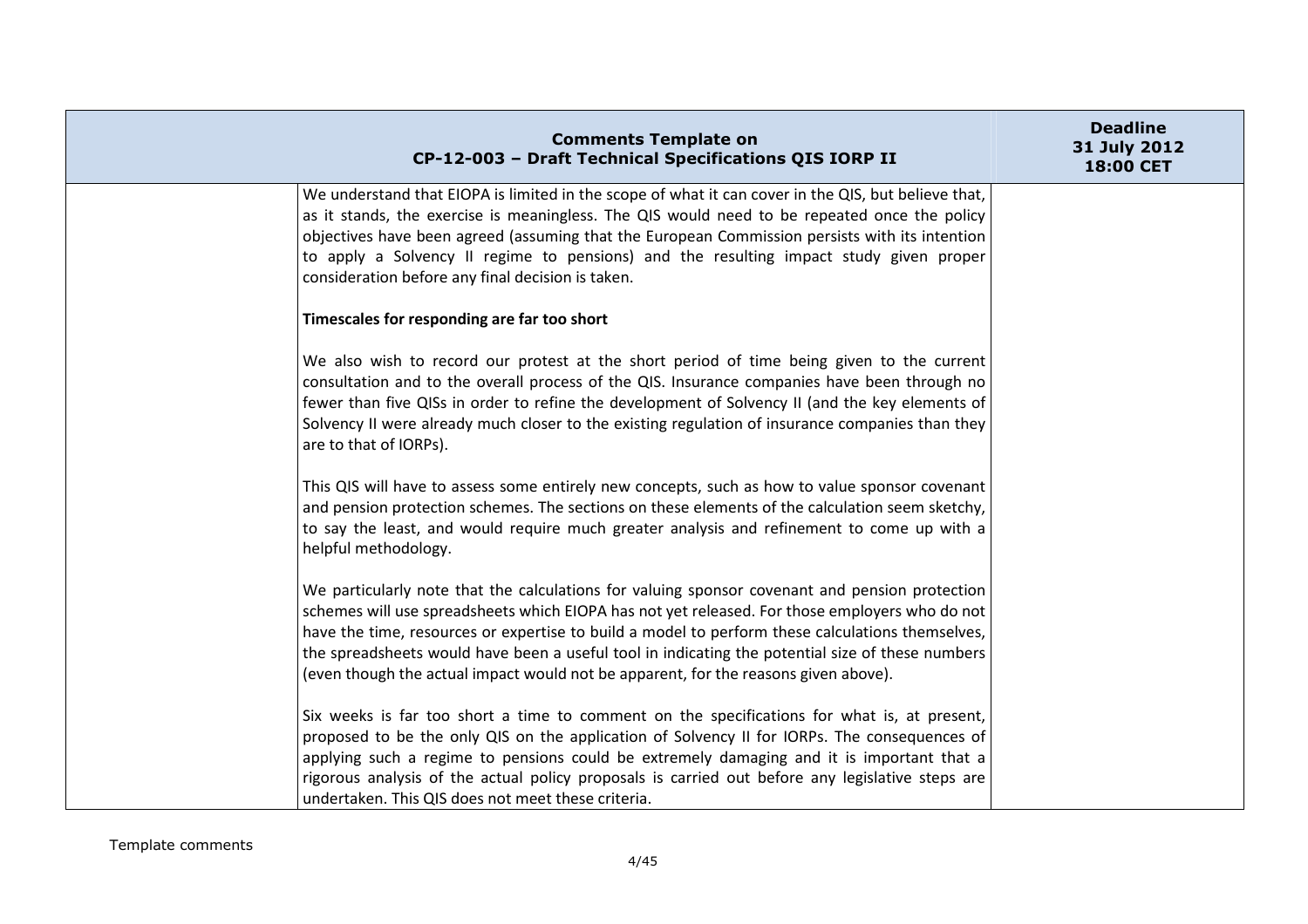| <b>Comments Template on</b><br>CP-12-003 - Draft Technical Specifications QIS IORP II                                                                                                                                                                                                                                                                                                                                                                                                           | <b>Deadline</b><br>31 July 2012<br>18:00 CET |
|-------------------------------------------------------------------------------------------------------------------------------------------------------------------------------------------------------------------------------------------------------------------------------------------------------------------------------------------------------------------------------------------------------------------------------------------------------------------------------------------------|----------------------------------------------|
| We understand that EIOPA is limited in the scope of what it can cover in the QIS, but believe that,<br>as it stands, the exercise is meaningless. The QIS would need to be repeated once the policy<br>objectives have been agreed (assuming that the European Commission persists with its intention<br>to apply a Solvency II regime to pensions) and the resulting impact study given proper<br>consideration before any final decision is taken.                                            |                                              |
| Timescales for responding are far too short                                                                                                                                                                                                                                                                                                                                                                                                                                                     |                                              |
| We also wish to record our protest at the short period of time being given to the current<br>consultation and to the overall process of the QIS. Insurance companies have been through no<br>fewer than five QISs in order to refine the development of Solvency II (and the key elements of<br>Solvency II were already much closer to the existing regulation of insurance companies than they<br>are to that of IORPs).                                                                      |                                              |
| This QIS will have to assess some entirely new concepts, such as how to value sponsor covenant<br>and pension protection schemes. The sections on these elements of the calculation seem sketchy,<br>to say the least, and would require much greater analysis and refinement to come up with a<br>helpful methodology.                                                                                                                                                                         |                                              |
| We particularly note that the calculations for valuing sponsor covenant and pension protection<br>schemes will use spreadsheets which EIOPA has not yet released. For those employers who do not<br>have the time, resources or expertise to build a model to perform these calculations themselves,<br>the spreadsheets would have been a useful tool in indicating the potential size of these numbers<br>(even though the actual impact would not be apparent, for the reasons given above). |                                              |
| Six weeks is far too short a time to comment on the specifications for what is, at present,<br>proposed to be the only QIS on the application of Solvency II for IORPs. The consequences of<br>applying such a regime to pensions could be extremely damaging and it is important that a<br>rigorous analysis of the actual policy proposals is carried out before any legislative steps are<br>undertaken. This QIS does not meet these criteria.                                              |                                              |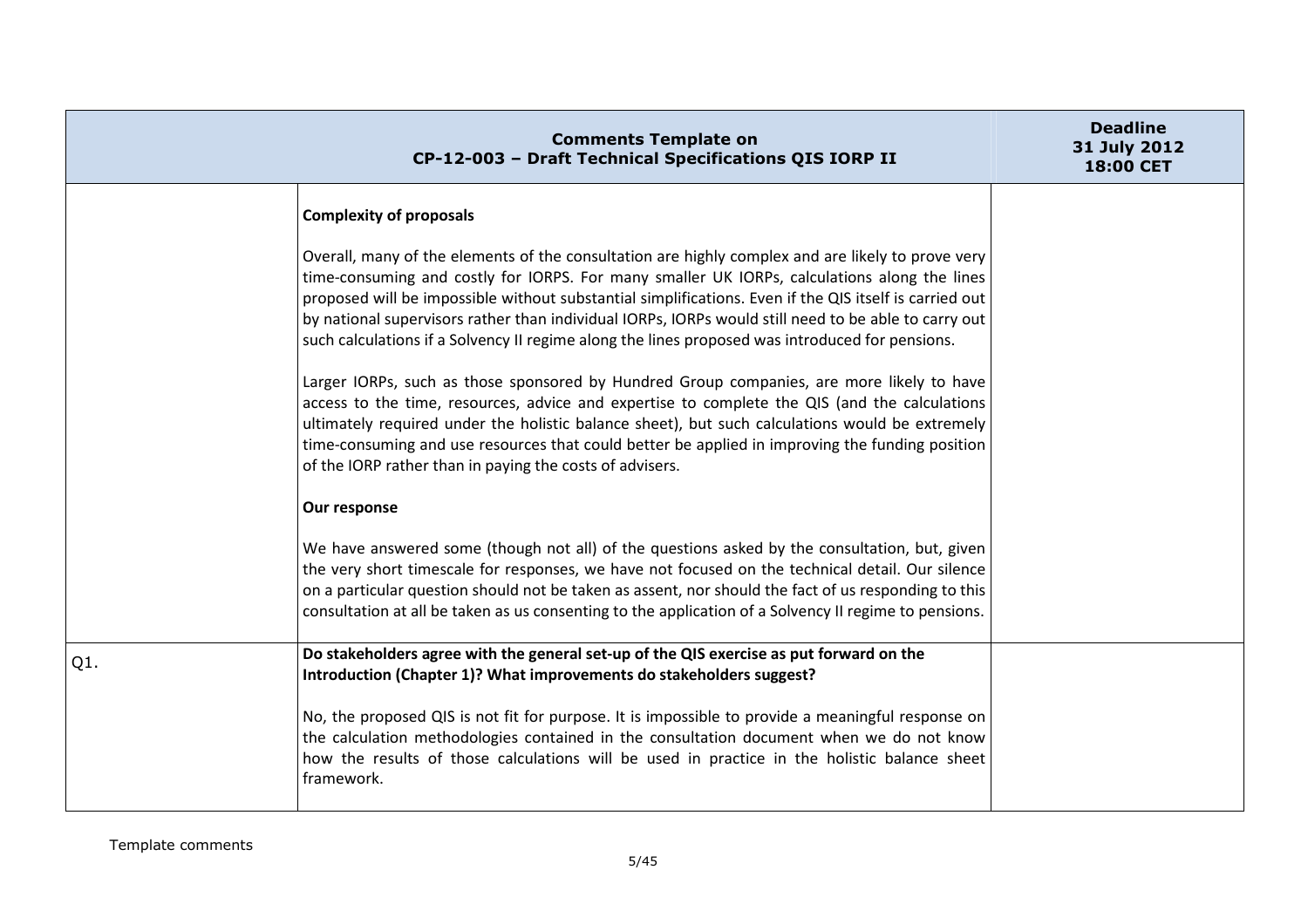|        | <b>Comments Template on</b><br>CP-12-003 - Draft Technical Specifications QIS IORP II                                                                                                                                                                                                                                                                                                                                                                                                                                  | <b>Deadline</b><br>31 July 2012<br>18:00 CET |
|--------|------------------------------------------------------------------------------------------------------------------------------------------------------------------------------------------------------------------------------------------------------------------------------------------------------------------------------------------------------------------------------------------------------------------------------------------------------------------------------------------------------------------------|----------------------------------------------|
|        | <b>Complexity of proposals</b>                                                                                                                                                                                                                                                                                                                                                                                                                                                                                         |                                              |
|        | Overall, many of the elements of the consultation are highly complex and are likely to prove very<br>time-consuming and costly for IORPS. For many smaller UK IORPs, calculations along the lines<br>proposed will be impossible without substantial simplifications. Even if the QIS itself is carried out<br>by national supervisors rather than individual IORPs, IORPs would still need to be able to carry out<br>such calculations if a Solvency II regime along the lines proposed was introduced for pensions. |                                              |
|        | Larger IORPs, such as those sponsored by Hundred Group companies, are more likely to have<br>access to the time, resources, advice and expertise to complete the QIS (and the calculations<br>ultimately required under the holistic balance sheet), but such calculations would be extremely<br>time-consuming and use resources that could better be applied in improving the funding position<br>of the IORP rather than in paying the costs of advisers.                                                           |                                              |
|        | Our response                                                                                                                                                                                                                                                                                                                                                                                                                                                                                                           |                                              |
|        | We have answered some (though not all) of the questions asked by the consultation, but, given<br>the very short timescale for responses, we have not focused on the technical detail. Our silence<br>on a particular question should not be taken as assent, nor should the fact of us responding to this<br>consultation at all be taken as us consenting to the application of a Solvency II regime to pensions.                                                                                                     |                                              |
| $Q1$ . | Do stakeholders agree with the general set-up of the QIS exercise as put forward on the<br>Introduction (Chapter 1)? What improvements do stakeholders suggest?                                                                                                                                                                                                                                                                                                                                                        |                                              |
|        | No, the proposed QIS is not fit for purpose. It is impossible to provide a meaningful response on<br>the calculation methodologies contained in the consultation document when we do not know<br>how the results of those calculations will be used in practice in the holistic balance sheet<br>framework.                                                                                                                                                                                                            |                                              |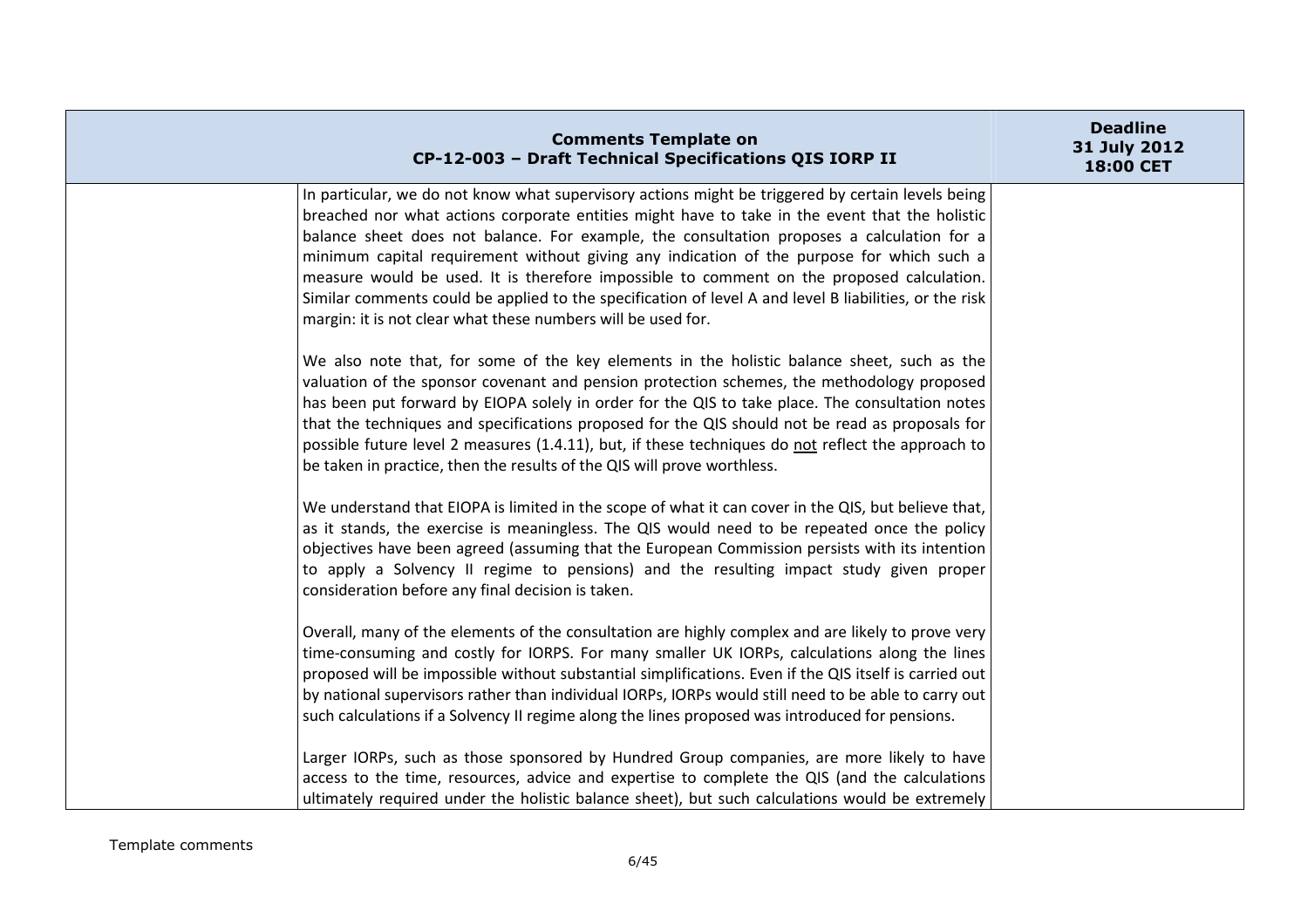| <b>Comments Template on</b><br>CP-12-003 - Draft Technical Specifications QIS IORP II                                                                                                                          | <b>Deadline</b><br>31 July 2012<br>18:00 CET |
|----------------------------------------------------------------------------------------------------------------------------------------------------------------------------------------------------------------|----------------------------------------------|
| In particular, we do not know what supervisory actions might be triggered by certain levels being<br>breached nor what actions corporate entities might have to take in the event that the holistic            |                                              |
| balance sheet does not balance. For example, the consultation proposes a calculation for a<br>minimum capital requirement without giving any indication of the purpose for which such a                        |                                              |
| measure would be used. It is therefore impossible to comment on the proposed calculation.                                                                                                                      |                                              |
| Similar comments could be applied to the specification of level A and level B liabilities, or the risk<br>margin: it is not clear what these numbers will be used for.                                         |                                              |
| We also note that, for some of the key elements in the holistic balance sheet, such as the                                                                                                                     |                                              |
| valuation of the sponsor covenant and pension protection schemes, the methodology proposed<br>has been put forward by EIOPA solely in order for the QIS to take place. The consultation notes                  |                                              |
| that the techniques and specifications proposed for the QIS should not be read as proposals for                                                                                                                |                                              |
| possible future level 2 measures (1.4.11), but, if these techniques do not reflect the approach to                                                                                                             |                                              |
| be taken in practice, then the results of the QIS will prove worthless.                                                                                                                                        |                                              |
| We understand that EIOPA is limited in the scope of what it can cover in the QIS, but believe that,                                                                                                            |                                              |
| as it stands, the exercise is meaningless. The QIS would need to be repeated once the policy                                                                                                                   |                                              |
| objectives have been agreed (assuming that the European Commission persists with its intention<br>to apply a Solvency II regime to pensions) and the resulting impact study given proper                       |                                              |
| consideration before any final decision is taken.                                                                                                                                                              |                                              |
| Overall, many of the elements of the consultation are highly complex and are likely to prove very                                                                                                              |                                              |
| time-consuming and costly for IORPS. For many smaller UK IORPs, calculations along the lines                                                                                                                   |                                              |
| proposed will be impossible without substantial simplifications. Even if the QIS itself is carried out<br>by national supervisors rather than individual IORPs, IORPs would still need to be able to carry out |                                              |
| such calculations if a Solvency II regime along the lines proposed was introduced for pensions.                                                                                                                |                                              |
|                                                                                                                                                                                                                |                                              |
| Larger IORPs, such as those sponsored by Hundred Group companies, are more likely to have                                                                                                                      |                                              |
| access to the time, resources, advice and expertise to complete the QIS (and the calculations                                                                                                                  |                                              |
| ultimately required under the holistic balance sheet), but such calculations would be extremely                                                                                                                |                                              |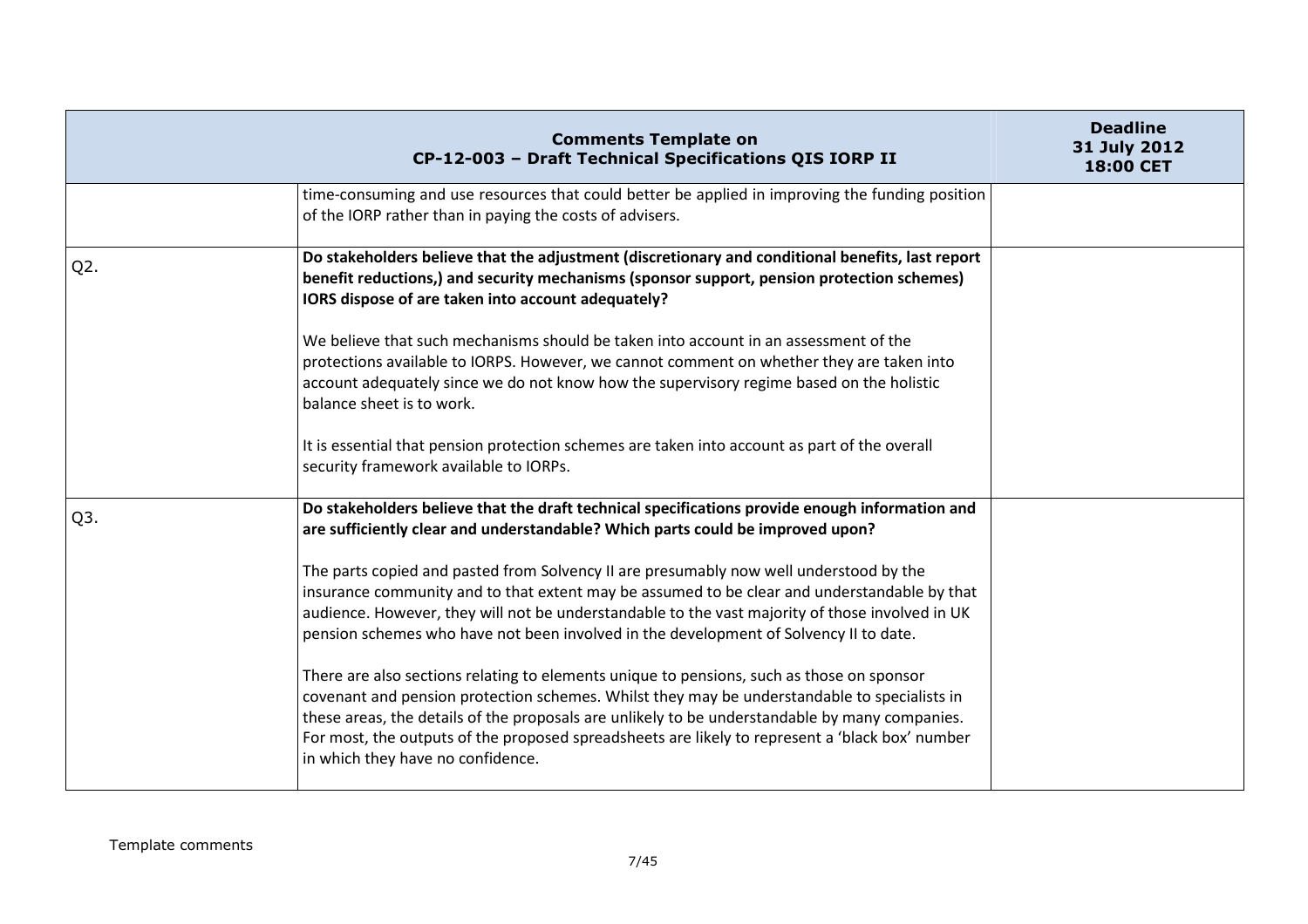|                  | <b>Comments Template on</b><br>CP-12-003 - Draft Technical Specifications QIS IORP II                                                                                                                                                                                                                                                                                                                                                                                                                                                                                  | <b>Deadline</b><br>31 July 2012<br>18:00 CET |
|------------------|------------------------------------------------------------------------------------------------------------------------------------------------------------------------------------------------------------------------------------------------------------------------------------------------------------------------------------------------------------------------------------------------------------------------------------------------------------------------------------------------------------------------------------------------------------------------|----------------------------------------------|
|                  | time-consuming and use resources that could better be applied in improving the funding position<br>of the IORP rather than in paying the costs of advisers.                                                                                                                                                                                                                                                                                                                                                                                                            |                                              |
| Q <sub>2</sub> . | Do stakeholders believe that the adjustment (discretionary and conditional benefits, last report<br>benefit reductions,) and security mechanisms (sponsor support, pension protection schemes)<br>IORS dispose of are taken into account adequately?                                                                                                                                                                                                                                                                                                                   |                                              |
|                  | We believe that such mechanisms should be taken into account in an assessment of the<br>protections available to IORPS. However, we cannot comment on whether they are taken into<br>account adequately since we do not know how the supervisory regime based on the holistic<br>balance sheet is to work.                                                                                                                                                                                                                                                             |                                              |
|                  | It is essential that pension protection schemes are taken into account as part of the overall<br>security framework available to IORPs.                                                                                                                                                                                                                                                                                                                                                                                                                                |                                              |
| Q3.              | Do stakeholders believe that the draft technical specifications provide enough information and<br>are sufficiently clear and understandable? Which parts could be improved upon?<br>The parts copied and pasted from Solvency II are presumably now well understood by the<br>insurance community and to that extent may be assumed to be clear and understandable by that<br>audience. However, they will not be understandable to the vast majority of those involved in UK<br>pension schemes who have not been involved in the development of Solvency II to date. |                                              |
|                  | There are also sections relating to elements unique to pensions, such as those on sponsor<br>covenant and pension protection schemes. Whilst they may be understandable to specialists in<br>these areas, the details of the proposals are unlikely to be understandable by many companies.<br>For most, the outputs of the proposed spreadsheets are likely to represent a 'black box' number<br>in which they have no confidence.                                                                                                                                    |                                              |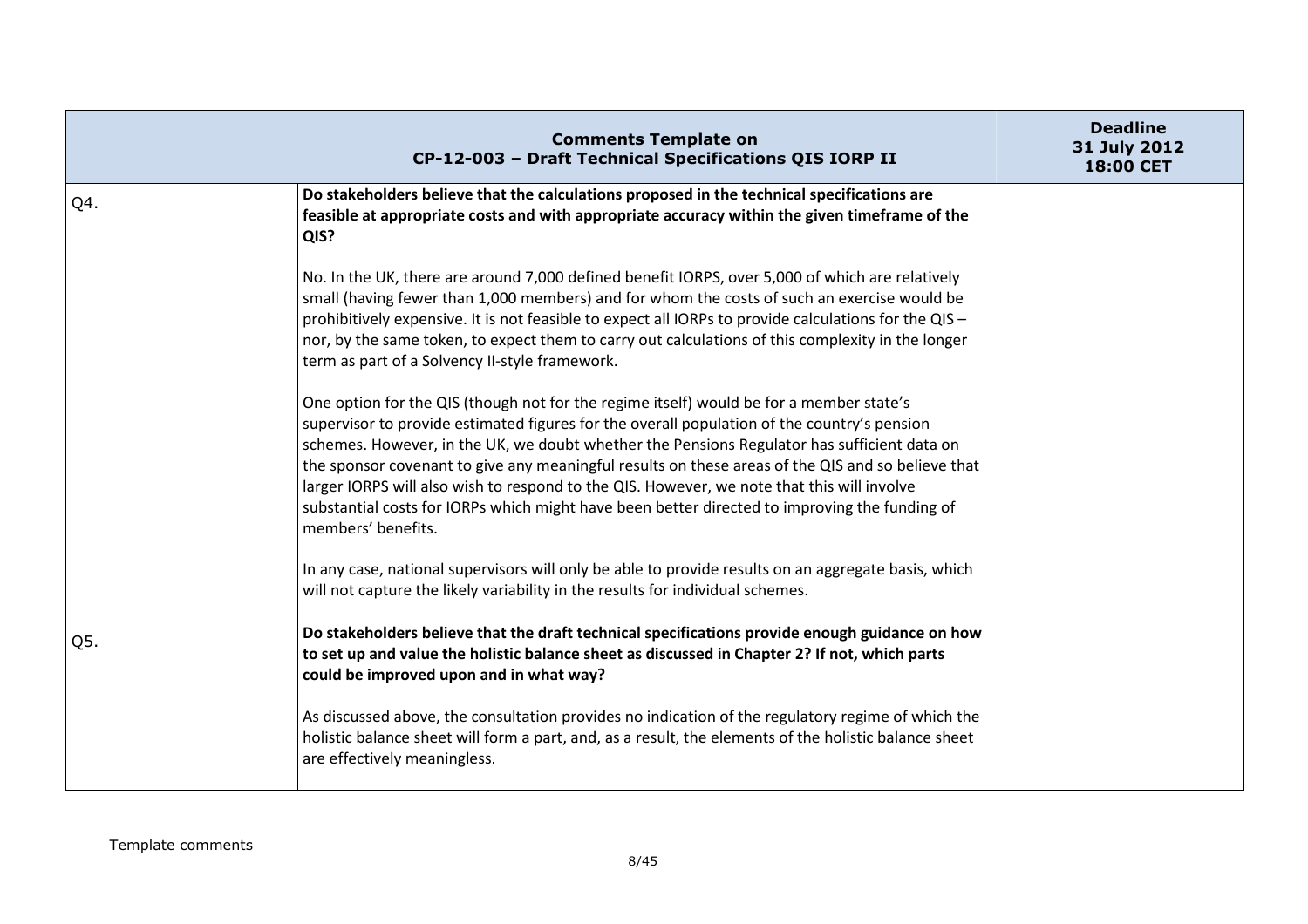|     | <b>Comments Template on</b><br>CP-12-003 - Draft Technical Specifications QIS IORP II                                                                                                                                                                                                                                                                                                                                                                                                                                                                                                                           | <b>Deadline</b><br>31 July 2012<br>18:00 CET |
|-----|-----------------------------------------------------------------------------------------------------------------------------------------------------------------------------------------------------------------------------------------------------------------------------------------------------------------------------------------------------------------------------------------------------------------------------------------------------------------------------------------------------------------------------------------------------------------------------------------------------------------|----------------------------------------------|
| Q4. | Do stakeholders believe that the calculations proposed in the technical specifications are<br>feasible at appropriate costs and with appropriate accuracy within the given timeframe of the<br>QIS?                                                                                                                                                                                                                                                                                                                                                                                                             |                                              |
|     | No. In the UK, there are around 7,000 defined benefit IORPS, over 5,000 of which are relatively<br>small (having fewer than 1,000 members) and for whom the costs of such an exercise would be<br>prohibitively expensive. It is not feasible to expect all IORPs to provide calculations for the QIS -<br>nor, by the same token, to expect them to carry out calculations of this complexity in the longer<br>term as part of a Solvency II-style framework.                                                                                                                                                  |                                              |
|     | One option for the QIS (though not for the regime itself) would be for a member state's<br>supervisor to provide estimated figures for the overall population of the country's pension<br>schemes. However, in the UK, we doubt whether the Pensions Regulator has sufficient data on<br>the sponsor covenant to give any meaningful results on these areas of the QIS and so believe that<br>larger IORPS will also wish to respond to the QIS. However, we note that this will involve<br>substantial costs for IORPs which might have been better directed to improving the funding of<br>members' benefits. |                                              |
|     | In any case, national supervisors will only be able to provide results on an aggregate basis, which<br>will not capture the likely variability in the results for individual schemes.                                                                                                                                                                                                                                                                                                                                                                                                                           |                                              |
| Q5. | Do stakeholders believe that the draft technical specifications provide enough guidance on how<br>to set up and value the holistic balance sheet as discussed in Chapter 2? If not, which parts<br>could be improved upon and in what way?                                                                                                                                                                                                                                                                                                                                                                      |                                              |
|     | As discussed above, the consultation provides no indication of the regulatory regime of which the<br>holistic balance sheet will form a part, and, as a result, the elements of the holistic balance sheet<br>are effectively meaningless.                                                                                                                                                                                                                                                                                                                                                                      |                                              |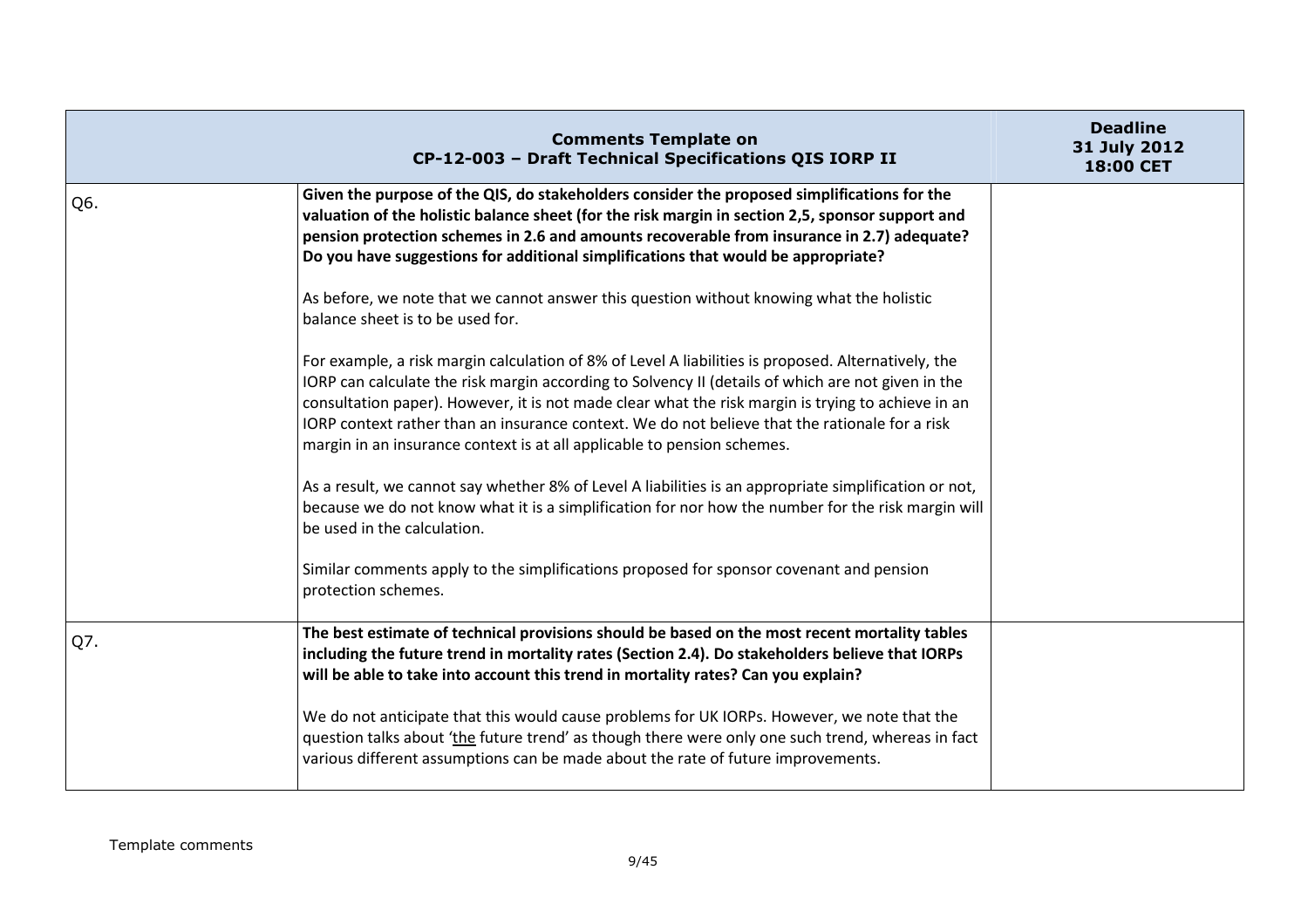|     | <b>Comments Template on</b><br>CP-12-003 - Draft Technical Specifications QIS IORP II                                                                                                                                                                                                                                                                                                                                                                                                        | <b>Deadline</b><br>31 July 2012<br>18:00 CET |
|-----|----------------------------------------------------------------------------------------------------------------------------------------------------------------------------------------------------------------------------------------------------------------------------------------------------------------------------------------------------------------------------------------------------------------------------------------------------------------------------------------------|----------------------------------------------|
| Q6. | Given the purpose of the QIS, do stakeholders consider the proposed simplifications for the<br>valuation of the holistic balance sheet (for the risk margin in section 2,5, sponsor support and<br>pension protection schemes in 2.6 and amounts recoverable from insurance in 2.7) adequate?<br>Do you have suggestions for additional simplifications that would be appropriate?                                                                                                           |                                              |
|     | As before, we note that we cannot answer this question without knowing what the holistic<br>balance sheet is to be used for.                                                                                                                                                                                                                                                                                                                                                                 |                                              |
|     | For example, a risk margin calculation of 8% of Level A liabilities is proposed. Alternatively, the<br>IORP can calculate the risk margin according to Solvency II (details of which are not given in the<br>consultation paper). However, it is not made clear what the risk margin is trying to achieve in an<br>IORP context rather than an insurance context. We do not believe that the rationale for a risk<br>margin in an insurance context is at all applicable to pension schemes. |                                              |
|     | As a result, we cannot say whether 8% of Level A liabilities is an appropriate simplification or not,<br>because we do not know what it is a simplification for nor how the number for the risk margin will<br>be used in the calculation.                                                                                                                                                                                                                                                   |                                              |
|     | Similar comments apply to the simplifications proposed for sponsor covenant and pension<br>protection schemes.                                                                                                                                                                                                                                                                                                                                                                               |                                              |
| Q7. | The best estimate of technical provisions should be based on the most recent mortality tables<br>including the future trend in mortality rates (Section 2.4). Do stakeholders believe that IORPs<br>will be able to take into account this trend in mortality rates? Can you explain?                                                                                                                                                                                                        |                                              |
|     | We do not anticipate that this would cause problems for UK IORPs. However, we note that the<br>question talks about 'the future trend' as though there were only one such trend, whereas in fact<br>various different assumptions can be made about the rate of future improvements.                                                                                                                                                                                                         |                                              |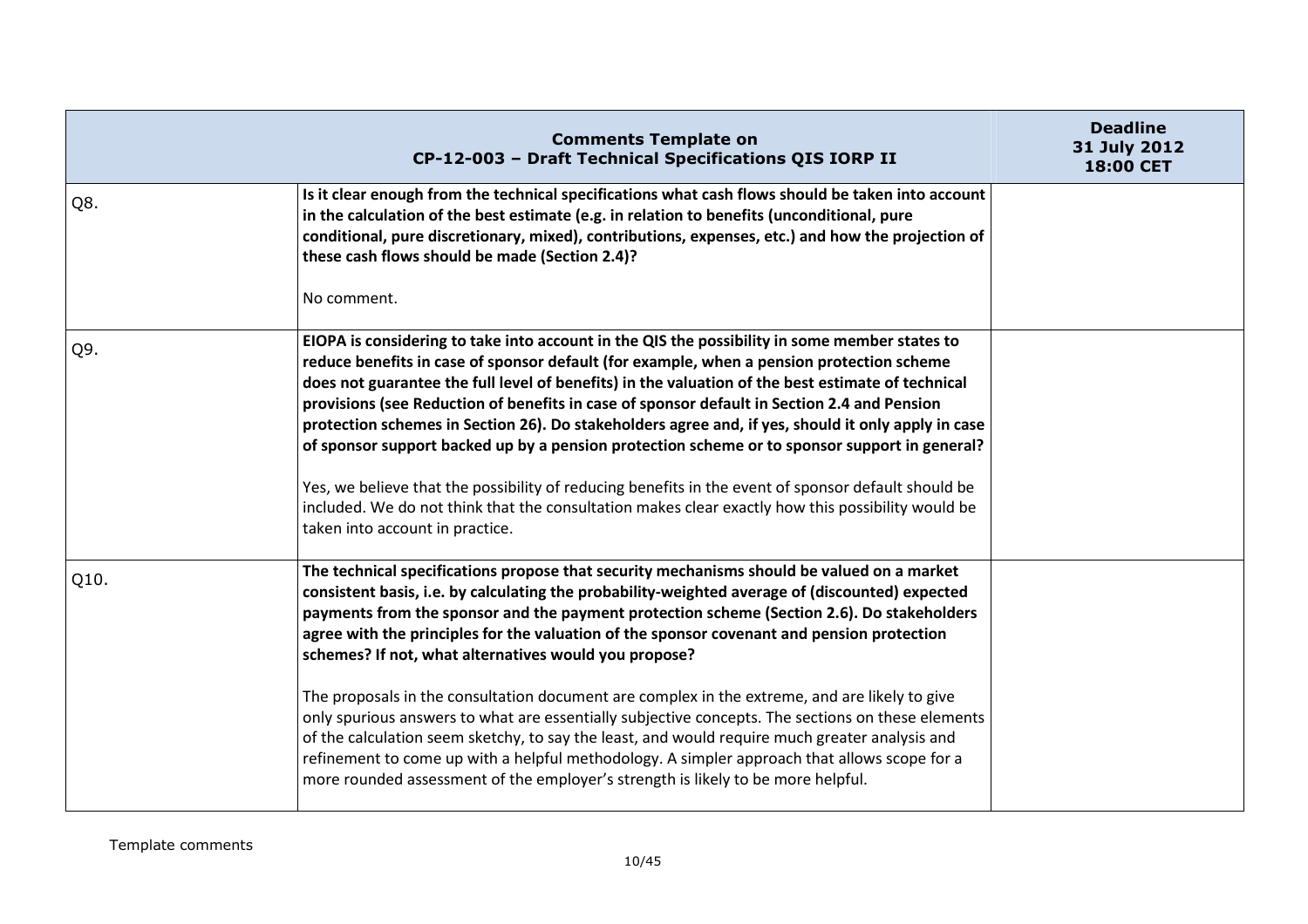|      | <b>Comments Template on</b><br>CP-12-003 - Draft Technical Specifications QIS IORP II                                                                                                                                                                                                                                                                                                                                                                                                                                                                                                                                                                                                                                                                                                                                                                                                                                                          | <b>Deadline</b><br>31 July 2012<br>18:00 CET |
|------|------------------------------------------------------------------------------------------------------------------------------------------------------------------------------------------------------------------------------------------------------------------------------------------------------------------------------------------------------------------------------------------------------------------------------------------------------------------------------------------------------------------------------------------------------------------------------------------------------------------------------------------------------------------------------------------------------------------------------------------------------------------------------------------------------------------------------------------------------------------------------------------------------------------------------------------------|----------------------------------------------|
| Q8.  | Is it clear enough from the technical specifications what cash flows should be taken into account<br>in the calculation of the best estimate (e.g. in relation to benefits (unconditional, pure<br>conditional, pure discretionary, mixed), contributions, expenses, etc.) and how the projection of<br>these cash flows should be made (Section 2.4)?<br>No comment.                                                                                                                                                                                                                                                                                                                                                                                                                                                                                                                                                                          |                                              |
| Q9.  | EIOPA is considering to take into account in the QIS the possibility in some member states to<br>reduce benefits in case of sponsor default (for example, when a pension protection scheme<br>does not guarantee the full level of benefits) in the valuation of the best estimate of technical<br>provisions (see Reduction of benefits in case of sponsor default in Section 2.4 and Pension<br>protection schemes in Section 26). Do stakeholders agree and, if yes, should it only apply in case<br>of sponsor support backed up by a pension protection scheme or to sponsor support in general?<br>Yes, we believe that the possibility of reducing benefits in the event of sponsor default should be<br>included. We do not think that the consultation makes clear exactly how this possibility would be<br>taken into account in practice.                                                                                           |                                              |
| Q10. | The technical specifications propose that security mechanisms should be valued on a market<br>consistent basis, i.e. by calculating the probability-weighted average of (discounted) expected<br>payments from the sponsor and the payment protection scheme (Section 2.6). Do stakeholders<br>agree with the principles for the valuation of the sponsor covenant and pension protection<br>schemes? If not, what alternatives would you propose?<br>The proposals in the consultation document are complex in the extreme, and are likely to give<br>only spurious answers to what are essentially subjective concepts. The sections on these elements<br>of the calculation seem sketchy, to say the least, and would require much greater analysis and<br>refinement to come up with a helpful methodology. A simpler approach that allows scope for a<br>more rounded assessment of the employer's strength is likely to be more helpful. |                                              |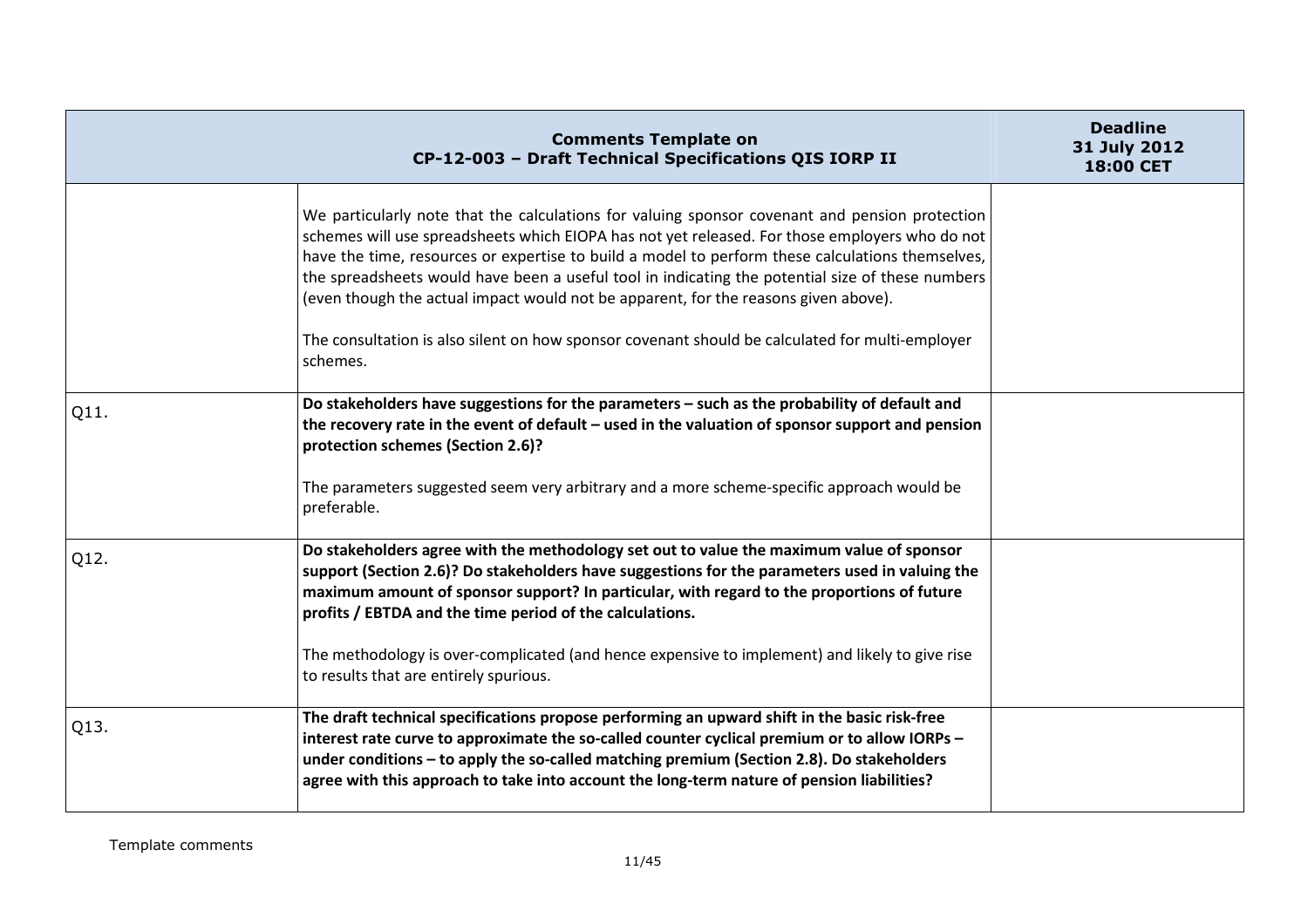|      | <b>Comments Template on</b><br>CP-12-003 - Draft Technical Specifications QIS IORP II                                                                                                                                                                                                                                                                                                                                                                                                                                                                                                                          | <b>Deadline</b><br>31 July 2012<br>18:00 CET |
|------|----------------------------------------------------------------------------------------------------------------------------------------------------------------------------------------------------------------------------------------------------------------------------------------------------------------------------------------------------------------------------------------------------------------------------------------------------------------------------------------------------------------------------------------------------------------------------------------------------------------|----------------------------------------------|
|      | We particularly note that the calculations for valuing sponsor covenant and pension protection<br>schemes will use spreadsheets which EIOPA has not yet released. For those employers who do not<br>have the time, resources or expertise to build a model to perform these calculations themselves,<br>the spreadsheets would have been a useful tool in indicating the potential size of these numbers<br>(even though the actual impact would not be apparent, for the reasons given above).<br>The consultation is also silent on how sponsor covenant should be calculated for multi-employer<br>schemes. |                                              |
| Q11. | Do stakeholders have suggestions for the parameters - such as the probability of default and<br>the recovery rate in the event of default - used in the valuation of sponsor support and pension<br>protection schemes (Section 2.6)?<br>The parameters suggested seem very arbitrary and a more scheme-specific approach would be<br>preferable.                                                                                                                                                                                                                                                              |                                              |
| Q12. | Do stakeholders agree with the methodology set out to value the maximum value of sponsor<br>support (Section 2.6)? Do stakeholders have suggestions for the parameters used in valuing the<br>maximum amount of sponsor support? In particular, with regard to the proportions of future<br>profits / EBTDA and the time period of the calculations.<br>The methodology is over-complicated (and hence expensive to implement) and likely to give rise<br>to results that are entirely spurious.                                                                                                               |                                              |
| Q13. | The draft technical specifications propose performing an upward shift in the basic risk-free<br>interest rate curve to approximate the so-called counter cyclical premium or to allow IORPs -<br>under conditions - to apply the so-called matching premium (Section 2.8). Do stakeholders<br>agree with this approach to take into account the long-term nature of pension liabilities?                                                                                                                                                                                                                       |                                              |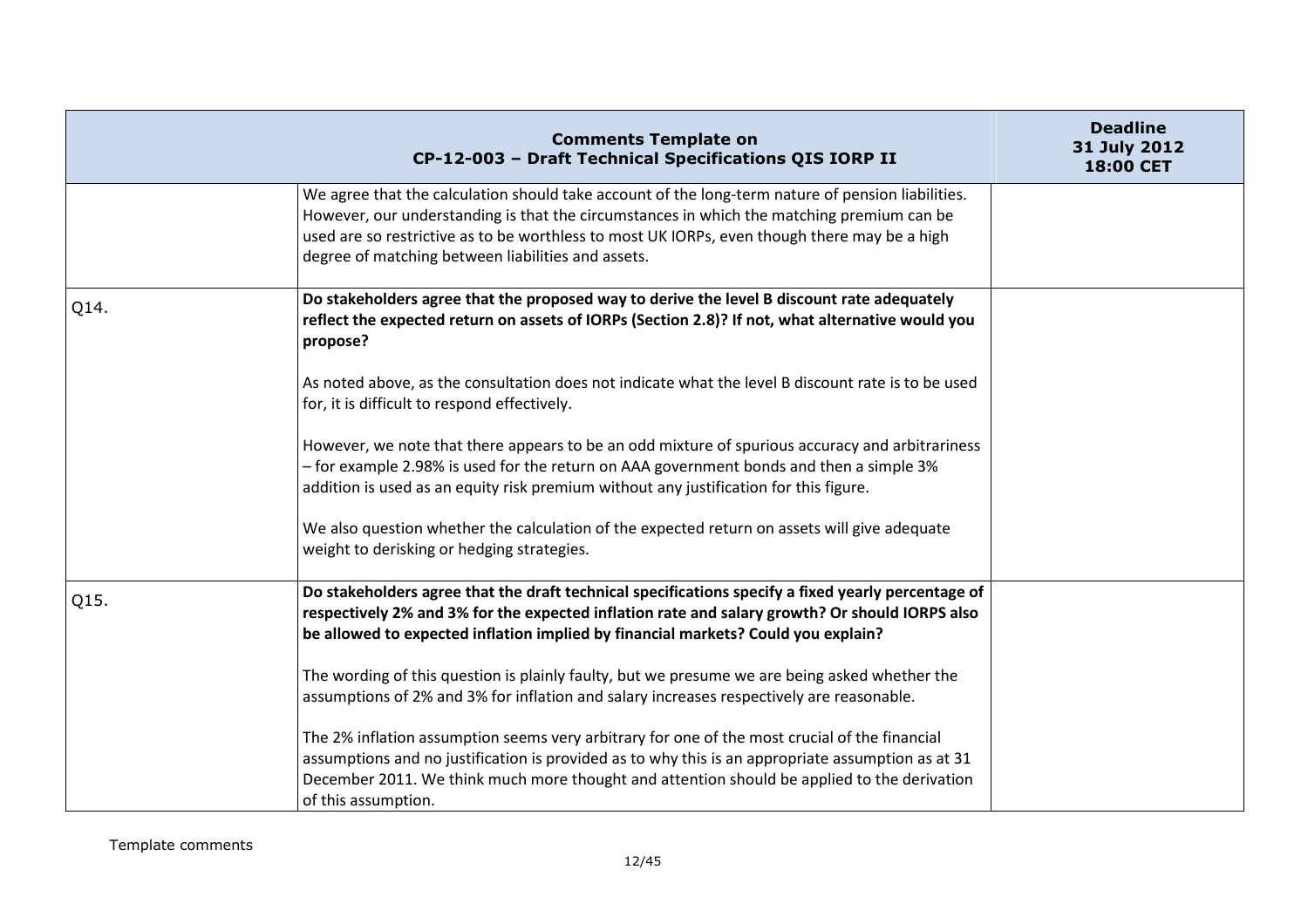|      | <b>Comments Template on</b><br>CP-12-003 - Draft Technical Specifications QIS IORP II                                                                                                                                                                                                                                                                | <b>Deadline</b><br>31 July 2012<br>18:00 CET |
|------|------------------------------------------------------------------------------------------------------------------------------------------------------------------------------------------------------------------------------------------------------------------------------------------------------------------------------------------------------|----------------------------------------------|
|      | We agree that the calculation should take account of the long-term nature of pension liabilities.<br>However, our understanding is that the circumstances in which the matching premium can be<br>used are so restrictive as to be worthless to most UK IORPs, even though there may be a high<br>degree of matching between liabilities and assets. |                                              |
| Q14. | Do stakeholders agree that the proposed way to derive the level B discount rate adequately<br>reflect the expected return on assets of IORPs (Section 2.8)? If not, what alternative would you<br>propose?                                                                                                                                           |                                              |
|      | As noted above, as the consultation does not indicate what the level B discount rate is to be used<br>for, it is difficult to respond effectively.                                                                                                                                                                                                   |                                              |
|      | However, we note that there appears to be an odd mixture of spurious accuracy and arbitrariness<br>- for example 2.98% is used for the return on AAA government bonds and then a simple 3%<br>addition is used as an equity risk premium without any justification for this figure.                                                                  |                                              |
|      | We also question whether the calculation of the expected return on assets will give adequate<br>weight to derisking or hedging strategies.                                                                                                                                                                                                           |                                              |
| Q15. | Do stakeholders agree that the draft technical specifications specify a fixed yearly percentage of<br>respectively 2% and 3% for the expected inflation rate and salary growth? Or should IORPS also<br>be allowed to expected inflation implied by financial markets? Could you explain?                                                            |                                              |
|      | The wording of this question is plainly faulty, but we presume we are being asked whether the<br>assumptions of 2% and 3% for inflation and salary increases respectively are reasonable.                                                                                                                                                            |                                              |
|      | The 2% inflation assumption seems very arbitrary for one of the most crucial of the financial<br>assumptions and no justification is provided as to why this is an appropriate assumption as at 31<br>December 2011. We think much more thought and attention should be applied to the derivation<br>of this assumption.                             |                                              |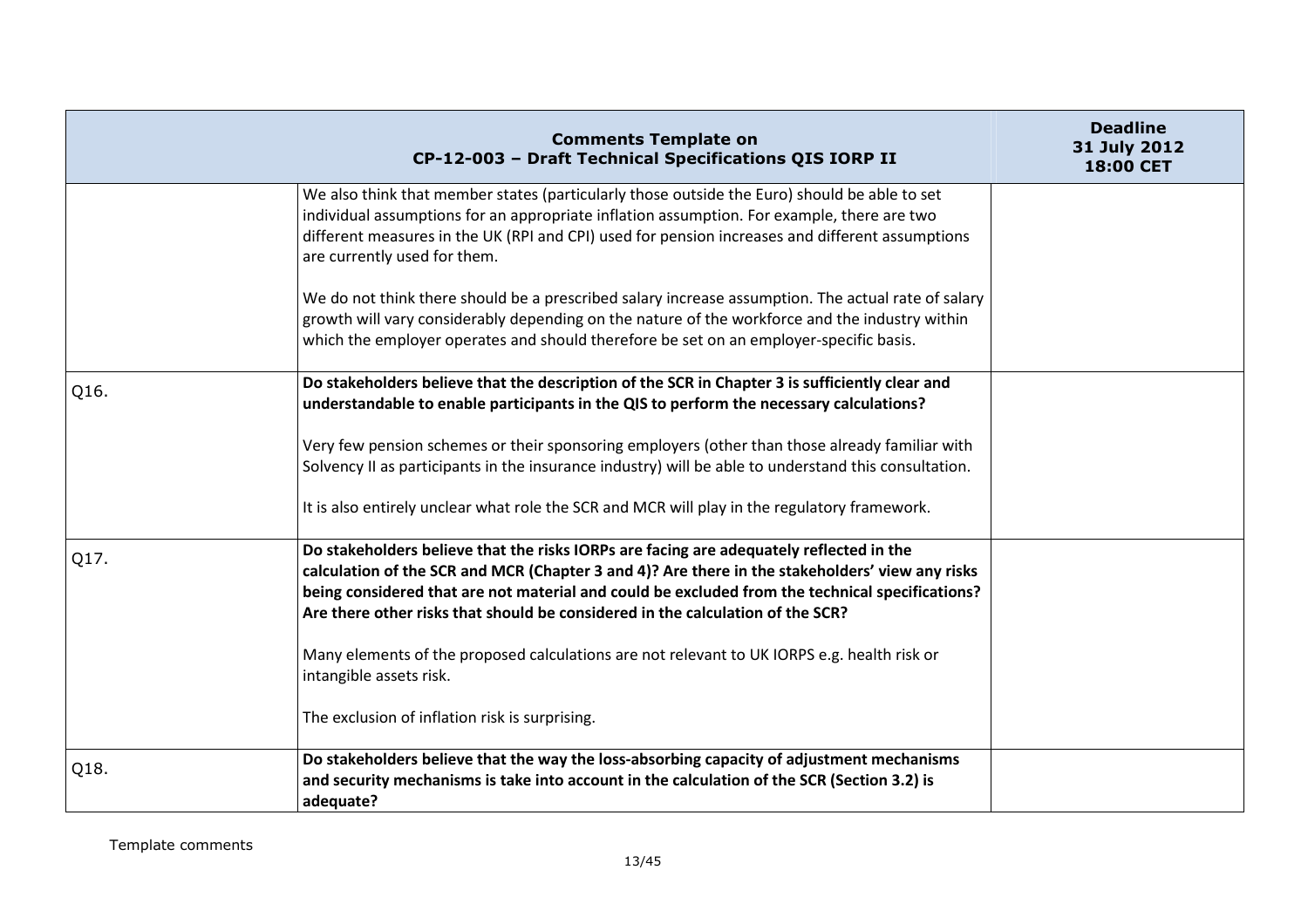|      | <b>Comments Template on</b><br>CP-12-003 - Draft Technical Specifications QIS IORP II                                                                                                                                                                                                                                                                                           | <b>Deadline</b><br>31 July 2012<br>18:00 CET |
|------|---------------------------------------------------------------------------------------------------------------------------------------------------------------------------------------------------------------------------------------------------------------------------------------------------------------------------------------------------------------------------------|----------------------------------------------|
|      | We also think that member states (particularly those outside the Euro) should be able to set<br>individual assumptions for an appropriate inflation assumption. For example, there are two<br>different measures in the UK (RPI and CPI) used for pension increases and different assumptions<br>are currently used for them.                                                   |                                              |
|      | We do not think there should be a prescribed salary increase assumption. The actual rate of salary<br>growth will vary considerably depending on the nature of the workforce and the industry within<br>which the employer operates and should therefore be set on an employer-specific basis.                                                                                  |                                              |
| Q16. | Do stakeholders believe that the description of the SCR in Chapter 3 is sufficiently clear and<br>understandable to enable participants in the QIS to perform the necessary calculations?                                                                                                                                                                                       |                                              |
|      | Very few pension schemes or their sponsoring employers (other than those already familiar with<br>Solvency II as participants in the insurance industry) will be able to understand this consultation.<br>It is also entirely unclear what role the SCR and MCR will play in the regulatory framework.                                                                          |                                              |
| Q17. | Do stakeholders believe that the risks IORPs are facing are adequately reflected in the<br>calculation of the SCR and MCR (Chapter 3 and 4)? Are there in the stakeholders' view any risks<br>being considered that are not material and could be excluded from the technical specifications?<br>Are there other risks that should be considered in the calculation of the SCR? |                                              |
|      | Many elements of the proposed calculations are not relevant to UK IORPS e.g. health risk or<br>intangible assets risk.                                                                                                                                                                                                                                                          |                                              |
|      | The exclusion of inflation risk is surprising.                                                                                                                                                                                                                                                                                                                                  |                                              |
| Q18. | Do stakeholders believe that the way the loss-absorbing capacity of adjustment mechanisms<br>and security mechanisms is take into account in the calculation of the SCR (Section 3.2) is<br>adequate?                                                                                                                                                                           |                                              |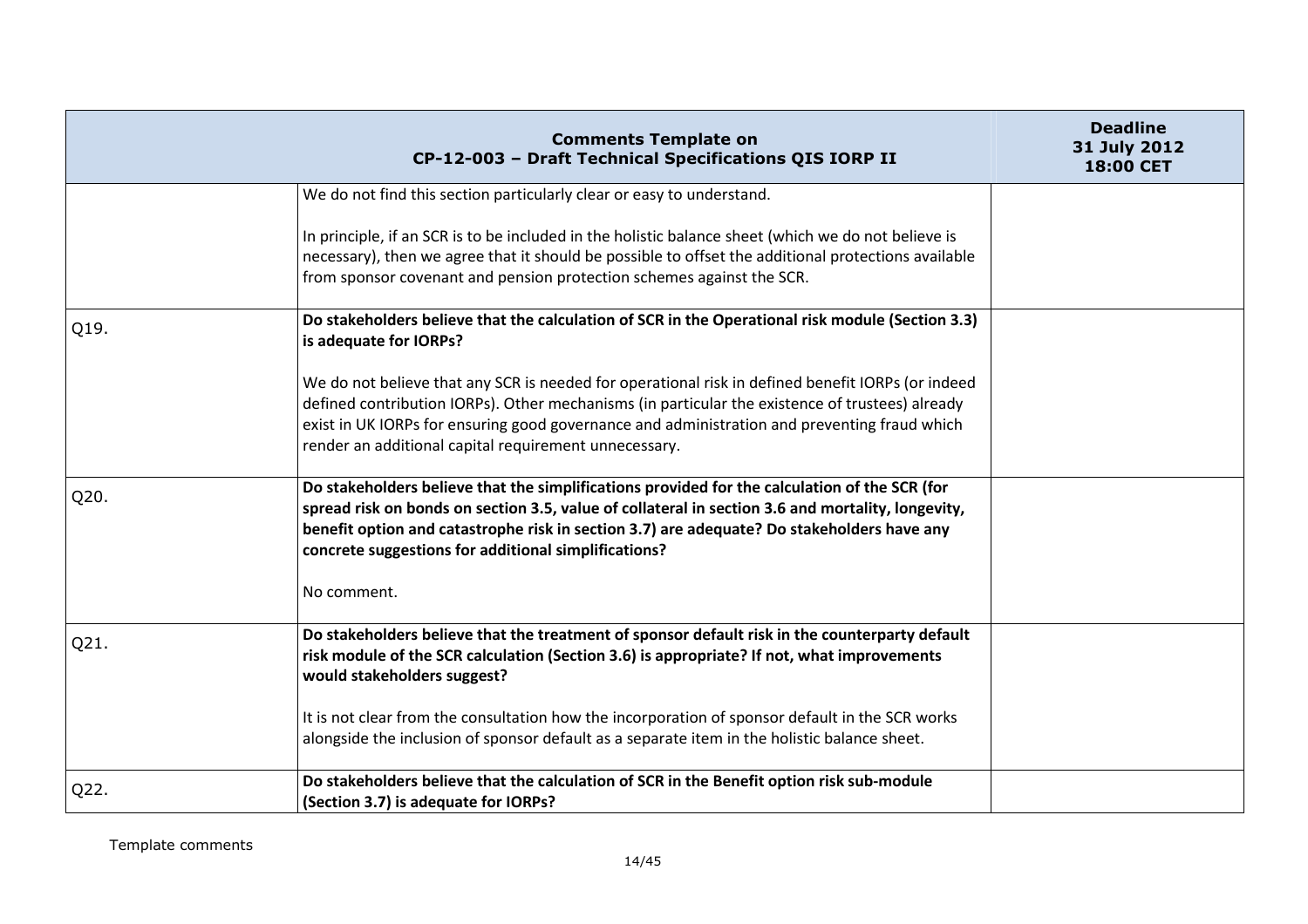|      | <b>Comments Template on</b><br>CP-12-003 - Draft Technical Specifications QIS IORP II                                                                                                                                                                                                                                                                         | <b>Deadline</b><br>31 July 2012<br>18:00 CET |
|------|---------------------------------------------------------------------------------------------------------------------------------------------------------------------------------------------------------------------------------------------------------------------------------------------------------------------------------------------------------------|----------------------------------------------|
|      | We do not find this section particularly clear or easy to understand.                                                                                                                                                                                                                                                                                         |                                              |
|      | In principle, if an SCR is to be included in the holistic balance sheet (which we do not believe is<br>necessary), then we agree that it should be possible to offset the additional protections available<br>from sponsor covenant and pension protection schemes against the SCR.                                                                           |                                              |
| Q19. | Do stakeholders believe that the calculation of SCR in the Operational risk module (Section 3.3)<br>is adequate for IORPs?                                                                                                                                                                                                                                    |                                              |
|      | We do not believe that any SCR is needed for operational risk in defined benefit IORPs (or indeed<br>defined contribution IORPs). Other mechanisms (in particular the existence of trustees) already<br>exist in UK IORPs for ensuring good governance and administration and preventing fraud which<br>render an additional capital requirement unnecessary. |                                              |
| Q20. | Do stakeholders believe that the simplifications provided for the calculation of the SCR (for<br>spread risk on bonds on section 3.5, value of collateral in section 3.6 and mortality, longevity,<br>benefit option and catastrophe risk in section 3.7) are adequate? Do stakeholders have any<br>concrete suggestions for additional simplifications?      |                                              |
|      | No comment.                                                                                                                                                                                                                                                                                                                                                   |                                              |
| Q21. | Do stakeholders believe that the treatment of sponsor default risk in the counterparty default<br>risk module of the SCR calculation (Section 3.6) is appropriate? If not, what improvements<br>would stakeholders suggest?                                                                                                                                   |                                              |
|      | It is not clear from the consultation how the incorporation of sponsor default in the SCR works<br>alongside the inclusion of sponsor default as a separate item in the holistic balance sheet.                                                                                                                                                               |                                              |
| Q22. | Do stakeholders believe that the calculation of SCR in the Benefit option risk sub-module<br>(Section 3.7) is adequate for IORPs?                                                                                                                                                                                                                             |                                              |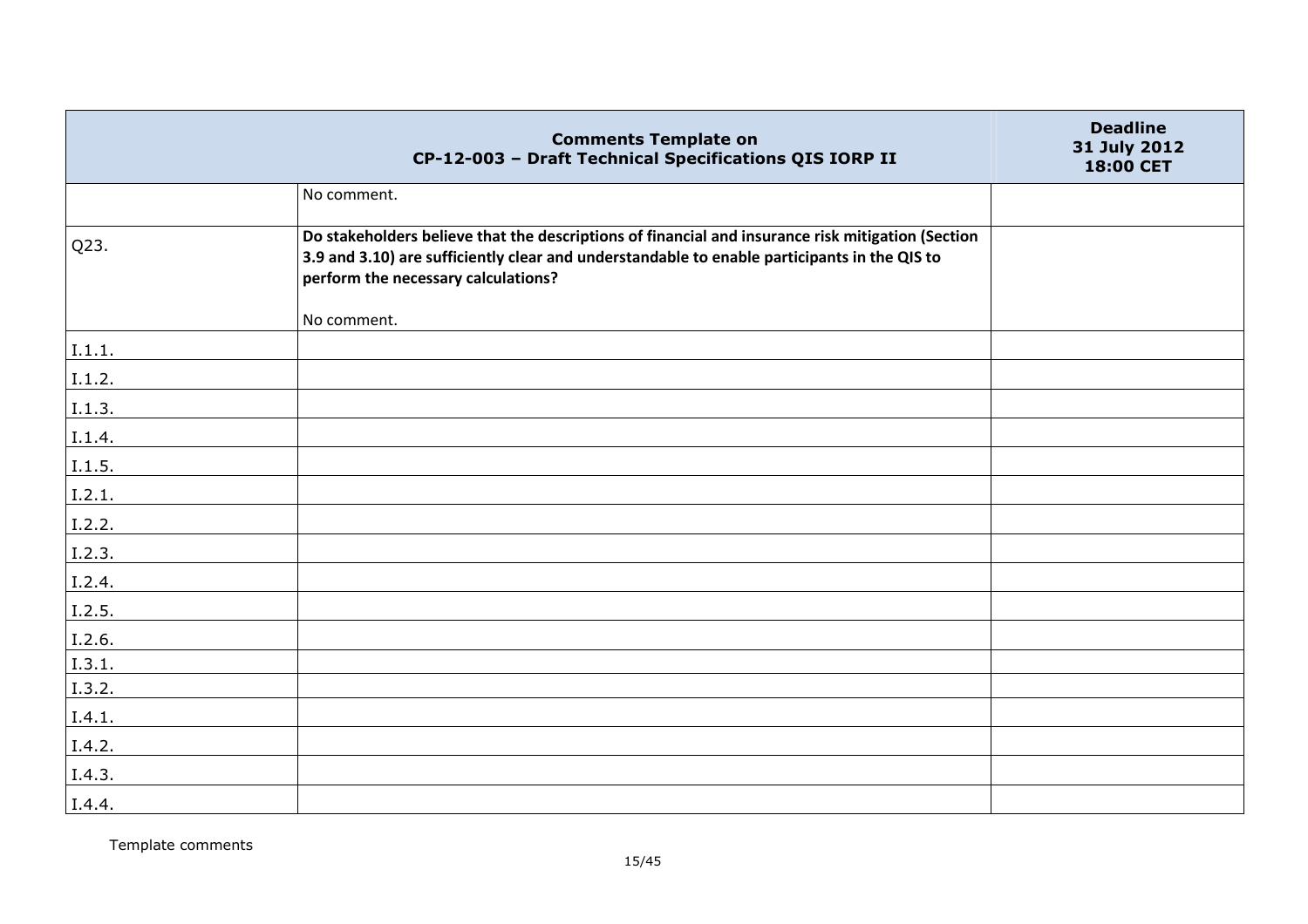|        | <b>Comments Template on</b><br>CP-12-003 - Draft Technical Specifications QIS IORP II                                                                                                                                                    | <b>Deadline</b><br>31 July 2012<br>18:00 CET |
|--------|------------------------------------------------------------------------------------------------------------------------------------------------------------------------------------------------------------------------------------------|----------------------------------------------|
|        | No comment.                                                                                                                                                                                                                              |                                              |
| Q23.   | Do stakeholders believe that the descriptions of financial and insurance risk mitigation (Section<br>3.9 and 3.10) are sufficiently clear and understandable to enable participants in the QIS to<br>perform the necessary calculations? |                                              |
|        | No comment.                                                                                                                                                                                                                              |                                              |
| I.1.1. |                                                                                                                                                                                                                                          |                                              |
| I.1.2. |                                                                                                                                                                                                                                          |                                              |
| I.1.3. |                                                                                                                                                                                                                                          |                                              |
| I.1.4. |                                                                                                                                                                                                                                          |                                              |
| I.1.5. |                                                                                                                                                                                                                                          |                                              |
| I.2.1. |                                                                                                                                                                                                                                          |                                              |
| I.2.2. |                                                                                                                                                                                                                                          |                                              |
| I.2.3. |                                                                                                                                                                                                                                          |                                              |
| I.2.4. |                                                                                                                                                                                                                                          |                                              |
| I.2.5. |                                                                                                                                                                                                                                          |                                              |
| I.2.6. |                                                                                                                                                                                                                                          |                                              |
| I.3.1. |                                                                                                                                                                                                                                          |                                              |
| I.3.2. |                                                                                                                                                                                                                                          |                                              |
| I.4.1. |                                                                                                                                                                                                                                          |                                              |
| I.4.2. |                                                                                                                                                                                                                                          |                                              |
| I.4.3. |                                                                                                                                                                                                                                          |                                              |
| I.4.4. |                                                                                                                                                                                                                                          |                                              |

Template comments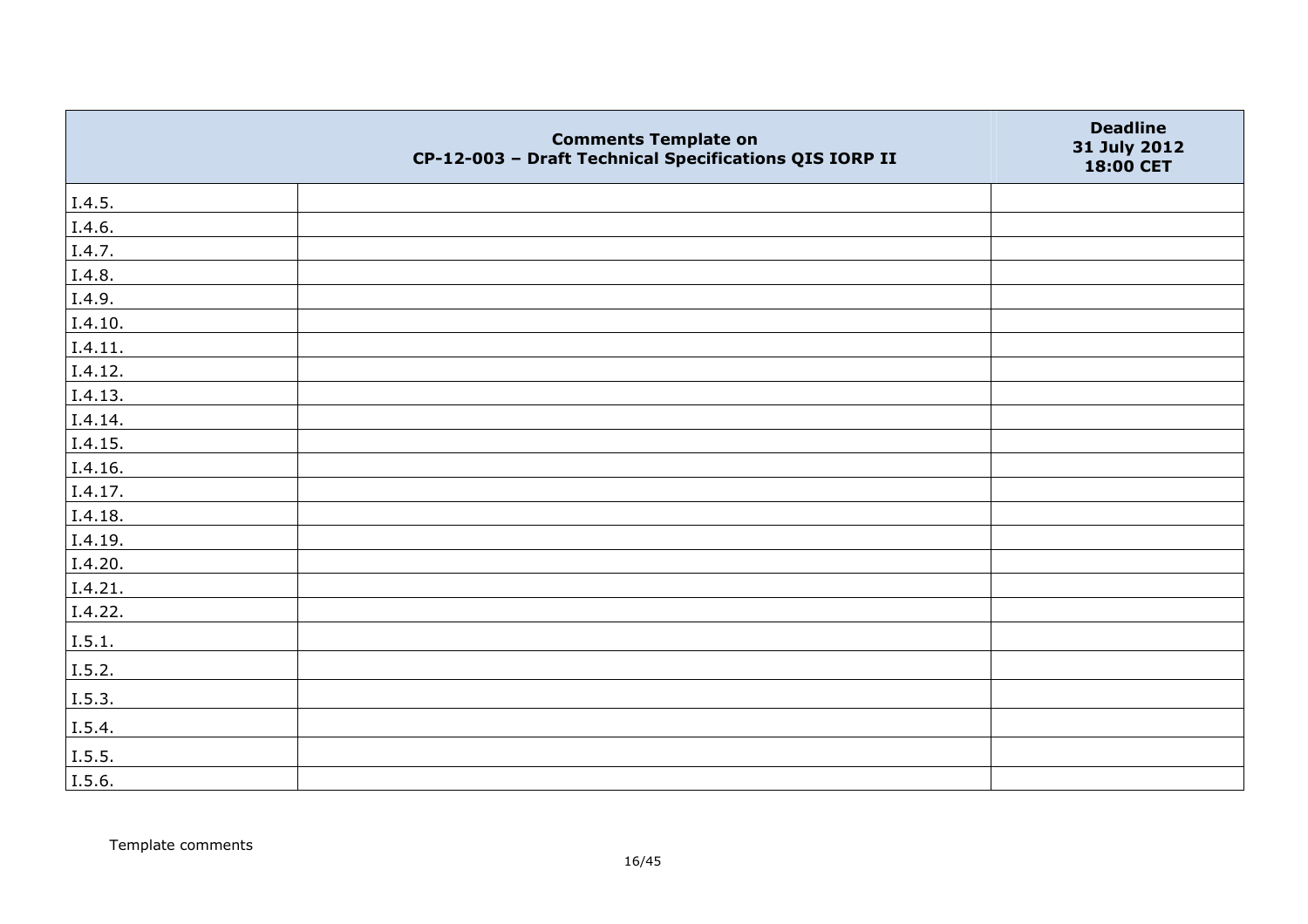|                | <b>Comments Template on</b><br>CP-12-003 - Draft Technical Specifications QIS IORP II | <b>Deadline</b><br>31 July 2012<br>18:00 CET |
|----------------|---------------------------------------------------------------------------------------|----------------------------------------------|
| I.4.5.         |                                                                                       |                                              |
| I.4.6.         |                                                                                       |                                              |
| I.4.7.         |                                                                                       |                                              |
| I.4.8.         |                                                                                       |                                              |
| I.4.9.         |                                                                                       |                                              |
| I.4.10.        |                                                                                       |                                              |
| I.4.11.        |                                                                                       |                                              |
| I.4.12.        |                                                                                       |                                              |
| I.4.13.        |                                                                                       |                                              |
| I.4.14.        |                                                                                       |                                              |
| I.4.15.        |                                                                                       |                                              |
| I.4.16.        |                                                                                       |                                              |
| I.4.17.        |                                                                                       |                                              |
| I.4.18.        |                                                                                       |                                              |
| I.4.19.        |                                                                                       |                                              |
| I.4.20.        |                                                                                       |                                              |
| I.4.21.        |                                                                                       |                                              |
| I.4.22.        |                                                                                       |                                              |
| I.5.1.         |                                                                                       |                                              |
| I.5.2.         |                                                                                       |                                              |
| I.5.3.         |                                                                                       |                                              |
| I.5.4.         |                                                                                       |                                              |
| $\vert$ I.5.5. |                                                                                       |                                              |
| I.5.6.         |                                                                                       |                                              |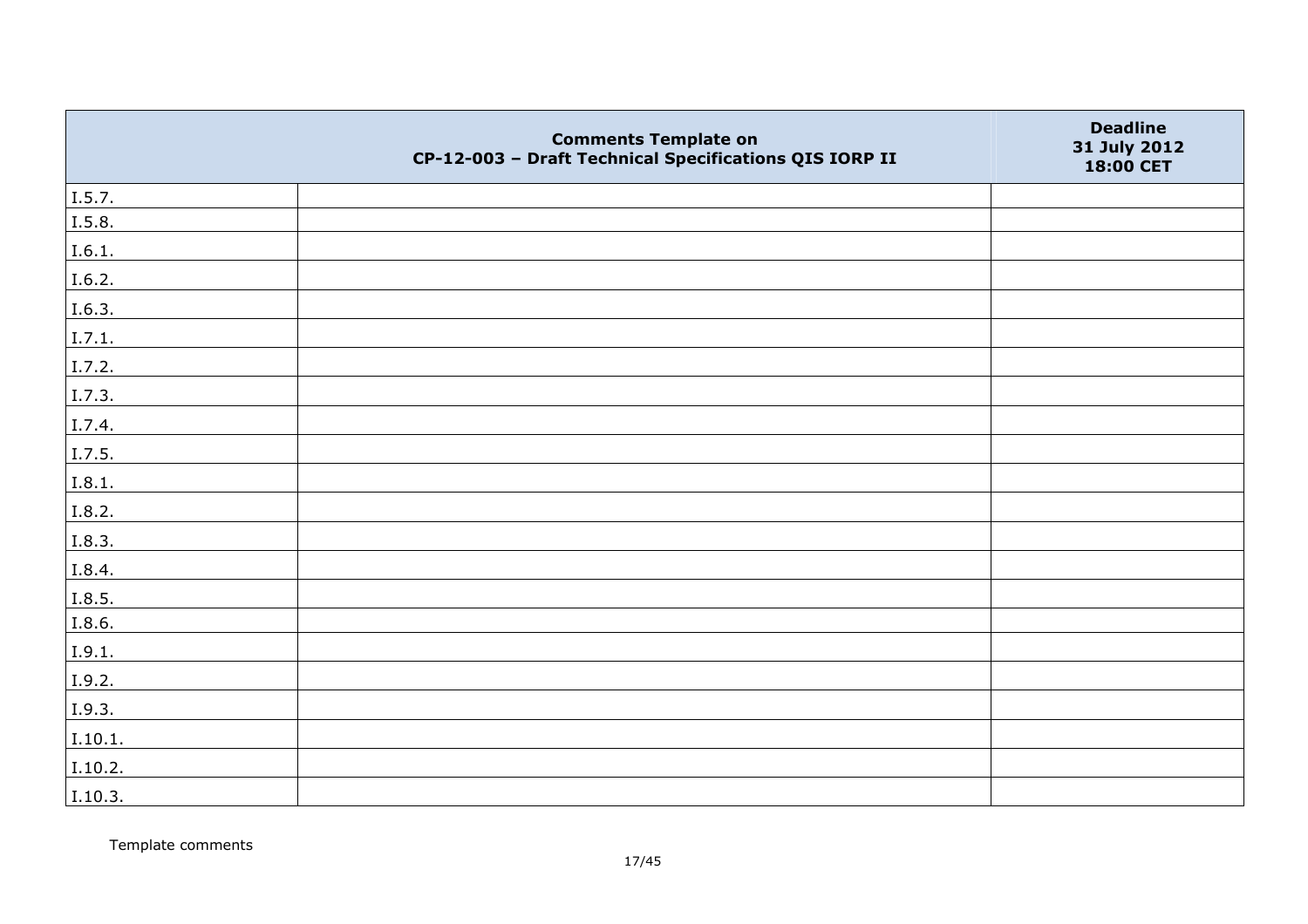|         | <b>Comments Template on</b><br>CP-12-003 - Draft Technical Specifications QIS IORP II | <b>Deadline</b><br>31 July 2012<br>18:00 CET |
|---------|---------------------------------------------------------------------------------------|----------------------------------------------|
| I.5.7.  |                                                                                       |                                              |
| I.5.8.  |                                                                                       |                                              |
| I.6.1.  |                                                                                       |                                              |
| I.6.2.  |                                                                                       |                                              |
| I.6.3.  |                                                                                       |                                              |
| I.7.1.  |                                                                                       |                                              |
| I.7.2.  |                                                                                       |                                              |
| I.7.3.  |                                                                                       |                                              |
| I.7.4.  |                                                                                       |                                              |
| I.7.5.  |                                                                                       |                                              |
| I.8.1.  |                                                                                       |                                              |
| I.8.2.  |                                                                                       |                                              |
| I.8.3.  |                                                                                       |                                              |
| I.8.4.  |                                                                                       |                                              |
| I.8.5.  |                                                                                       |                                              |
| I.8.6.  |                                                                                       |                                              |
| I.9.1.  |                                                                                       |                                              |
| I.9.2.  |                                                                                       |                                              |
| I.9.3.  |                                                                                       |                                              |
| I.10.1. |                                                                                       |                                              |
| I.10.2. |                                                                                       |                                              |
| I.10.3. |                                                                                       |                                              |

Template comments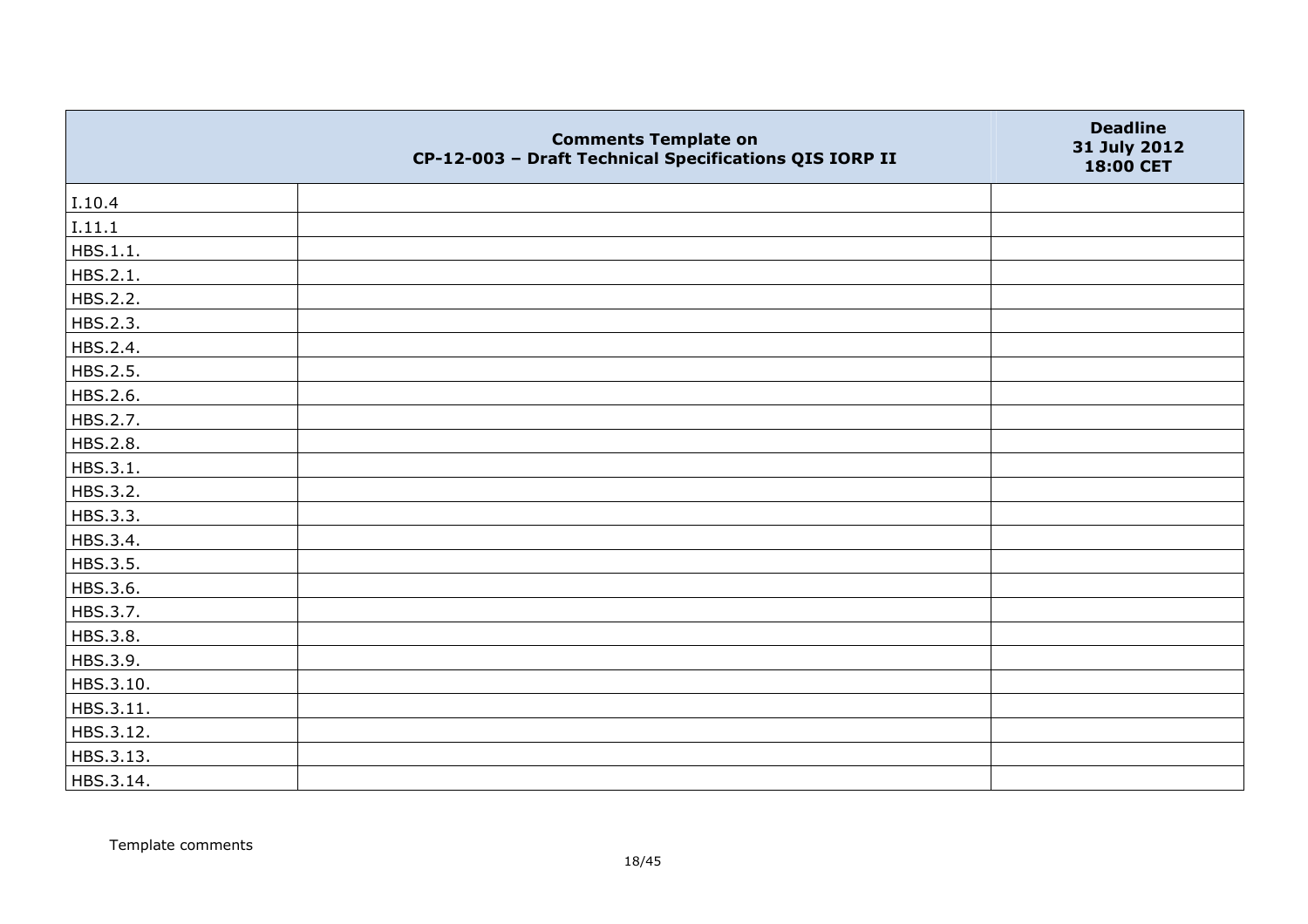|           | <b>Comments Template on</b><br>CP-12-003 - Draft Technical Specifications QIS IORP II | <b>Deadline</b><br>31 July 2012<br>18:00 CET |
|-----------|---------------------------------------------------------------------------------------|----------------------------------------------|
| I.10.4    |                                                                                       |                                              |
| I.11.1    |                                                                                       |                                              |
| HBS.1.1.  |                                                                                       |                                              |
| HBS.2.1.  |                                                                                       |                                              |
| HBS.2.2.  |                                                                                       |                                              |
| HBS.2.3.  |                                                                                       |                                              |
| HBS.2.4.  |                                                                                       |                                              |
| HBS.2.5.  |                                                                                       |                                              |
| HBS.2.6.  |                                                                                       |                                              |
| HBS.2.7.  |                                                                                       |                                              |
| HBS.2.8.  |                                                                                       |                                              |
| HBS.3.1.  |                                                                                       |                                              |
| HBS.3.2.  |                                                                                       |                                              |
| HBS.3.3.  |                                                                                       |                                              |
| HBS.3.4.  |                                                                                       |                                              |
| HBS.3.5.  |                                                                                       |                                              |
| HBS.3.6.  |                                                                                       |                                              |
| HBS.3.7.  |                                                                                       |                                              |
| HBS.3.8.  |                                                                                       |                                              |
| HBS.3.9.  |                                                                                       |                                              |
| HBS.3.10. |                                                                                       |                                              |
| HBS.3.11. |                                                                                       |                                              |
| HBS.3.12. |                                                                                       |                                              |
| HBS.3.13. |                                                                                       |                                              |
| HBS.3.14. |                                                                                       |                                              |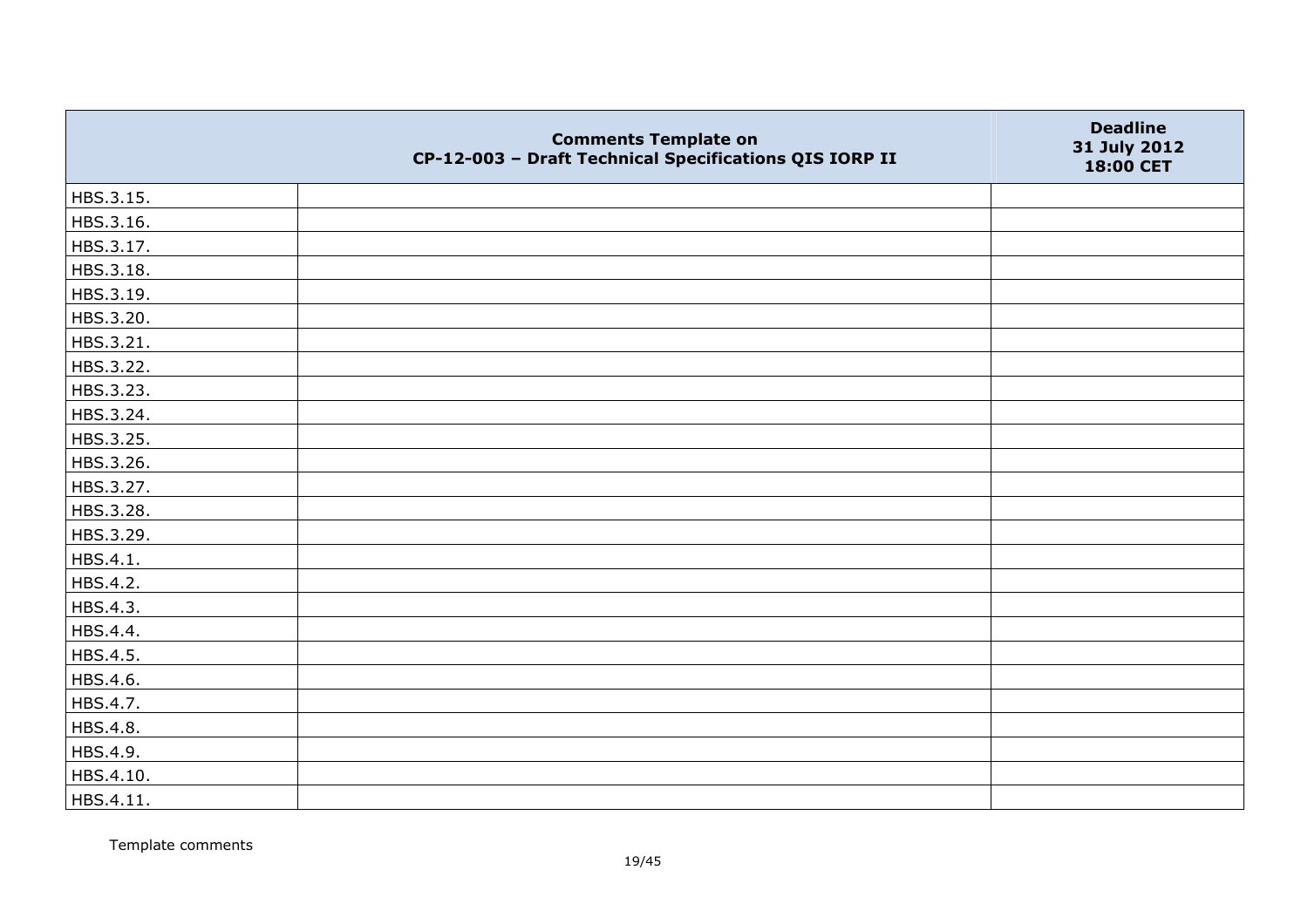|           | <b>Comments Template on</b><br>CP-12-003 - Draft Technical Specifications QIS IORP II | <b>Deadline</b><br>31 July 2012<br>18:00 CET |
|-----------|---------------------------------------------------------------------------------------|----------------------------------------------|
| HBS.3.15. |                                                                                       |                                              |
| HBS.3.16. |                                                                                       |                                              |
| HBS.3.17. |                                                                                       |                                              |
| HBS.3.18. |                                                                                       |                                              |
| HBS.3.19. |                                                                                       |                                              |
| HBS.3.20. |                                                                                       |                                              |
| HBS.3.21. |                                                                                       |                                              |
| HBS.3.22. |                                                                                       |                                              |
| HBS.3.23. |                                                                                       |                                              |
| HBS.3.24. |                                                                                       |                                              |
| HBS.3.25. |                                                                                       |                                              |
| HBS.3.26. |                                                                                       |                                              |
| HBS.3.27. |                                                                                       |                                              |
| HBS.3.28. |                                                                                       |                                              |
| HBS.3.29. |                                                                                       |                                              |
| HBS.4.1.  |                                                                                       |                                              |
| HBS.4.2.  |                                                                                       |                                              |
| HBS.4.3.  |                                                                                       |                                              |
| HBS.4.4.  |                                                                                       |                                              |
| HBS.4.5.  |                                                                                       |                                              |
| HBS.4.6.  |                                                                                       |                                              |
| HBS.4.7.  |                                                                                       |                                              |
| HBS.4.8.  |                                                                                       |                                              |
| HBS.4.9.  |                                                                                       |                                              |
| HBS.4.10. |                                                                                       |                                              |
| HBS.4.11. |                                                                                       |                                              |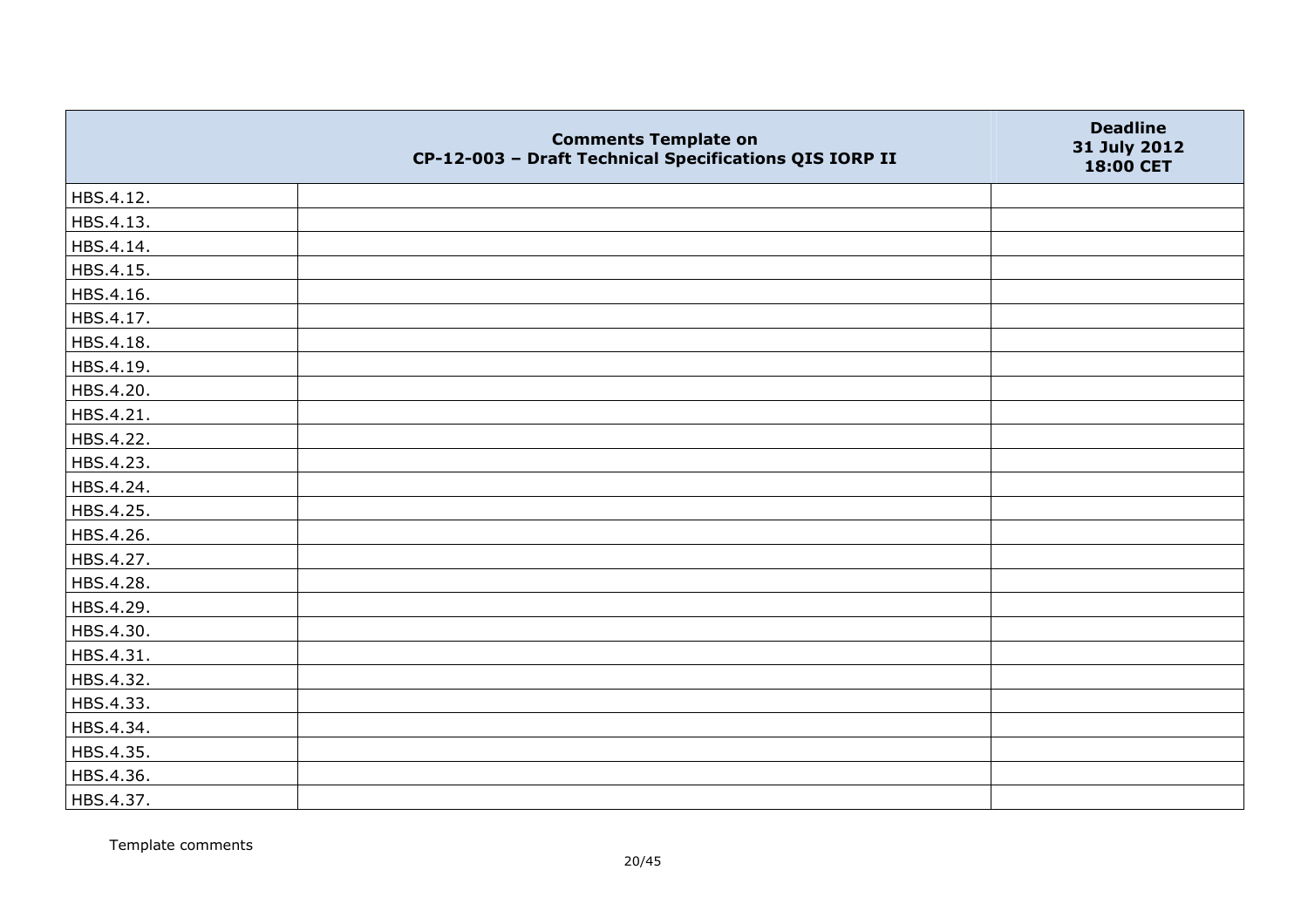|           | <b>Comments Template on</b><br>CP-12-003 - Draft Technical Specifications QIS IORP II | <b>Deadline</b><br>31 July 2012<br>18:00 CET |
|-----------|---------------------------------------------------------------------------------------|----------------------------------------------|
| HBS.4.12. |                                                                                       |                                              |
| HBS.4.13. |                                                                                       |                                              |
| HBS.4.14. |                                                                                       |                                              |
| HBS.4.15. |                                                                                       |                                              |
| HBS.4.16. |                                                                                       |                                              |
| HBS.4.17. |                                                                                       |                                              |
| HBS.4.18. |                                                                                       |                                              |
| HBS.4.19. |                                                                                       |                                              |
| HBS.4.20. |                                                                                       |                                              |
| HBS.4.21. |                                                                                       |                                              |
| HBS.4.22. |                                                                                       |                                              |
| HBS.4.23. |                                                                                       |                                              |
| HBS.4.24. |                                                                                       |                                              |
| HBS.4.25. |                                                                                       |                                              |
| HBS.4.26. |                                                                                       |                                              |
| HBS.4.27. |                                                                                       |                                              |
| HBS.4.28. |                                                                                       |                                              |
| HBS.4.29. |                                                                                       |                                              |
| HBS.4.30. |                                                                                       |                                              |
| HBS.4.31. |                                                                                       |                                              |
| HBS.4.32. |                                                                                       |                                              |
| HBS.4.33. |                                                                                       |                                              |
| HBS.4.34. |                                                                                       |                                              |
| HBS.4.35. |                                                                                       |                                              |
| HBS.4.36. |                                                                                       |                                              |
| HBS.4.37. |                                                                                       |                                              |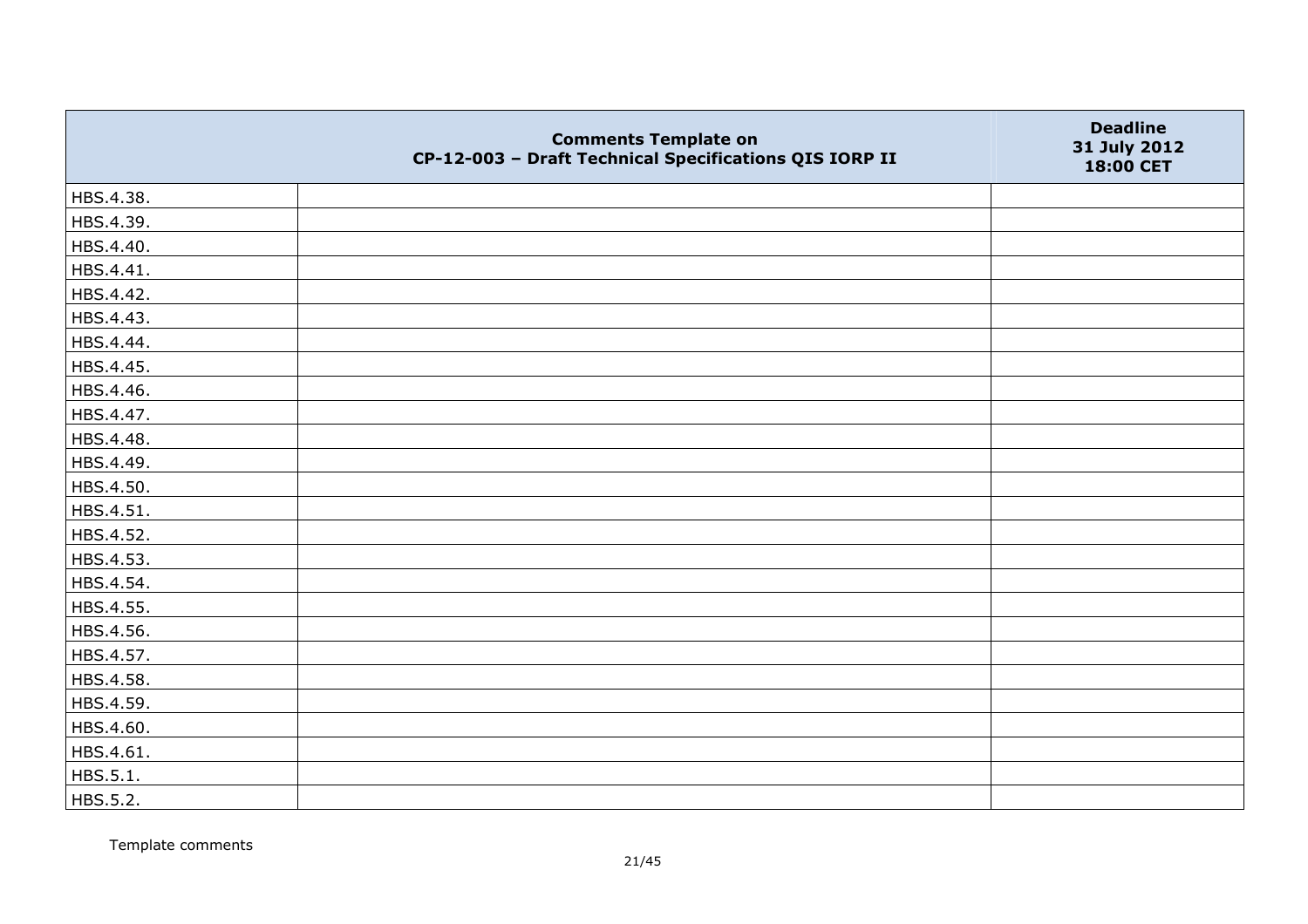|           | <b>Comments Template on</b><br>CP-12-003 - Draft Technical Specifications QIS IORP II | <b>Deadline</b><br>31 July 2012<br>18:00 CET |
|-----------|---------------------------------------------------------------------------------------|----------------------------------------------|
| HBS.4.38. |                                                                                       |                                              |
| HBS.4.39. |                                                                                       |                                              |
| HBS.4.40. |                                                                                       |                                              |
| HBS.4.41. |                                                                                       |                                              |
| HBS.4.42. |                                                                                       |                                              |
| HBS.4.43. |                                                                                       |                                              |
| HBS.4.44. |                                                                                       |                                              |
| HBS.4.45. |                                                                                       |                                              |
| HBS.4.46. |                                                                                       |                                              |
| HBS.4.47. |                                                                                       |                                              |
| HBS.4.48. |                                                                                       |                                              |
| HBS.4.49. |                                                                                       |                                              |
| HBS.4.50. |                                                                                       |                                              |
| HBS.4.51. |                                                                                       |                                              |
| HBS.4.52. |                                                                                       |                                              |
| HBS.4.53. |                                                                                       |                                              |
| HBS.4.54. |                                                                                       |                                              |
| HBS.4.55. |                                                                                       |                                              |
| HBS.4.56. |                                                                                       |                                              |
| HBS.4.57. |                                                                                       |                                              |
| HBS.4.58. |                                                                                       |                                              |
| HBS.4.59. |                                                                                       |                                              |
| HBS.4.60. |                                                                                       |                                              |
| HBS.4.61. |                                                                                       |                                              |
| HBS.5.1.  |                                                                                       |                                              |
| HBS.5.2.  |                                                                                       |                                              |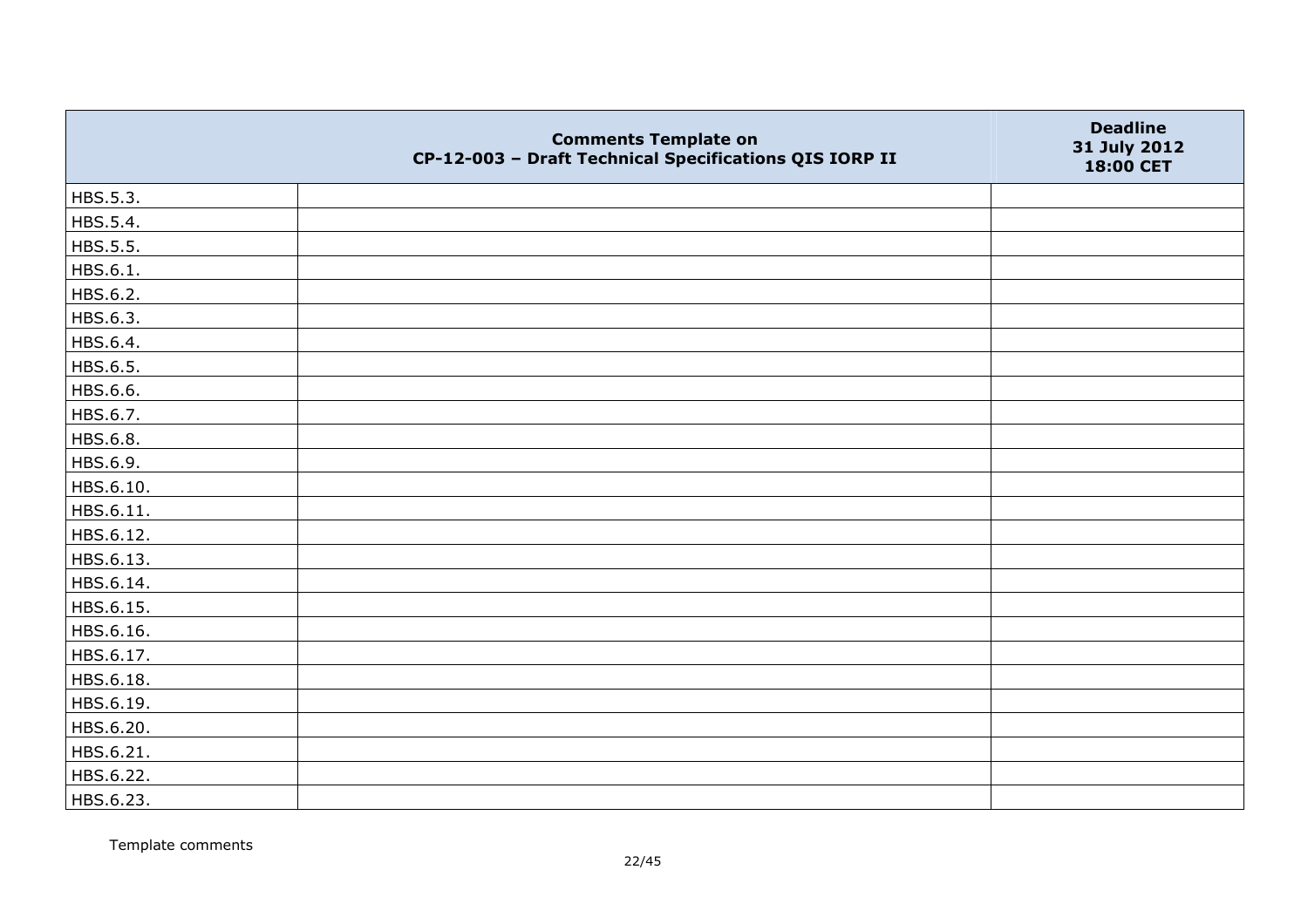|           | <b>Comments Template on</b><br>CP-12-003 - Draft Technical Specifications QIS IORP II | <b>Deadline</b><br>31 July 2012<br>18:00 CET |
|-----------|---------------------------------------------------------------------------------------|----------------------------------------------|
| HBS.5.3.  |                                                                                       |                                              |
| HBS.5.4.  |                                                                                       |                                              |
| HBS.5.5.  |                                                                                       |                                              |
| HBS.6.1.  |                                                                                       |                                              |
| HBS.6.2.  |                                                                                       |                                              |
| HBS.6.3.  |                                                                                       |                                              |
| HBS.6.4.  |                                                                                       |                                              |
| HBS.6.5.  |                                                                                       |                                              |
| HBS.6.6.  |                                                                                       |                                              |
| HBS.6.7.  |                                                                                       |                                              |
| HBS.6.8.  |                                                                                       |                                              |
| HBS.6.9.  |                                                                                       |                                              |
| HBS.6.10. |                                                                                       |                                              |
| HBS.6.11. |                                                                                       |                                              |
| HBS.6.12. |                                                                                       |                                              |
| HBS.6.13. |                                                                                       |                                              |
| HBS.6.14. |                                                                                       |                                              |
| HBS.6.15. |                                                                                       |                                              |
| HBS.6.16. |                                                                                       |                                              |
| HBS.6.17. |                                                                                       |                                              |
| HBS.6.18. |                                                                                       |                                              |
| HBS.6.19. |                                                                                       |                                              |
| HBS.6.20. |                                                                                       |                                              |
| HBS.6.21. |                                                                                       |                                              |
| HBS.6.22. |                                                                                       |                                              |
| HBS.6.23. |                                                                                       |                                              |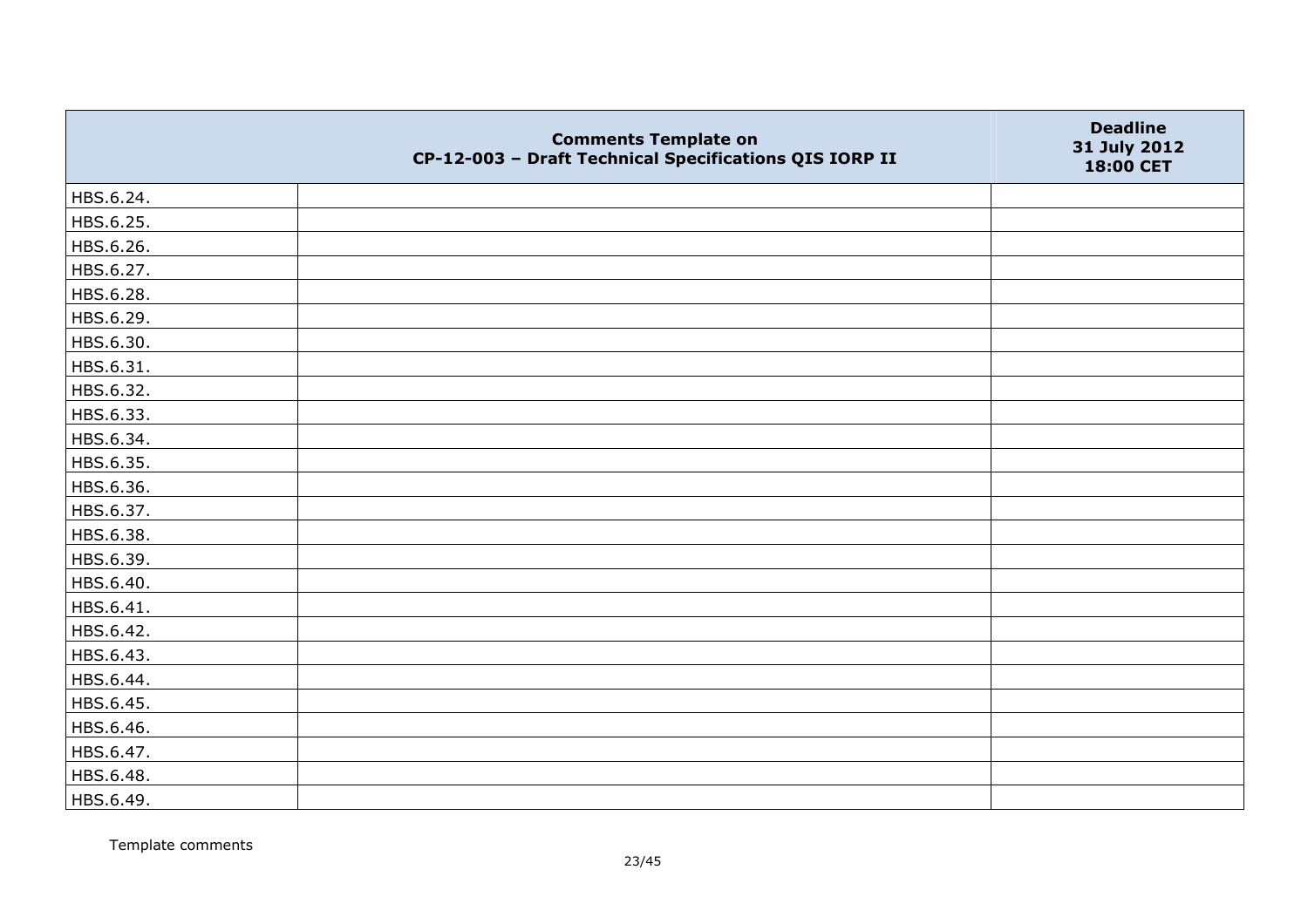|           | <b>Comments Template on</b><br>CP-12-003 - Draft Technical Specifications QIS IORP II | <b>Deadline</b><br>31 July 2012<br>18:00 CET |
|-----------|---------------------------------------------------------------------------------------|----------------------------------------------|
| HBS.6.24. |                                                                                       |                                              |
| HBS.6.25. |                                                                                       |                                              |
| HBS.6.26. |                                                                                       |                                              |
| HBS.6.27. |                                                                                       |                                              |
| HBS.6.28. |                                                                                       |                                              |
| HBS.6.29. |                                                                                       |                                              |
| HBS.6.30. |                                                                                       |                                              |
| HBS.6.31. |                                                                                       |                                              |
| HBS.6.32. |                                                                                       |                                              |
| HBS.6.33. |                                                                                       |                                              |
| HBS.6.34. |                                                                                       |                                              |
| HBS.6.35. |                                                                                       |                                              |
| HBS.6.36. |                                                                                       |                                              |
| HBS.6.37. |                                                                                       |                                              |
| HBS.6.38. |                                                                                       |                                              |
| HBS.6.39. |                                                                                       |                                              |
| HBS.6.40. |                                                                                       |                                              |
| HBS.6.41. |                                                                                       |                                              |
| HBS.6.42. |                                                                                       |                                              |
| HBS.6.43. |                                                                                       |                                              |
| HBS.6.44. |                                                                                       |                                              |
| HBS.6.45. |                                                                                       |                                              |
| HBS.6.46. |                                                                                       |                                              |
| HBS.6.47. |                                                                                       |                                              |
| HBS.6.48. |                                                                                       |                                              |
| HBS.6.49. |                                                                                       |                                              |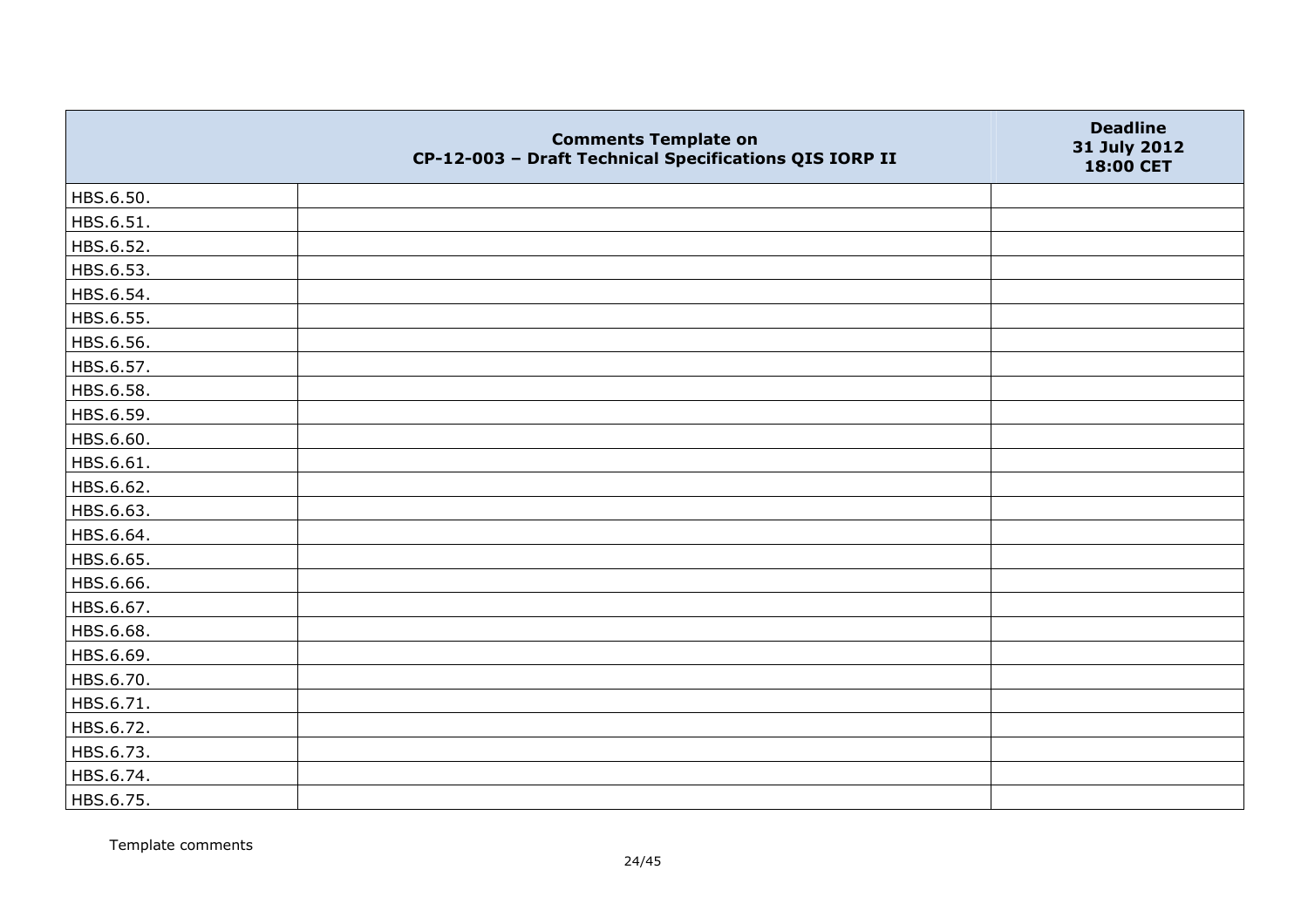|           | <b>Comments Template on</b><br>CP-12-003 - Draft Technical Specifications QIS IORP II | <b>Deadline</b><br>31 July 2012<br>18:00 CET |
|-----------|---------------------------------------------------------------------------------------|----------------------------------------------|
| HBS.6.50. |                                                                                       |                                              |
| HBS.6.51. |                                                                                       |                                              |
| HBS.6.52. |                                                                                       |                                              |
| HBS.6.53. |                                                                                       |                                              |
| HBS.6.54. |                                                                                       |                                              |
| HBS.6.55. |                                                                                       |                                              |
| HBS.6.56. |                                                                                       |                                              |
| HBS.6.57. |                                                                                       |                                              |
| HBS.6.58. |                                                                                       |                                              |
| HBS.6.59. |                                                                                       |                                              |
| HBS.6.60. |                                                                                       |                                              |
| HBS.6.61. |                                                                                       |                                              |
| HBS.6.62. |                                                                                       |                                              |
| HBS.6.63. |                                                                                       |                                              |
| HBS.6.64. |                                                                                       |                                              |
| HBS.6.65. |                                                                                       |                                              |
| HBS.6.66. |                                                                                       |                                              |
| HBS.6.67. |                                                                                       |                                              |
| HBS.6.68. |                                                                                       |                                              |
| HBS.6.69. |                                                                                       |                                              |
| HBS.6.70. |                                                                                       |                                              |
| HBS.6.71. |                                                                                       |                                              |
| HBS.6.72. |                                                                                       |                                              |
| HBS.6.73. |                                                                                       |                                              |
| HBS.6.74. |                                                                                       |                                              |
| HBS.6.75. |                                                                                       |                                              |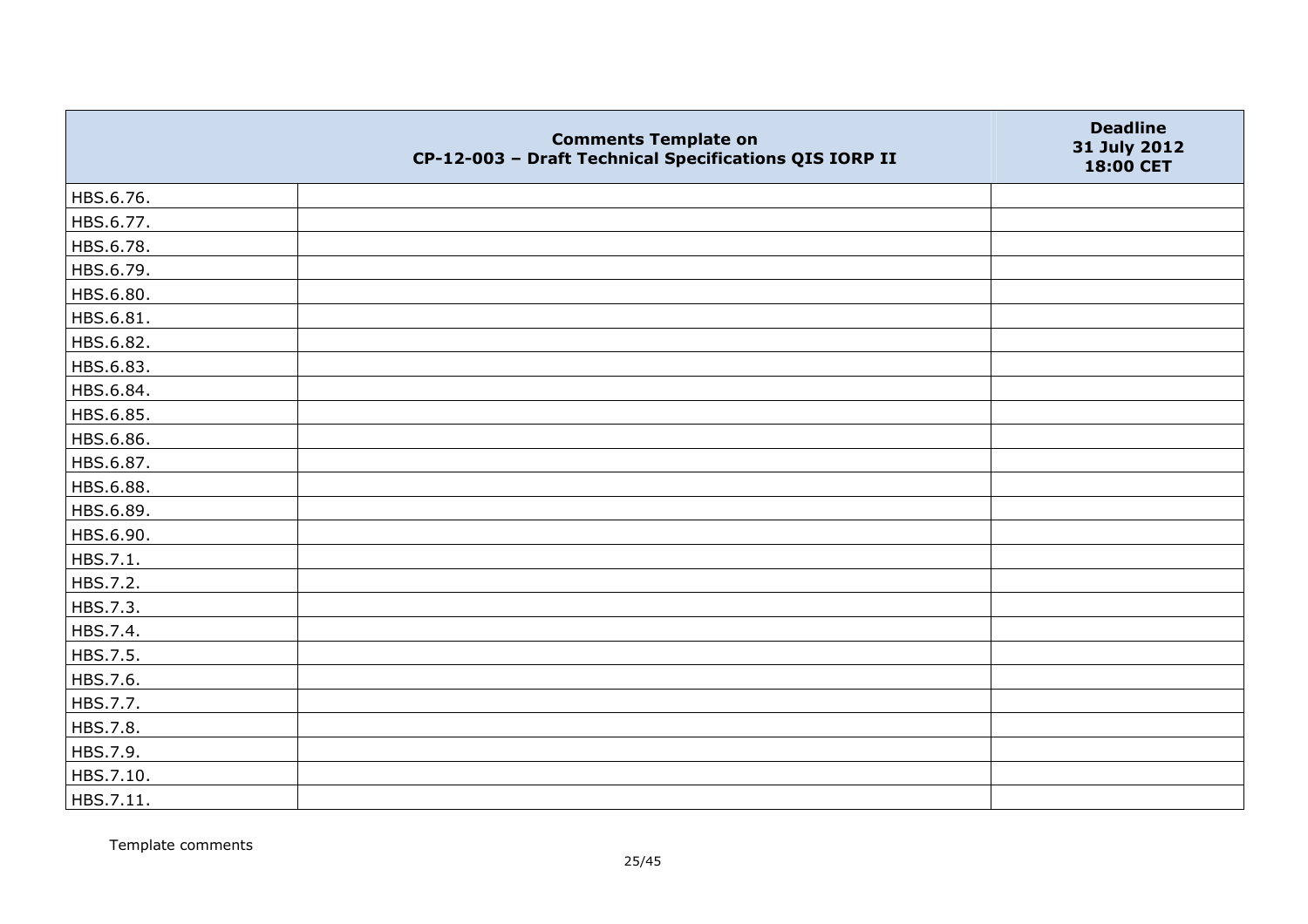|           | <b>Comments Template on</b><br>CP-12-003 - Draft Technical Specifications QIS IORP II | <b>Deadline</b><br>31 July 2012<br>18:00 CET |
|-----------|---------------------------------------------------------------------------------------|----------------------------------------------|
| HBS.6.76. |                                                                                       |                                              |
| HBS.6.77. |                                                                                       |                                              |
| HBS.6.78. |                                                                                       |                                              |
| HBS.6.79. |                                                                                       |                                              |
| HBS.6.80. |                                                                                       |                                              |
| HBS.6.81. |                                                                                       |                                              |
| HBS.6.82. |                                                                                       |                                              |
| HBS.6.83. |                                                                                       |                                              |
| HBS.6.84. |                                                                                       |                                              |
| HBS.6.85. |                                                                                       |                                              |
| HBS.6.86. |                                                                                       |                                              |
| HBS.6.87. |                                                                                       |                                              |
| HBS.6.88. |                                                                                       |                                              |
| HBS.6.89. |                                                                                       |                                              |
| HBS.6.90. |                                                                                       |                                              |
| HBS.7.1.  |                                                                                       |                                              |
| HBS.7.2.  |                                                                                       |                                              |
| HBS.7.3.  |                                                                                       |                                              |
| HBS.7.4.  |                                                                                       |                                              |
| HBS.7.5.  |                                                                                       |                                              |
| HBS.7.6.  |                                                                                       |                                              |
| HBS.7.7.  |                                                                                       |                                              |
| HBS.7.8.  |                                                                                       |                                              |
| HBS.7.9.  |                                                                                       |                                              |
| HBS.7.10. |                                                                                       |                                              |
| HBS.7.11. |                                                                                       |                                              |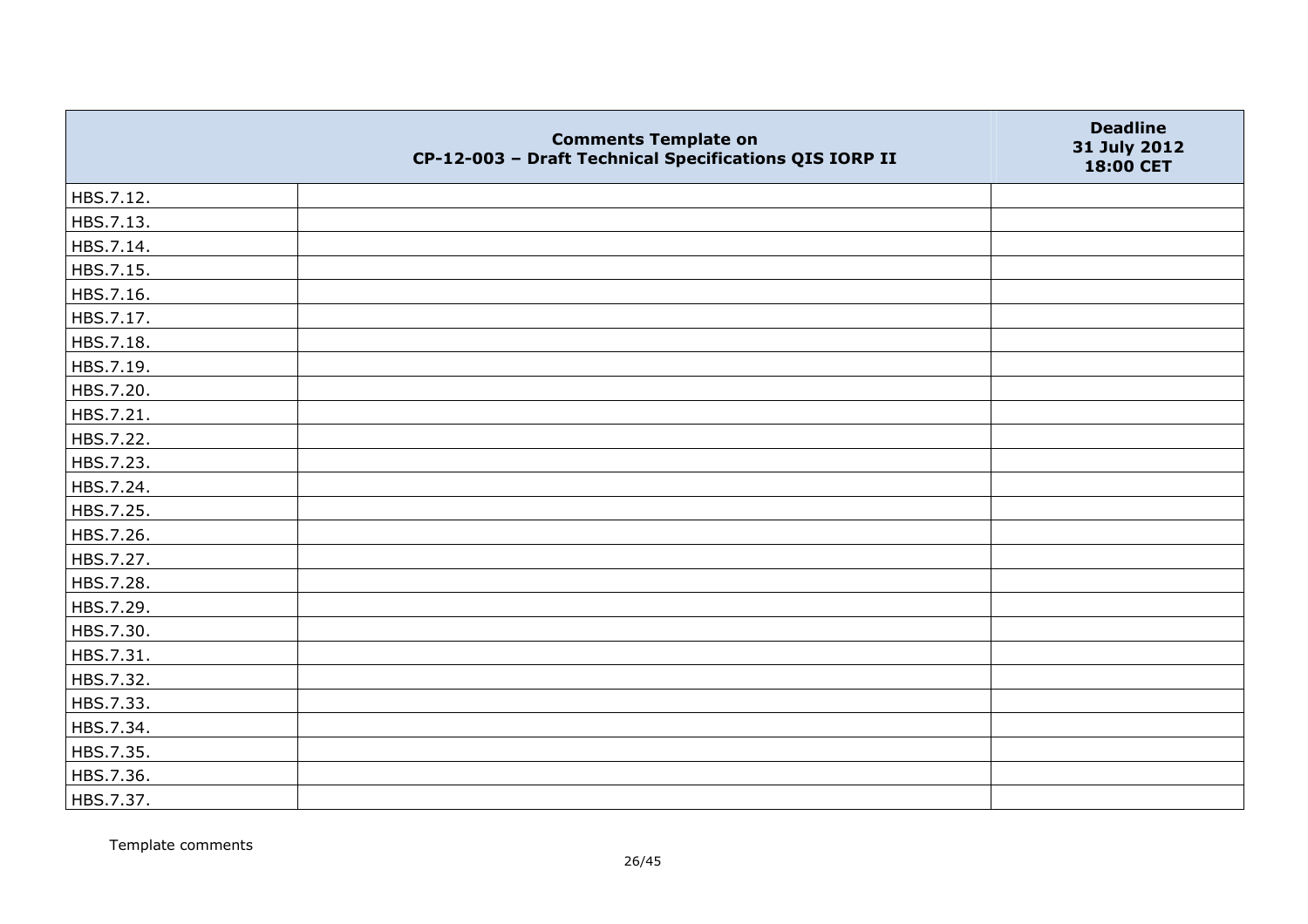|           | <b>Comments Template on</b><br>CP-12-003 - Draft Technical Specifications QIS IORP II | <b>Deadline</b><br>31 July 2012<br>18:00 CET |
|-----------|---------------------------------------------------------------------------------------|----------------------------------------------|
| HBS.7.12. |                                                                                       |                                              |
| HBS.7.13. |                                                                                       |                                              |
| HBS.7.14. |                                                                                       |                                              |
| HBS.7.15. |                                                                                       |                                              |
| HBS.7.16. |                                                                                       |                                              |
| HBS.7.17. |                                                                                       |                                              |
| HBS.7.18. |                                                                                       |                                              |
| HBS.7.19. |                                                                                       |                                              |
| HBS.7.20. |                                                                                       |                                              |
| HBS.7.21. |                                                                                       |                                              |
| HBS.7.22. |                                                                                       |                                              |
| HBS.7.23. |                                                                                       |                                              |
| HBS.7.24. |                                                                                       |                                              |
| HBS.7.25. |                                                                                       |                                              |
| HBS.7.26. |                                                                                       |                                              |
| HBS.7.27. |                                                                                       |                                              |
| HBS.7.28. |                                                                                       |                                              |
| HBS.7.29. |                                                                                       |                                              |
| HBS.7.30. |                                                                                       |                                              |
| HBS.7.31. |                                                                                       |                                              |
| HBS.7.32. |                                                                                       |                                              |
| HBS.7.33. |                                                                                       |                                              |
| HBS.7.34. |                                                                                       |                                              |
| HBS.7.35. |                                                                                       |                                              |
| HBS.7.36. |                                                                                       |                                              |
| HBS.7.37. |                                                                                       |                                              |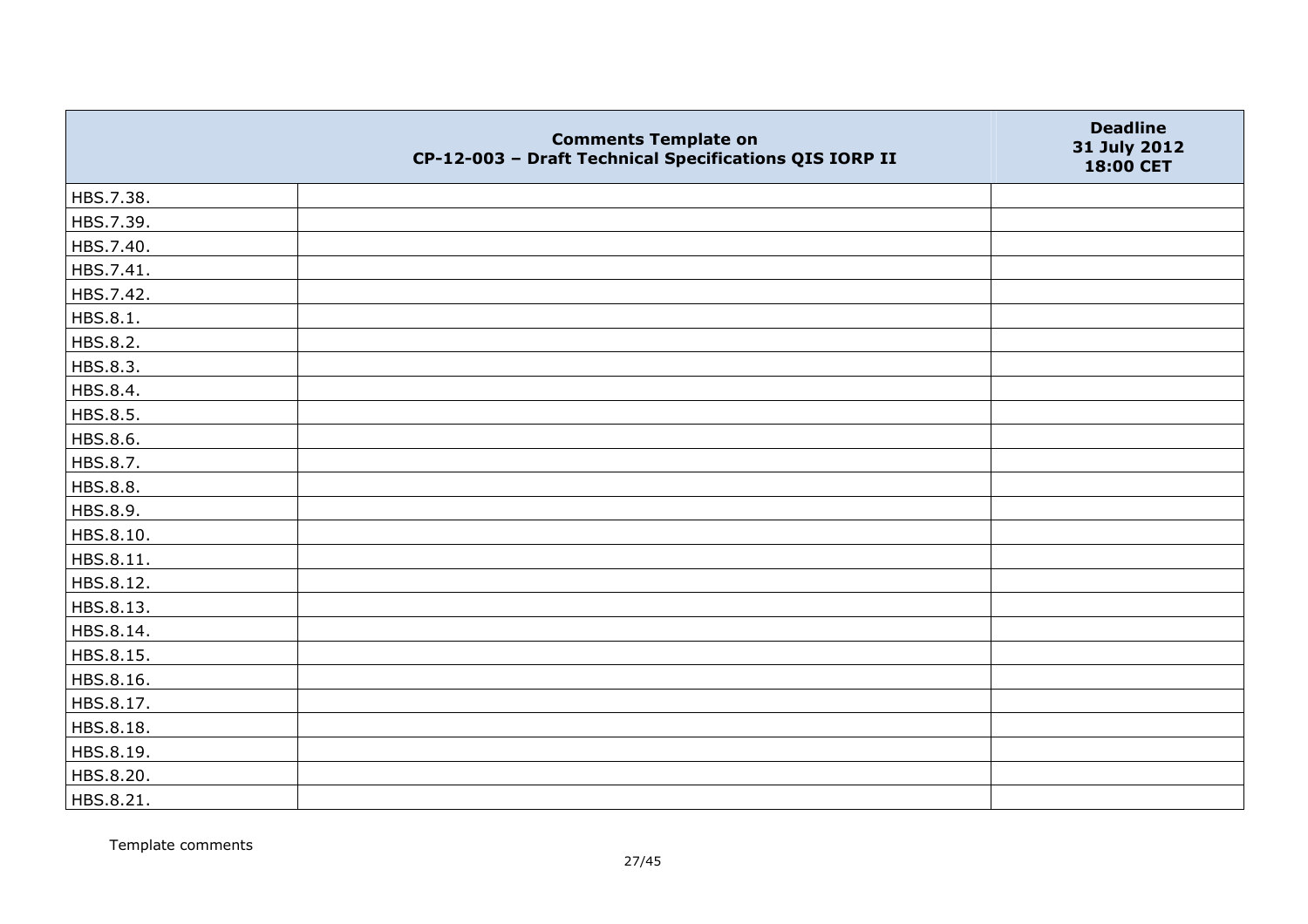|           | <b>Comments Template on</b><br>CP-12-003 - Draft Technical Specifications QIS IORP II | <b>Deadline</b><br>31 July 2012<br>18:00 CET |
|-----------|---------------------------------------------------------------------------------------|----------------------------------------------|
| HBS.7.38. |                                                                                       |                                              |
| HBS.7.39. |                                                                                       |                                              |
| HBS.7.40. |                                                                                       |                                              |
| HBS.7.41. |                                                                                       |                                              |
| HBS.7.42. |                                                                                       |                                              |
| HBS.8.1.  |                                                                                       |                                              |
| HBS.8.2.  |                                                                                       |                                              |
| HBS.8.3.  |                                                                                       |                                              |
| HBS.8.4.  |                                                                                       |                                              |
| HBS.8.5.  |                                                                                       |                                              |
| HBS.8.6.  |                                                                                       |                                              |
| HBS.8.7.  |                                                                                       |                                              |
| HBS.8.8.  |                                                                                       |                                              |
| HBS.8.9.  |                                                                                       |                                              |
| HBS.8.10. |                                                                                       |                                              |
| HBS.8.11. |                                                                                       |                                              |
| HBS.8.12. |                                                                                       |                                              |
| HBS.8.13. |                                                                                       |                                              |
| HBS.8.14. |                                                                                       |                                              |
| HBS.8.15. |                                                                                       |                                              |
| HBS.8.16. |                                                                                       |                                              |
| HBS.8.17. |                                                                                       |                                              |
| HBS.8.18. |                                                                                       |                                              |
| HBS.8.19. |                                                                                       |                                              |
| HBS.8.20. |                                                                                       |                                              |
| HBS.8.21. |                                                                                       |                                              |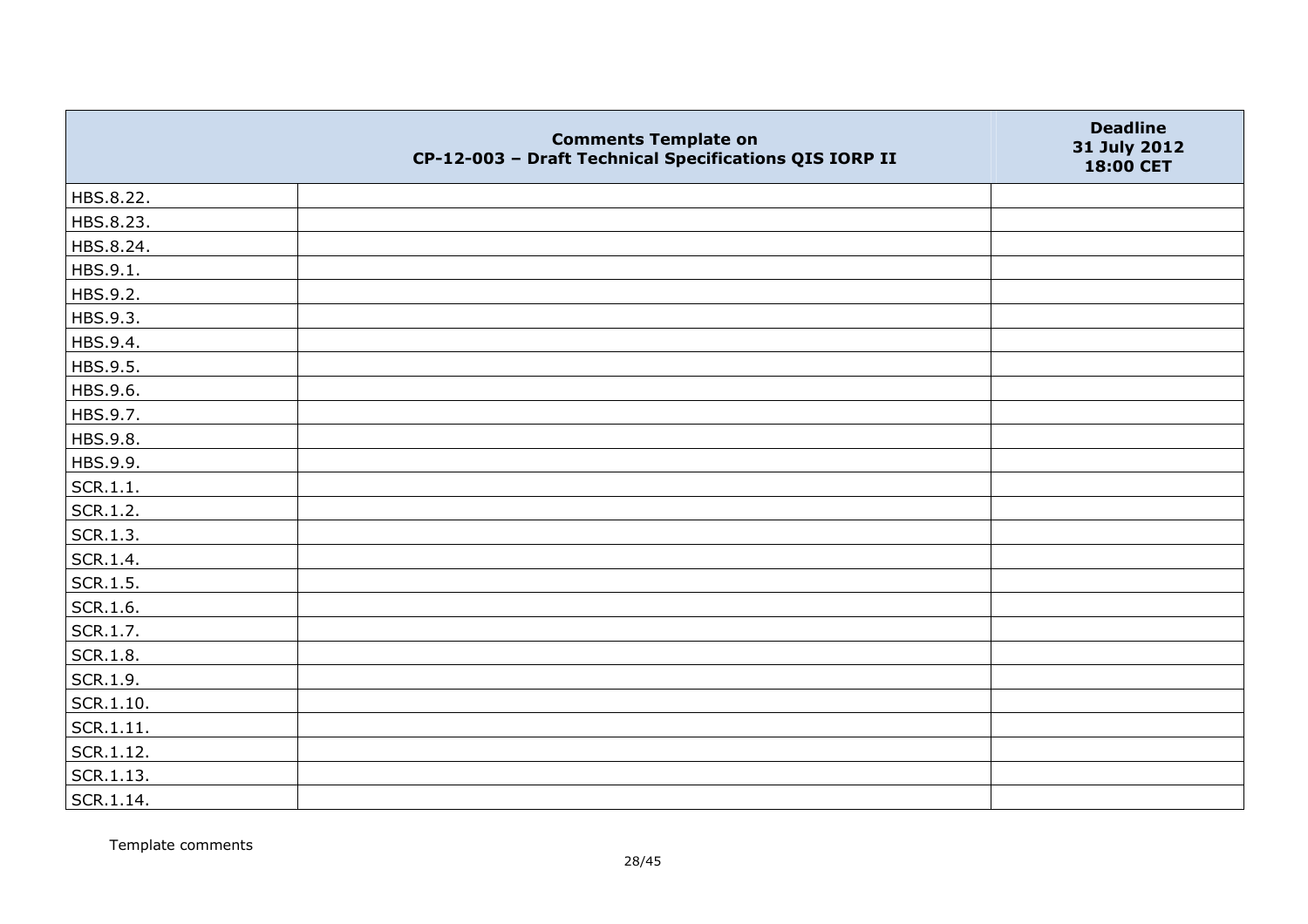|           | <b>Comments Template on</b><br>CP-12-003 - Draft Technical Specifications QIS IORP II | <b>Deadline</b><br>31 July 2012<br>18:00 CET |
|-----------|---------------------------------------------------------------------------------------|----------------------------------------------|
| HBS.8.22. |                                                                                       |                                              |
| HBS.8.23. |                                                                                       |                                              |
| HBS.8.24. |                                                                                       |                                              |
| HBS.9.1.  |                                                                                       |                                              |
| HBS.9.2.  |                                                                                       |                                              |
| HBS.9.3.  |                                                                                       |                                              |
| HBS.9.4.  |                                                                                       |                                              |
| HBS.9.5.  |                                                                                       |                                              |
| HBS.9.6.  |                                                                                       |                                              |
| HBS.9.7.  |                                                                                       |                                              |
| HBS.9.8.  |                                                                                       |                                              |
| HBS.9.9.  |                                                                                       |                                              |
| SCR.1.1.  |                                                                                       |                                              |
| SCR.1.2.  |                                                                                       |                                              |
| SCR.1.3.  |                                                                                       |                                              |
| SCR.1.4.  |                                                                                       |                                              |
| SCR.1.5.  |                                                                                       |                                              |
| SCR.1.6.  |                                                                                       |                                              |
| SCR.1.7.  |                                                                                       |                                              |
| SCR.1.8.  |                                                                                       |                                              |
| SCR.1.9.  |                                                                                       |                                              |
| SCR.1.10. |                                                                                       |                                              |
| SCR.1.11. |                                                                                       |                                              |
| SCR.1.12. |                                                                                       |                                              |
| SCR.1.13. |                                                                                       |                                              |
| SCR.1.14. |                                                                                       |                                              |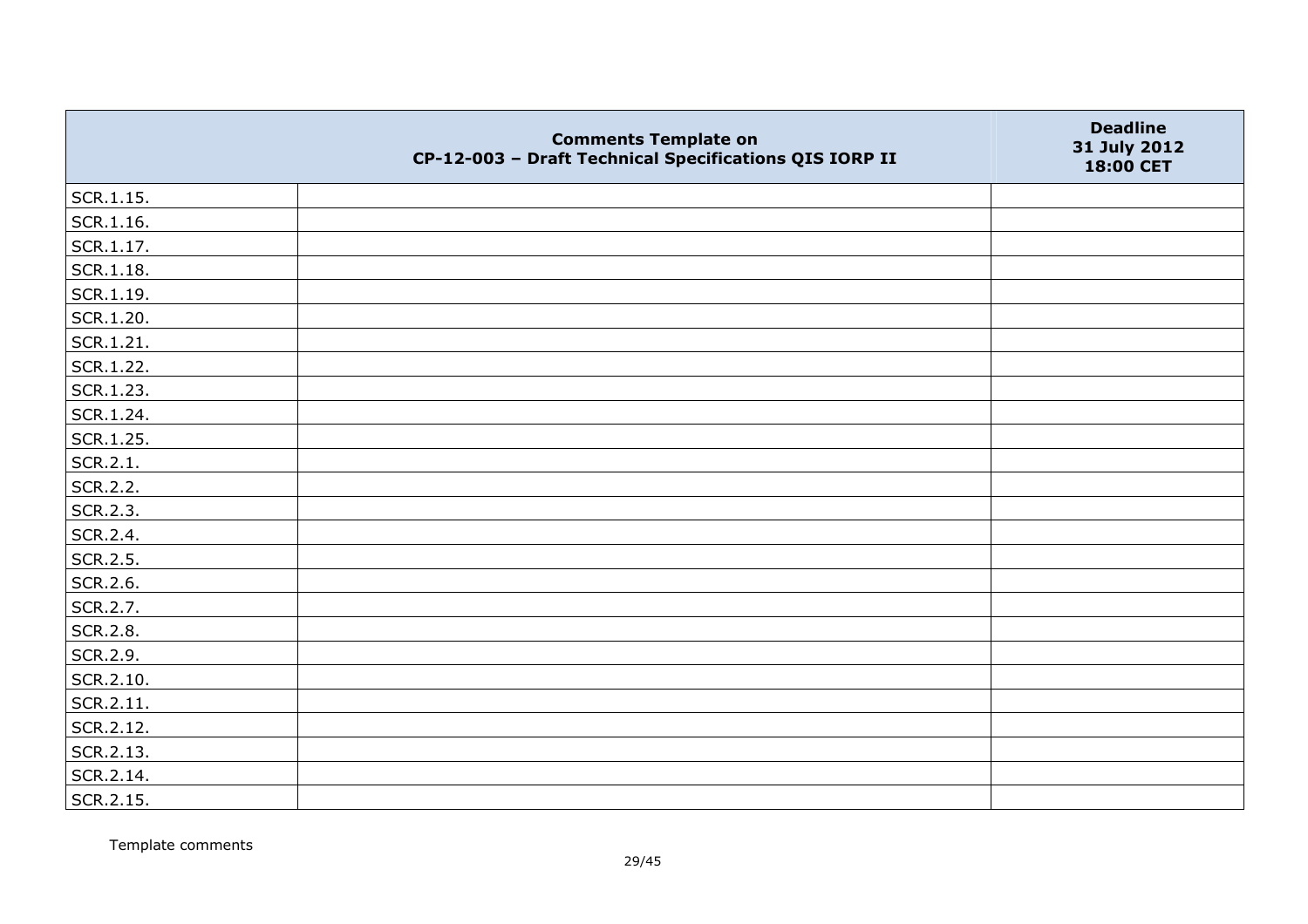|                   | <b>Comments Template on</b><br>CP-12-003 - Draft Technical Specifications QIS IORP II | <b>Deadline</b><br>31 July 2012<br>18:00 CET |
|-------------------|---------------------------------------------------------------------------------------|----------------------------------------------|
| SCR.1.15.         |                                                                                       |                                              |
| SCR.1.16.         |                                                                                       |                                              |
| SCR.1.17.         |                                                                                       |                                              |
| $\vert$ SCR.1.18. |                                                                                       |                                              |
| SCR.1.19.         |                                                                                       |                                              |
| SCR.1.20.         |                                                                                       |                                              |
| SCR.1.21.         |                                                                                       |                                              |
| SCR.1.22.         |                                                                                       |                                              |
| SCR.1.23.         |                                                                                       |                                              |
| SCR.1.24.         |                                                                                       |                                              |
| SCR.1.25.         |                                                                                       |                                              |
| SCR.2.1.          |                                                                                       |                                              |
| SCR.2.2.          |                                                                                       |                                              |
| SCR.2.3.          |                                                                                       |                                              |
| SCR.2.4.          |                                                                                       |                                              |
| SCR.2.5.          |                                                                                       |                                              |
| SCR.2.6.          |                                                                                       |                                              |
| SCR.2.7.          |                                                                                       |                                              |
| SCR.2.8.          |                                                                                       |                                              |
| SCR.2.9.          |                                                                                       |                                              |
| SCR.2.10.         |                                                                                       |                                              |
| SCR.2.11.         |                                                                                       |                                              |
| SCR.2.12.         |                                                                                       |                                              |
| SCR.2.13.         |                                                                                       |                                              |
| SCR.2.14.         |                                                                                       |                                              |
| SCR.2.15.         |                                                                                       |                                              |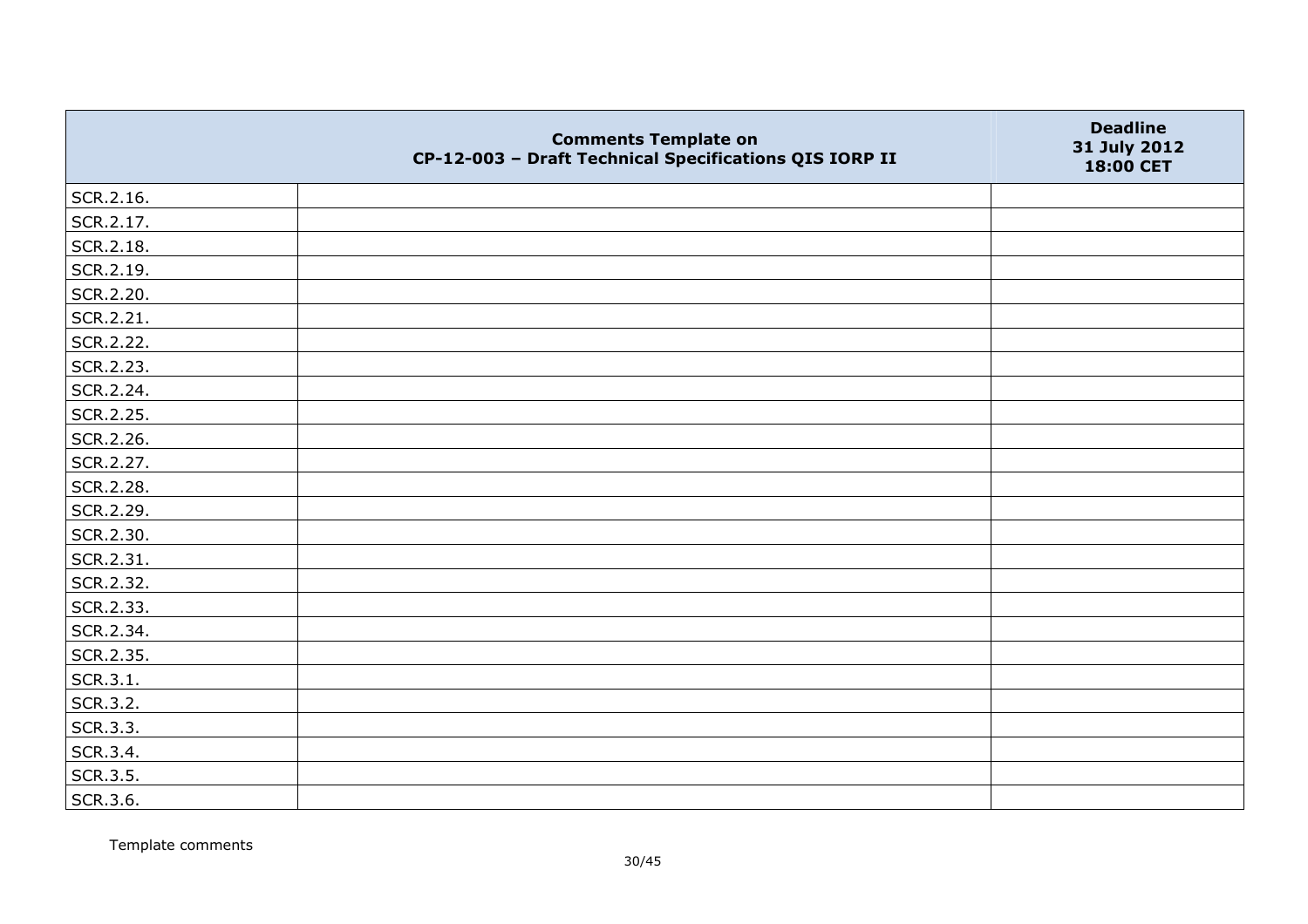|           | <b>Comments Template on</b><br>CP-12-003 - Draft Technical Specifications QIS IORP II | <b>Deadline</b><br>31 July 2012<br>18:00 CET |
|-----------|---------------------------------------------------------------------------------------|----------------------------------------------|
| SCR.2.16. |                                                                                       |                                              |
| SCR.2.17. |                                                                                       |                                              |
| SCR.2.18. |                                                                                       |                                              |
| SCR.2.19. |                                                                                       |                                              |
| SCR.2.20. |                                                                                       |                                              |
| SCR.2.21. |                                                                                       |                                              |
| SCR.2.22. |                                                                                       |                                              |
| SCR.2.23. |                                                                                       |                                              |
| SCR.2.24. |                                                                                       |                                              |
| SCR.2.25. |                                                                                       |                                              |
| SCR.2.26. |                                                                                       |                                              |
| SCR.2.27. |                                                                                       |                                              |
| SCR.2.28. |                                                                                       |                                              |
| SCR.2.29. |                                                                                       |                                              |
| SCR.2.30. |                                                                                       |                                              |
| SCR.2.31. |                                                                                       |                                              |
| SCR.2.32. |                                                                                       |                                              |
| SCR.2.33. |                                                                                       |                                              |
| SCR.2.34. |                                                                                       |                                              |
| SCR.2.35. |                                                                                       |                                              |
| SCR.3.1.  |                                                                                       |                                              |
| SCR.3.2.  |                                                                                       |                                              |
| SCR.3.3.  |                                                                                       |                                              |
| SCR.3.4.  |                                                                                       |                                              |
| SCR.3.5.  |                                                                                       |                                              |
| SCR.3.6.  |                                                                                       |                                              |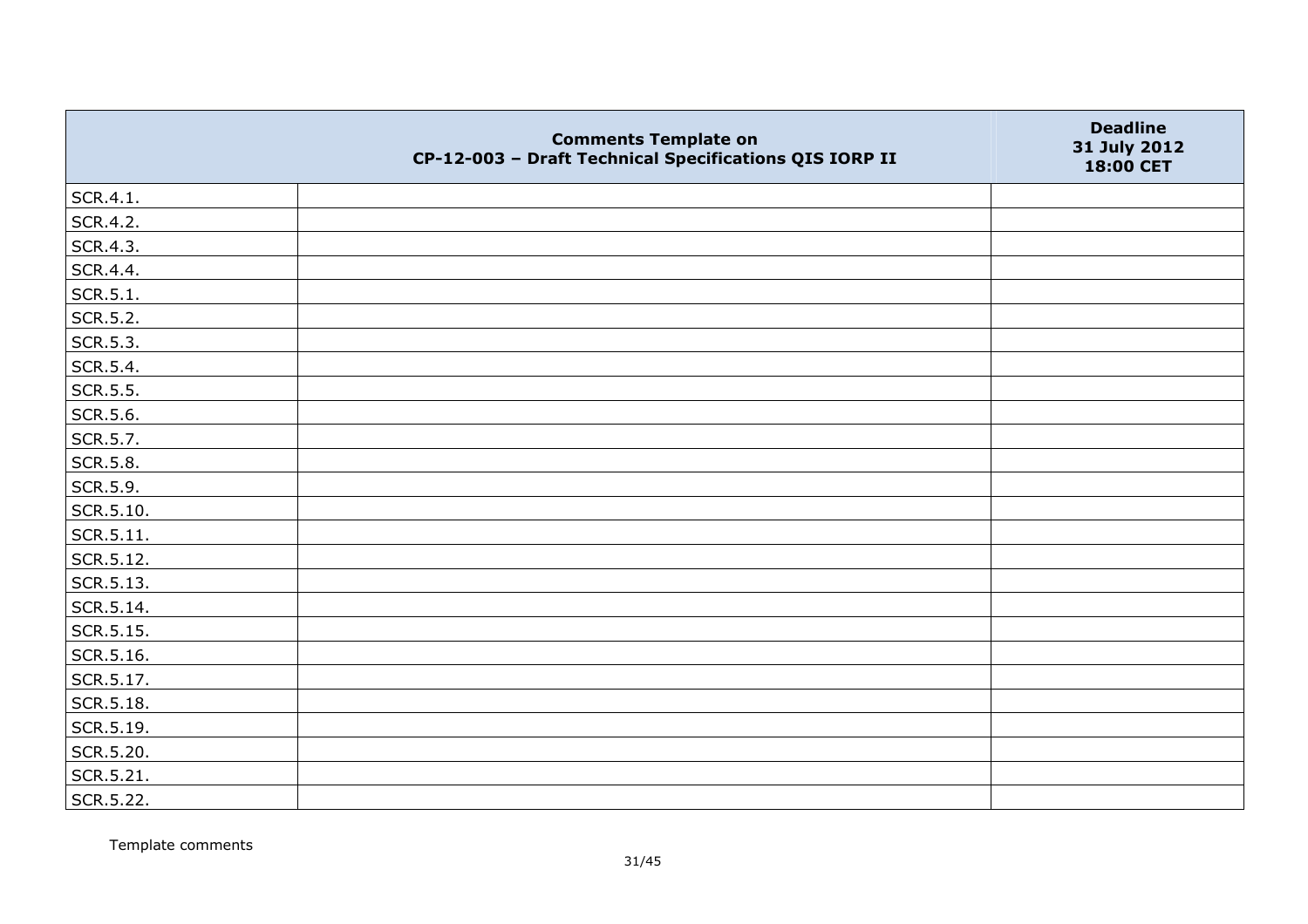|           | <b>Comments Template on</b><br>CP-12-003 - Draft Technical Specifications QIS IORP II | <b>Deadline</b><br>31 July 2012<br>18:00 CET |
|-----------|---------------------------------------------------------------------------------------|----------------------------------------------|
| SCR.4.1.  |                                                                                       |                                              |
| SCR.4.2.  |                                                                                       |                                              |
| SCR.4.3.  |                                                                                       |                                              |
| SCR.4.4.  |                                                                                       |                                              |
| SCR.5.1.  |                                                                                       |                                              |
| SCR.5.2.  |                                                                                       |                                              |
| SCR.5.3.  |                                                                                       |                                              |
| SCR.5.4.  |                                                                                       |                                              |
| SCR.5.5.  |                                                                                       |                                              |
| SCR.5.6.  |                                                                                       |                                              |
| SCR.5.7.  |                                                                                       |                                              |
| SCR.5.8.  |                                                                                       |                                              |
| SCR.5.9.  |                                                                                       |                                              |
| SCR.5.10. |                                                                                       |                                              |
| SCR.5.11. |                                                                                       |                                              |
| SCR.5.12. |                                                                                       |                                              |
| SCR.5.13. |                                                                                       |                                              |
| SCR.5.14. |                                                                                       |                                              |
| SCR.5.15. |                                                                                       |                                              |
| SCR.5.16. |                                                                                       |                                              |
| SCR.5.17. |                                                                                       |                                              |
| SCR.5.18. |                                                                                       |                                              |
| SCR.5.19. |                                                                                       |                                              |
| SCR.5.20. |                                                                                       |                                              |
| SCR.5.21. |                                                                                       |                                              |
| SCR.5.22. |                                                                                       |                                              |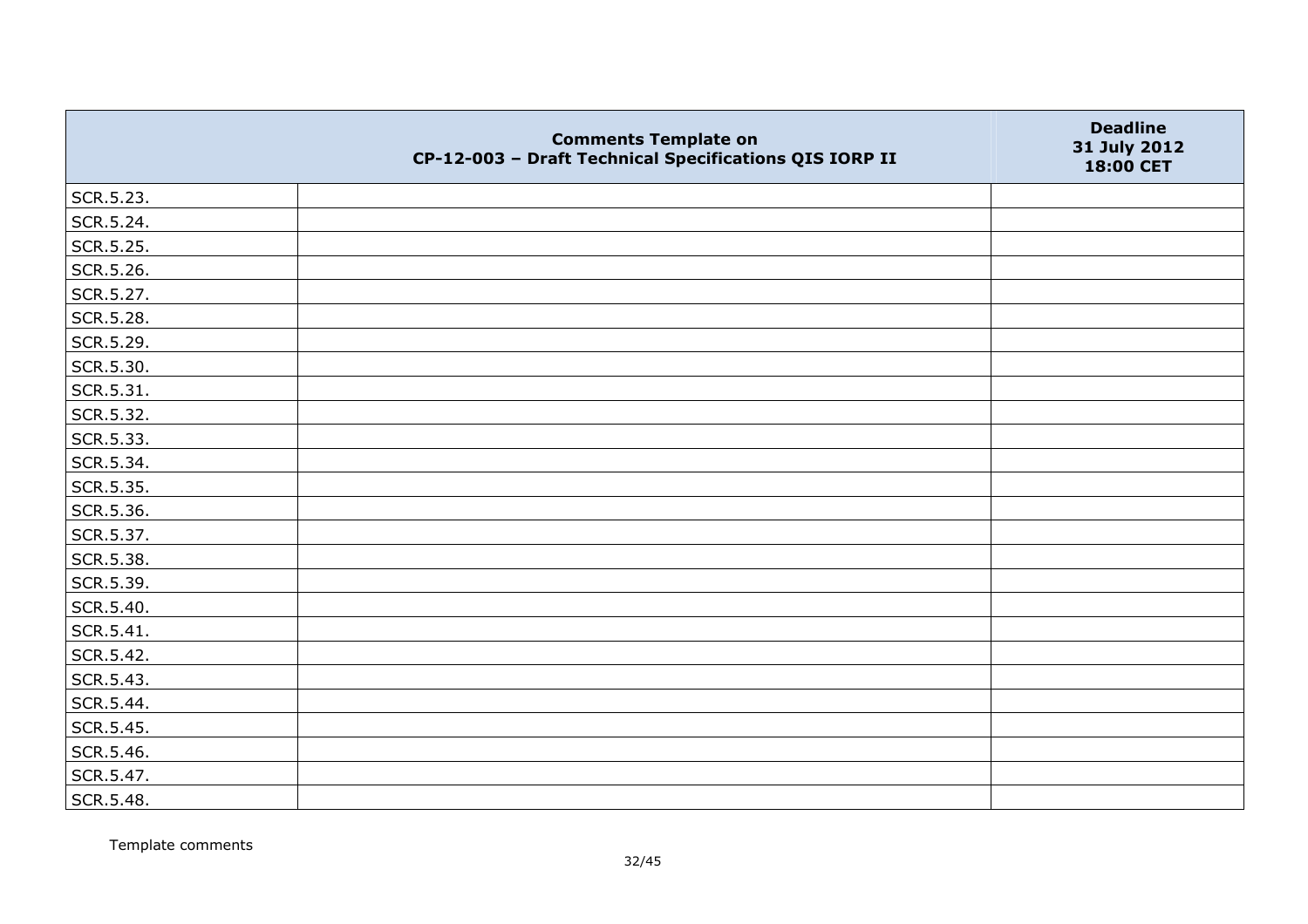|           | <b>Comments Template on</b><br>CP-12-003 - Draft Technical Specifications QIS IORP II | <b>Deadline</b><br>31 July 2012<br>18:00 CET |
|-----------|---------------------------------------------------------------------------------------|----------------------------------------------|
| SCR.5.23. |                                                                                       |                                              |
| SCR.5.24. |                                                                                       |                                              |
| SCR.5.25. |                                                                                       |                                              |
| SCR.5.26. |                                                                                       |                                              |
| SCR.5.27. |                                                                                       |                                              |
| SCR.5.28. |                                                                                       |                                              |
| SCR.5.29. |                                                                                       |                                              |
| SCR.5.30. |                                                                                       |                                              |
| SCR.5.31. |                                                                                       |                                              |
| SCR.5.32. |                                                                                       |                                              |
| SCR.5.33. |                                                                                       |                                              |
| SCR.5.34. |                                                                                       |                                              |
| SCR.5.35. |                                                                                       |                                              |
| SCR.5.36. |                                                                                       |                                              |
| SCR.5.37. |                                                                                       |                                              |
| SCR.5.38. |                                                                                       |                                              |
| SCR.5.39. |                                                                                       |                                              |
| SCR.5.40. |                                                                                       |                                              |
| SCR.5.41. |                                                                                       |                                              |
| SCR.5.42. |                                                                                       |                                              |
| SCR.5.43. |                                                                                       |                                              |
| SCR.5.44. |                                                                                       |                                              |
| SCR.5.45. |                                                                                       |                                              |
| SCR.5.46. |                                                                                       |                                              |
| SCR.5.47. |                                                                                       |                                              |
| SCR.5.48. |                                                                                       |                                              |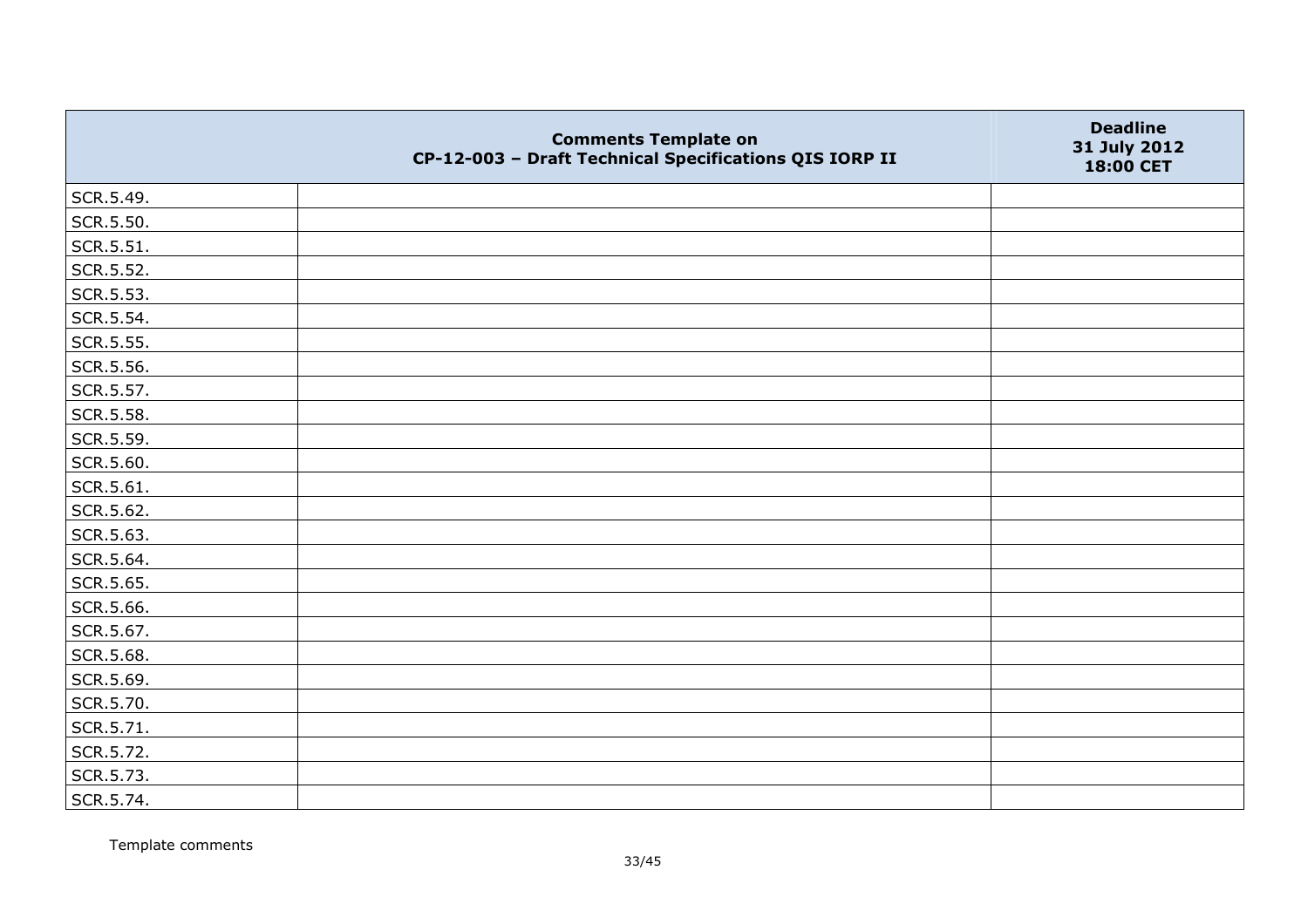|           | <b>Comments Template on</b><br>CP-12-003 - Draft Technical Specifications QIS IORP II | <b>Deadline</b><br>31 July 2012<br>18:00 CET |
|-----------|---------------------------------------------------------------------------------------|----------------------------------------------|
| SCR.5.49. |                                                                                       |                                              |
| SCR.5.50. |                                                                                       |                                              |
| SCR.5.51. |                                                                                       |                                              |
| SCR.5.52. |                                                                                       |                                              |
| SCR.5.53. |                                                                                       |                                              |
| SCR.5.54. |                                                                                       |                                              |
| SCR.5.55. |                                                                                       |                                              |
| SCR.5.56. |                                                                                       |                                              |
| SCR.5.57. |                                                                                       |                                              |
| SCR.5.58. |                                                                                       |                                              |
| SCR.5.59. |                                                                                       |                                              |
| SCR.5.60. |                                                                                       |                                              |
| SCR.5.61. |                                                                                       |                                              |
| SCR.5.62. |                                                                                       |                                              |
| SCR.5.63. |                                                                                       |                                              |
| SCR.5.64. |                                                                                       |                                              |
| SCR.5.65. |                                                                                       |                                              |
| SCR.5.66. |                                                                                       |                                              |
| SCR.5.67. |                                                                                       |                                              |
| SCR.5.68. |                                                                                       |                                              |
| SCR.5.69. |                                                                                       |                                              |
| SCR.5.70. |                                                                                       |                                              |
| SCR.5.71. |                                                                                       |                                              |
| SCR.5.72. |                                                                                       |                                              |
| SCR.5.73. |                                                                                       |                                              |
| SCR.5.74. |                                                                                       |                                              |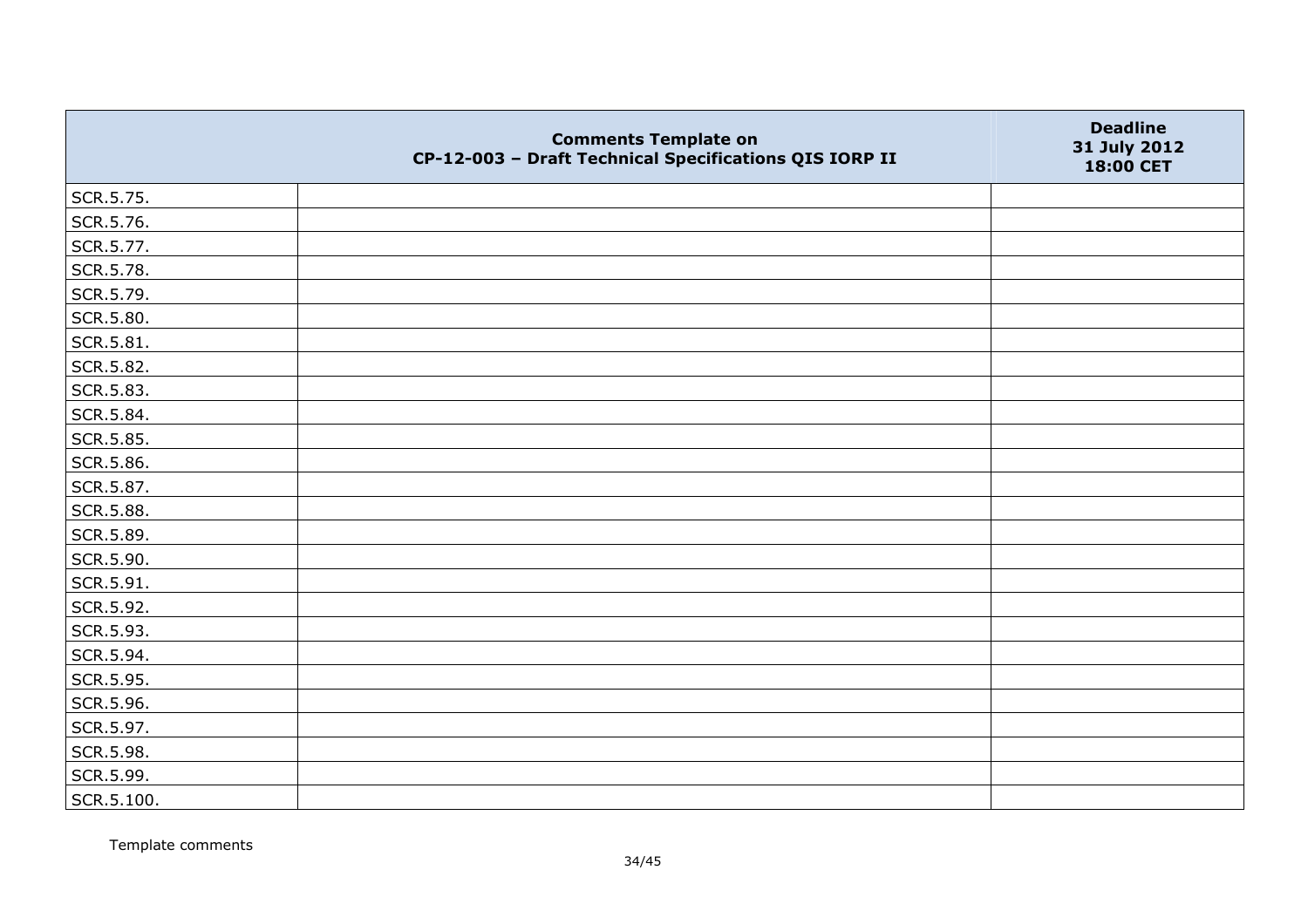|            | <b>Comments Template on</b><br>CP-12-003 - Draft Technical Specifications QIS IORP II | <b>Deadline</b><br>31 July 2012<br>18:00 CET |
|------------|---------------------------------------------------------------------------------------|----------------------------------------------|
| SCR.5.75.  |                                                                                       |                                              |
| SCR.5.76.  |                                                                                       |                                              |
| SCR.5.77.  |                                                                                       |                                              |
| SCR.5.78.  |                                                                                       |                                              |
| SCR.5.79.  |                                                                                       |                                              |
| SCR.5.80.  |                                                                                       |                                              |
| SCR.5.81.  |                                                                                       |                                              |
| SCR.5.82.  |                                                                                       |                                              |
| SCR.5.83.  |                                                                                       |                                              |
| SCR.5.84.  |                                                                                       |                                              |
| SCR.5.85.  |                                                                                       |                                              |
| SCR.5.86.  |                                                                                       |                                              |
| SCR.5.87.  |                                                                                       |                                              |
| SCR.5.88.  |                                                                                       |                                              |
| SCR.5.89.  |                                                                                       |                                              |
| SCR.5.90.  |                                                                                       |                                              |
| SCR.5.91.  |                                                                                       |                                              |
| SCR.5.92.  |                                                                                       |                                              |
| SCR.5.93.  |                                                                                       |                                              |
| SCR.5.94.  |                                                                                       |                                              |
| SCR.5.95.  |                                                                                       |                                              |
| SCR.5.96.  |                                                                                       |                                              |
| SCR.5.97.  |                                                                                       |                                              |
| SCR.5.98.  |                                                                                       |                                              |
| SCR.5.99.  |                                                                                       |                                              |
| SCR.5.100. |                                                                                       |                                              |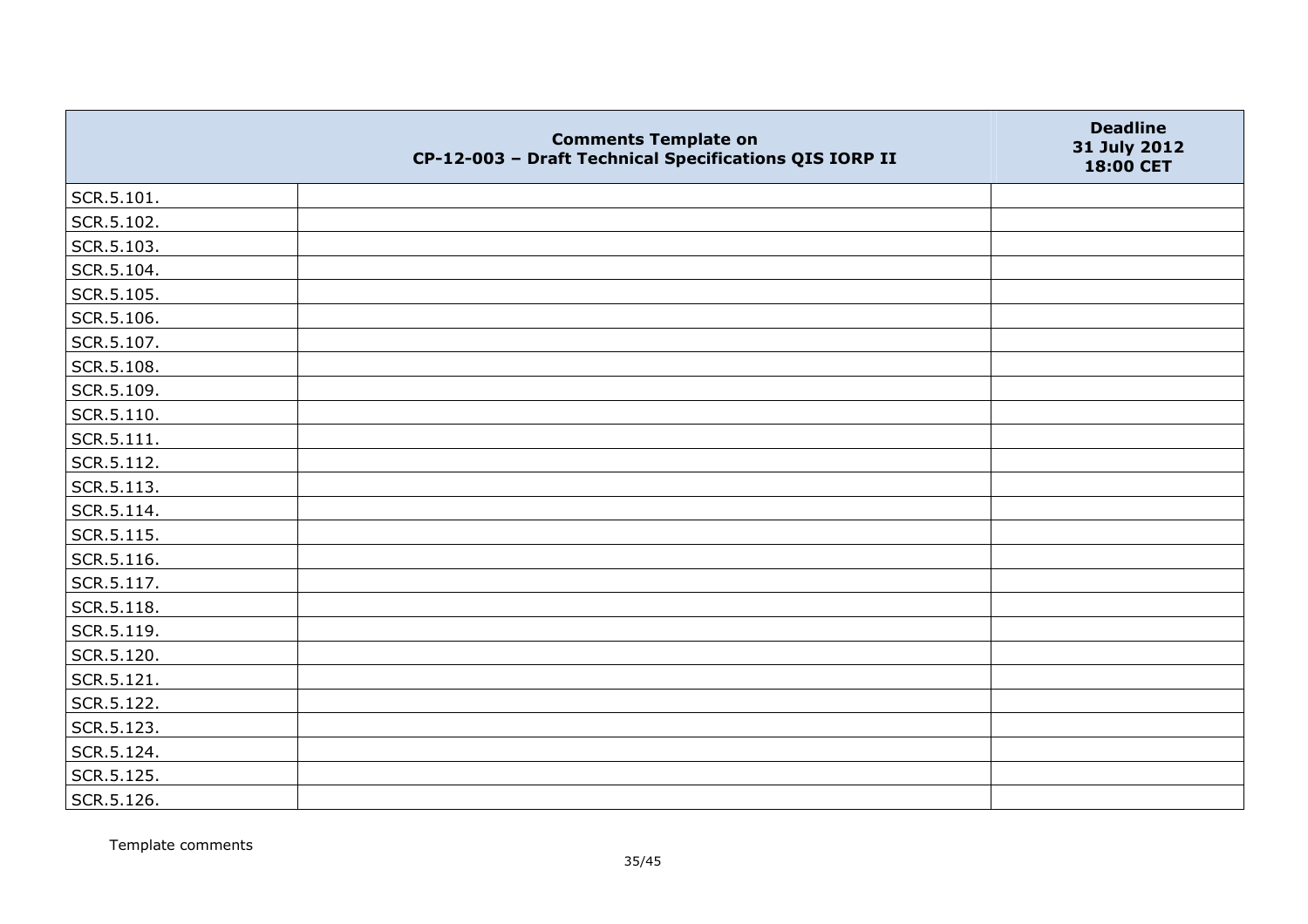|                | <b>Comments Template on</b><br>CP-12-003 - Draft Technical Specifications QIS IORP II | <b>Deadline</b><br>31 July 2012<br>18:00 CET |
|----------------|---------------------------------------------------------------------------------------|----------------------------------------------|
| SCR.5.101.     |                                                                                       |                                              |
| SCR.5.102.     |                                                                                       |                                              |
| SCR.5.103.     |                                                                                       |                                              |
| SCR.5.104.     |                                                                                       |                                              |
| SCR.5.105.     |                                                                                       |                                              |
| SCR.5.106.     |                                                                                       |                                              |
| SCR.5.107.     |                                                                                       |                                              |
| SCR.5.108.     |                                                                                       |                                              |
| SCR.5.109.     |                                                                                       |                                              |
| SCR.5.110.     |                                                                                       |                                              |
| $ $ SCR.5.111. |                                                                                       |                                              |
| SCR.5.112.     |                                                                                       |                                              |
| SCR.5.113.     |                                                                                       |                                              |
| SCR.5.114.     |                                                                                       |                                              |
| SCR.5.115.     |                                                                                       |                                              |
| SCR.5.116.     |                                                                                       |                                              |
| SCR.5.117.     |                                                                                       |                                              |
| SCR.5.118.     |                                                                                       |                                              |
| SCR.5.119.     |                                                                                       |                                              |
| SCR.5.120.     |                                                                                       |                                              |
| SCR.5.121.     |                                                                                       |                                              |
| SCR.5.122.     |                                                                                       |                                              |
| SCR.5.123.     |                                                                                       |                                              |
| SCR.5.124.     |                                                                                       |                                              |
| SCR.5.125.     |                                                                                       |                                              |
| SCR.5.126.     |                                                                                       |                                              |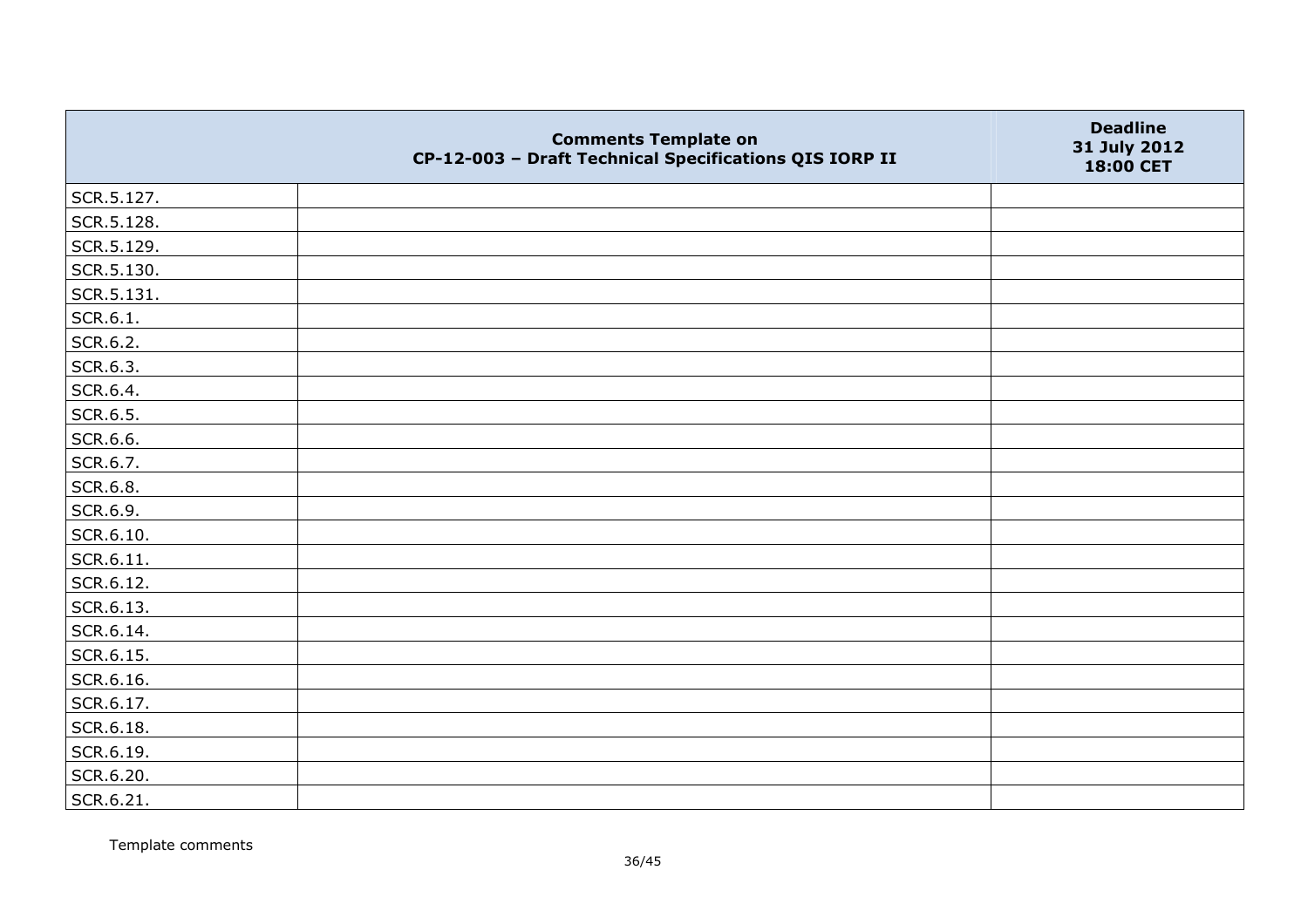|            | <b>Comments Template on</b><br>CP-12-003 - Draft Technical Specifications QIS IORP II | <b>Deadline</b><br>31 July 2012<br>18:00 CET |
|------------|---------------------------------------------------------------------------------------|----------------------------------------------|
| SCR.5.127. |                                                                                       |                                              |
| SCR.5.128. |                                                                                       |                                              |
| SCR.5.129. |                                                                                       |                                              |
| SCR.5.130. |                                                                                       |                                              |
| SCR.5.131. |                                                                                       |                                              |
| SCR.6.1.   |                                                                                       |                                              |
| SCR.6.2.   |                                                                                       |                                              |
| SCR.6.3.   |                                                                                       |                                              |
| SCR.6.4.   |                                                                                       |                                              |
| SCR.6.5.   |                                                                                       |                                              |
| SCR.6.6.   |                                                                                       |                                              |
| SCR.6.7.   |                                                                                       |                                              |
| SCR.6.8.   |                                                                                       |                                              |
| SCR.6.9.   |                                                                                       |                                              |
| SCR.6.10.  |                                                                                       |                                              |
| SCR.6.11.  |                                                                                       |                                              |
| SCR.6.12.  |                                                                                       |                                              |
| SCR.6.13.  |                                                                                       |                                              |
| SCR.6.14.  |                                                                                       |                                              |
| SCR.6.15.  |                                                                                       |                                              |
| SCR.6.16.  |                                                                                       |                                              |
| SCR.6.17.  |                                                                                       |                                              |
| SCR.6.18.  |                                                                                       |                                              |
| SCR.6.19.  |                                                                                       |                                              |
| SCR.6.20.  |                                                                                       |                                              |
| SCR.6.21.  |                                                                                       |                                              |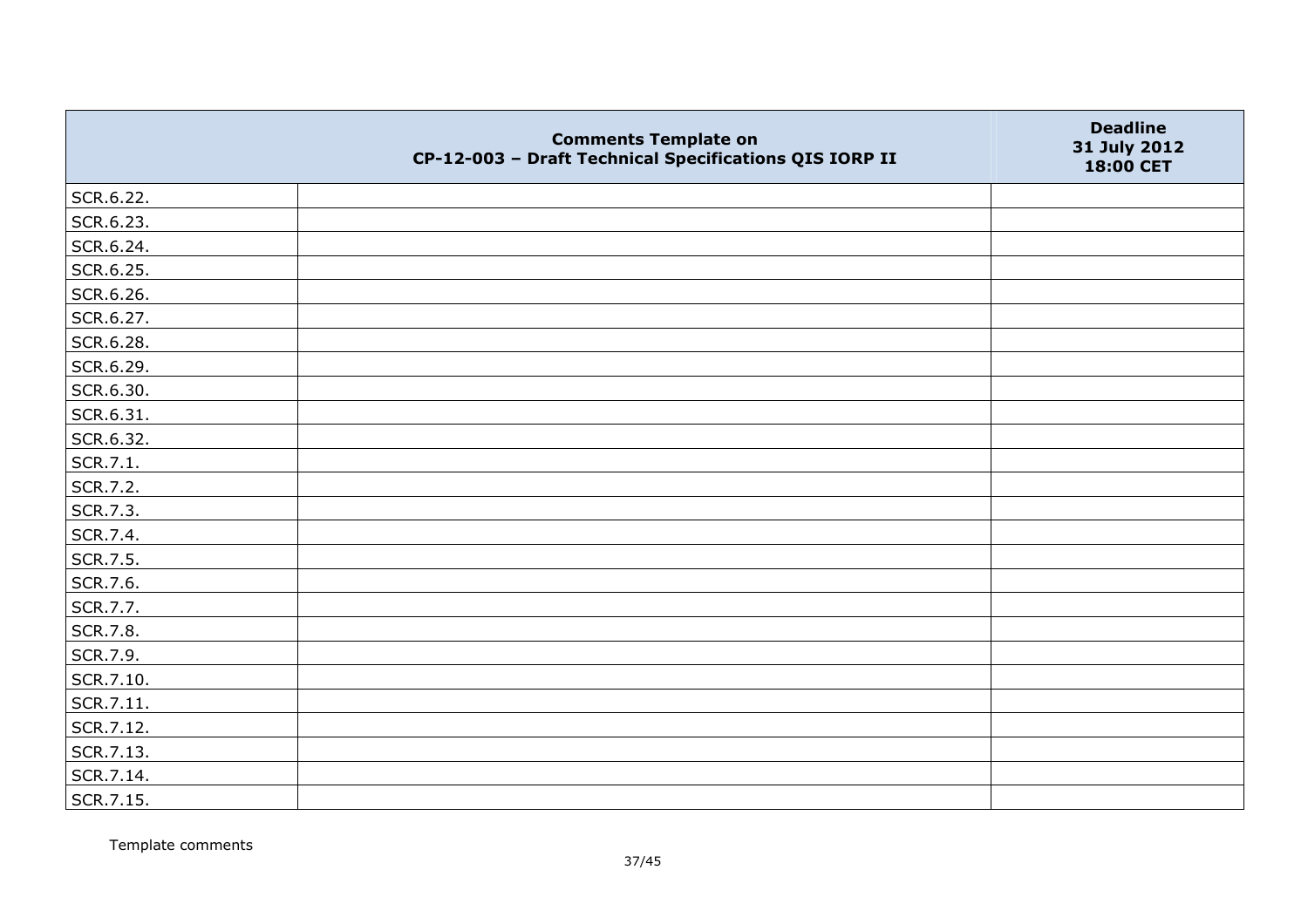|           | <b>Comments Template on</b><br>CP-12-003 - Draft Technical Specifications QIS IORP II | <b>Deadline</b><br>31 July 2012<br>18:00 CET |
|-----------|---------------------------------------------------------------------------------------|----------------------------------------------|
| SCR.6.22. |                                                                                       |                                              |
| SCR.6.23. |                                                                                       |                                              |
| SCR.6.24. |                                                                                       |                                              |
| SCR.6.25. |                                                                                       |                                              |
| SCR.6.26. |                                                                                       |                                              |
| SCR.6.27. |                                                                                       |                                              |
| SCR.6.28. |                                                                                       |                                              |
| SCR.6.29. |                                                                                       |                                              |
| SCR.6.30. |                                                                                       |                                              |
| SCR.6.31. |                                                                                       |                                              |
| SCR.6.32. |                                                                                       |                                              |
| SCR.7.1.  |                                                                                       |                                              |
| SCR.7.2.  |                                                                                       |                                              |
| SCR.7.3.  |                                                                                       |                                              |
| SCR.7.4.  |                                                                                       |                                              |
| SCR.7.5.  |                                                                                       |                                              |
| SCR.7.6.  |                                                                                       |                                              |
| SCR.7.7.  |                                                                                       |                                              |
| SCR.7.8.  |                                                                                       |                                              |
| SCR.7.9.  |                                                                                       |                                              |
| SCR.7.10. |                                                                                       |                                              |
| SCR.7.11. |                                                                                       |                                              |
| SCR.7.12. |                                                                                       |                                              |
| SCR.7.13. |                                                                                       |                                              |
| SCR.7.14. |                                                                                       |                                              |
| SCR.7.15. |                                                                                       |                                              |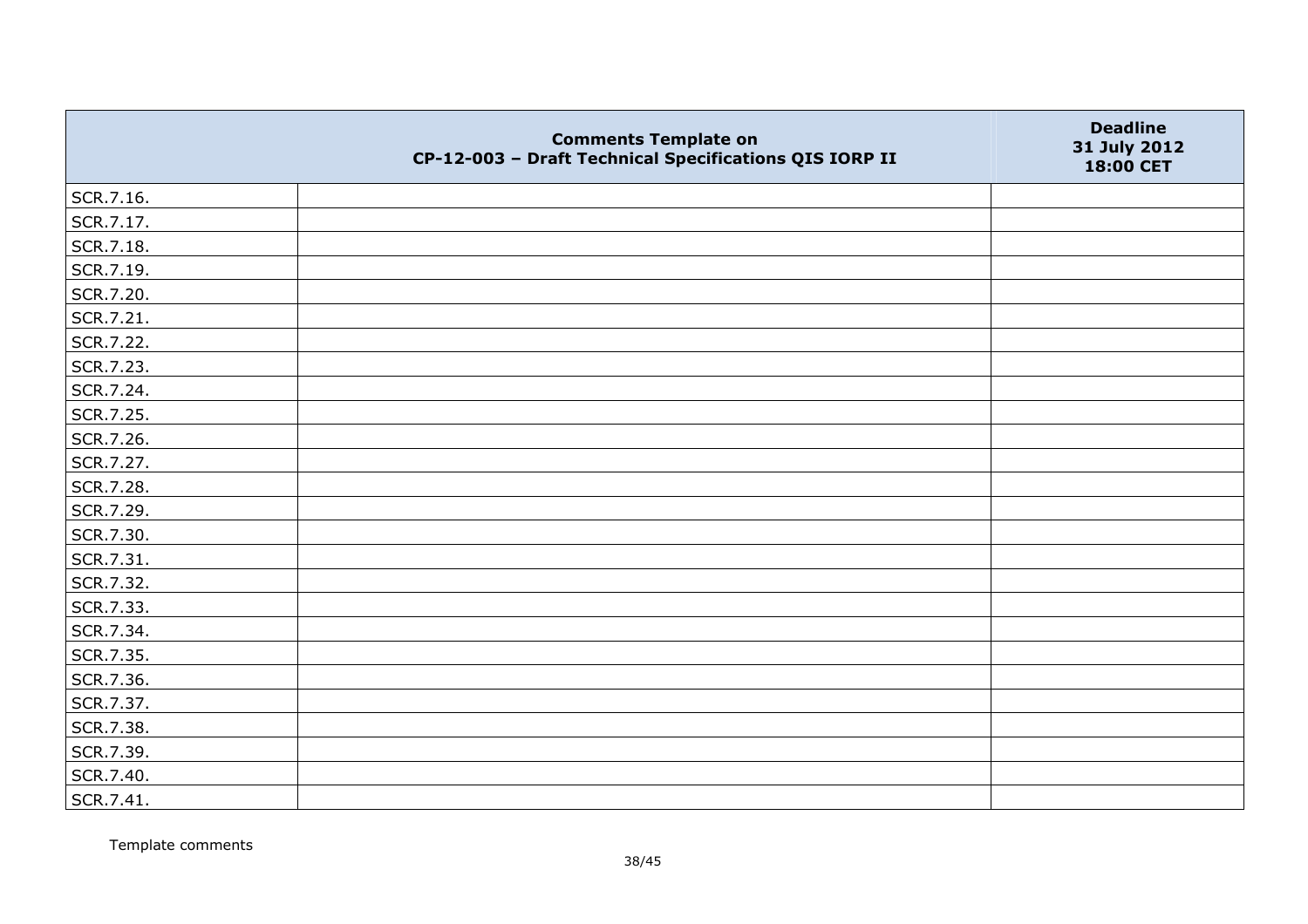|           | <b>Comments Template on</b><br>CP-12-003 - Draft Technical Specifications QIS IORP II | <b>Deadline</b><br>31 July 2012<br>18:00 CET |
|-----------|---------------------------------------------------------------------------------------|----------------------------------------------|
| SCR.7.16. |                                                                                       |                                              |
| SCR.7.17. |                                                                                       |                                              |
| SCR.7.18. |                                                                                       |                                              |
| SCR.7.19. |                                                                                       |                                              |
| SCR.7.20. |                                                                                       |                                              |
| SCR.7.21. |                                                                                       |                                              |
| SCR.7.22. |                                                                                       |                                              |
| SCR.7.23. |                                                                                       |                                              |
| SCR.7.24. |                                                                                       |                                              |
| SCR.7.25. |                                                                                       |                                              |
| SCR.7.26. |                                                                                       |                                              |
| SCR.7.27. |                                                                                       |                                              |
| SCR.7.28. |                                                                                       |                                              |
| SCR.7.29. |                                                                                       |                                              |
| SCR.7.30. |                                                                                       |                                              |
| SCR.7.31. |                                                                                       |                                              |
| SCR.7.32. |                                                                                       |                                              |
| SCR.7.33. |                                                                                       |                                              |
| SCR.7.34. |                                                                                       |                                              |
| SCR.7.35. |                                                                                       |                                              |
| SCR.7.36. |                                                                                       |                                              |
| SCR.7.37. |                                                                                       |                                              |
| SCR.7.38. |                                                                                       |                                              |
| SCR.7.39. |                                                                                       |                                              |
| SCR.7.40. |                                                                                       |                                              |
| SCR.7.41. |                                                                                       |                                              |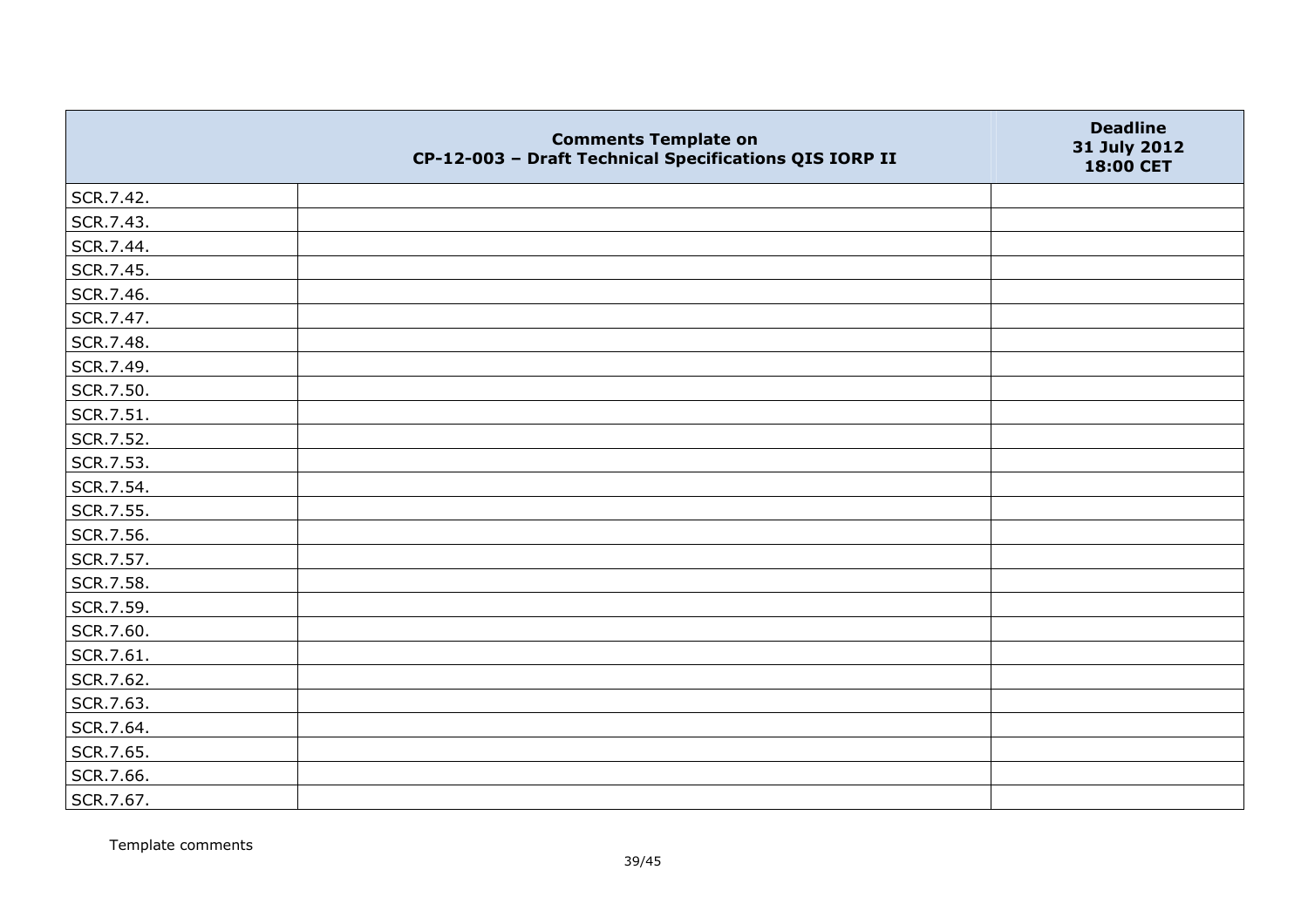|           | <b>Comments Template on</b><br>CP-12-003 - Draft Technical Specifications QIS IORP II | <b>Deadline</b><br>31 July 2012<br>18:00 CET |
|-----------|---------------------------------------------------------------------------------------|----------------------------------------------|
| SCR.7.42. |                                                                                       |                                              |
| SCR.7.43. |                                                                                       |                                              |
| SCR.7.44. |                                                                                       |                                              |
| SCR.7.45. |                                                                                       |                                              |
| SCR.7.46. |                                                                                       |                                              |
| SCR.7.47. |                                                                                       |                                              |
| SCR.7.48. |                                                                                       |                                              |
| SCR.7.49. |                                                                                       |                                              |
| SCR.7.50. |                                                                                       |                                              |
| SCR.7.51. |                                                                                       |                                              |
| SCR.7.52. |                                                                                       |                                              |
| SCR.7.53. |                                                                                       |                                              |
| SCR.7.54. |                                                                                       |                                              |
| SCR.7.55. |                                                                                       |                                              |
| SCR.7.56. |                                                                                       |                                              |
| SCR.7.57. |                                                                                       |                                              |
| SCR.7.58. |                                                                                       |                                              |
| SCR.7.59. |                                                                                       |                                              |
| SCR.7.60. |                                                                                       |                                              |
| SCR.7.61. |                                                                                       |                                              |
| SCR.7.62. |                                                                                       |                                              |
| SCR.7.63. |                                                                                       |                                              |
| SCR.7.64. |                                                                                       |                                              |
| SCR.7.65. |                                                                                       |                                              |
| SCR.7.66. |                                                                                       |                                              |
| SCR.7.67. |                                                                                       |                                              |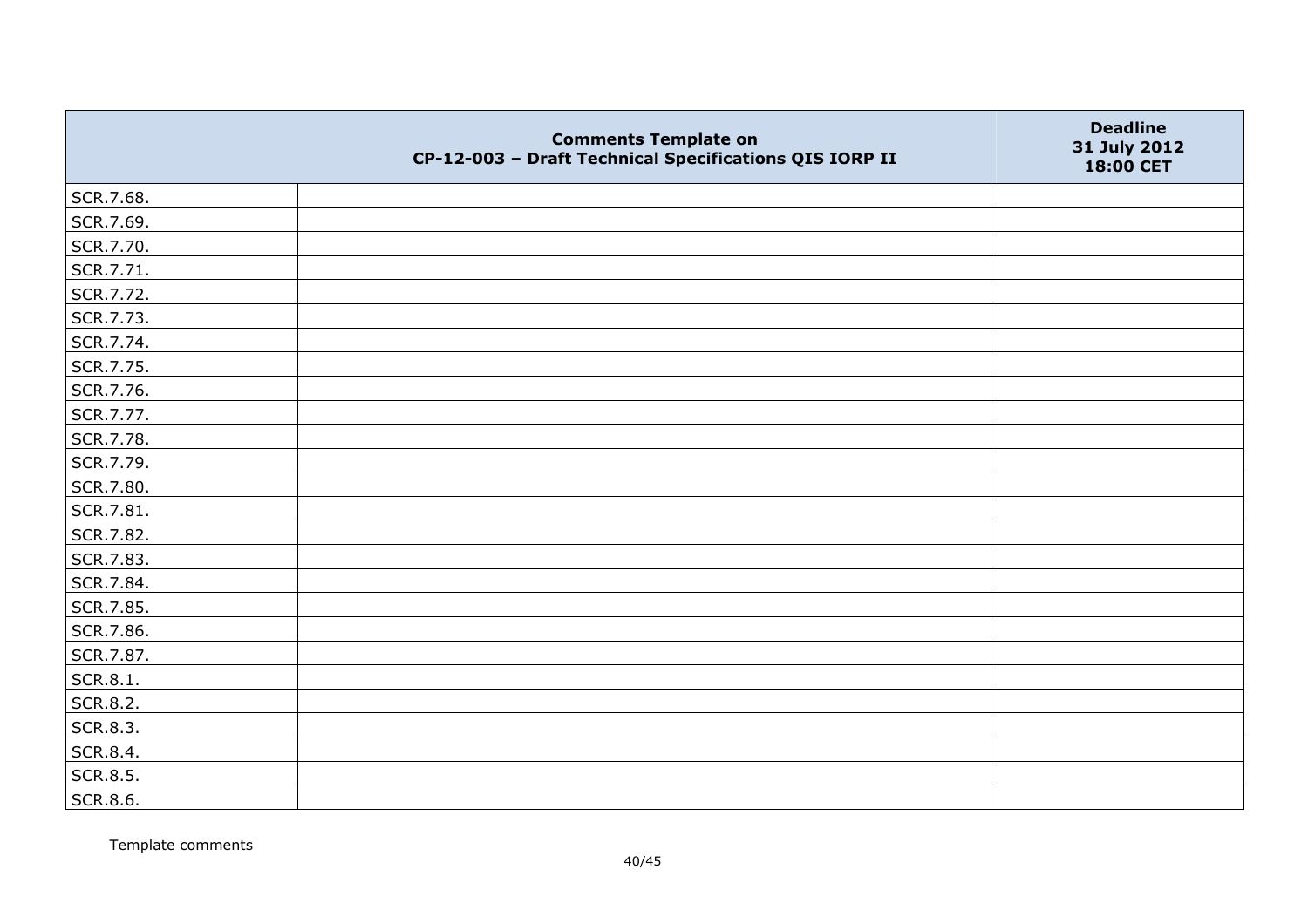|                 | <b>Comments Template on</b><br>CP-12-003 - Draft Technical Specifications QIS IORP II | <b>Deadline</b><br>31 July 2012<br>18:00 CET |
|-----------------|---------------------------------------------------------------------------------------|----------------------------------------------|
| SCR.7.68.       |                                                                                       |                                              |
| SCR.7.69.       |                                                                                       |                                              |
| SCR.7.70.       |                                                                                       |                                              |
| SCR.7.71.       |                                                                                       |                                              |
| SCR.7.72.       |                                                                                       |                                              |
| SCR.7.73.       |                                                                                       |                                              |
| SCR.7.74.       |                                                                                       |                                              |
| SCR.7.75.       |                                                                                       |                                              |
| SCR.7.76.       |                                                                                       |                                              |
| SCR.7.77.       |                                                                                       |                                              |
| SCR.7.78.       |                                                                                       |                                              |
| SCR.7.79.       |                                                                                       |                                              |
| SCR.7.80.       |                                                                                       |                                              |
| SCR.7.81.       |                                                                                       |                                              |
| SCR.7.82.       |                                                                                       |                                              |
| SCR.7.83.       |                                                                                       |                                              |
| SCR.7.84.       |                                                                                       |                                              |
| SCR.7.85.       |                                                                                       |                                              |
| SCR.7.86.       |                                                                                       |                                              |
| SCR.7.87.       |                                                                                       |                                              |
| SCR.8.1.        |                                                                                       |                                              |
| <b>SCR.8.2.</b> |                                                                                       |                                              |
| SCR.8.3.        |                                                                                       |                                              |
| SCR.8.4.        |                                                                                       |                                              |
| SCR.8.5.        |                                                                                       |                                              |
| SCR.8.6.        |                                                                                       |                                              |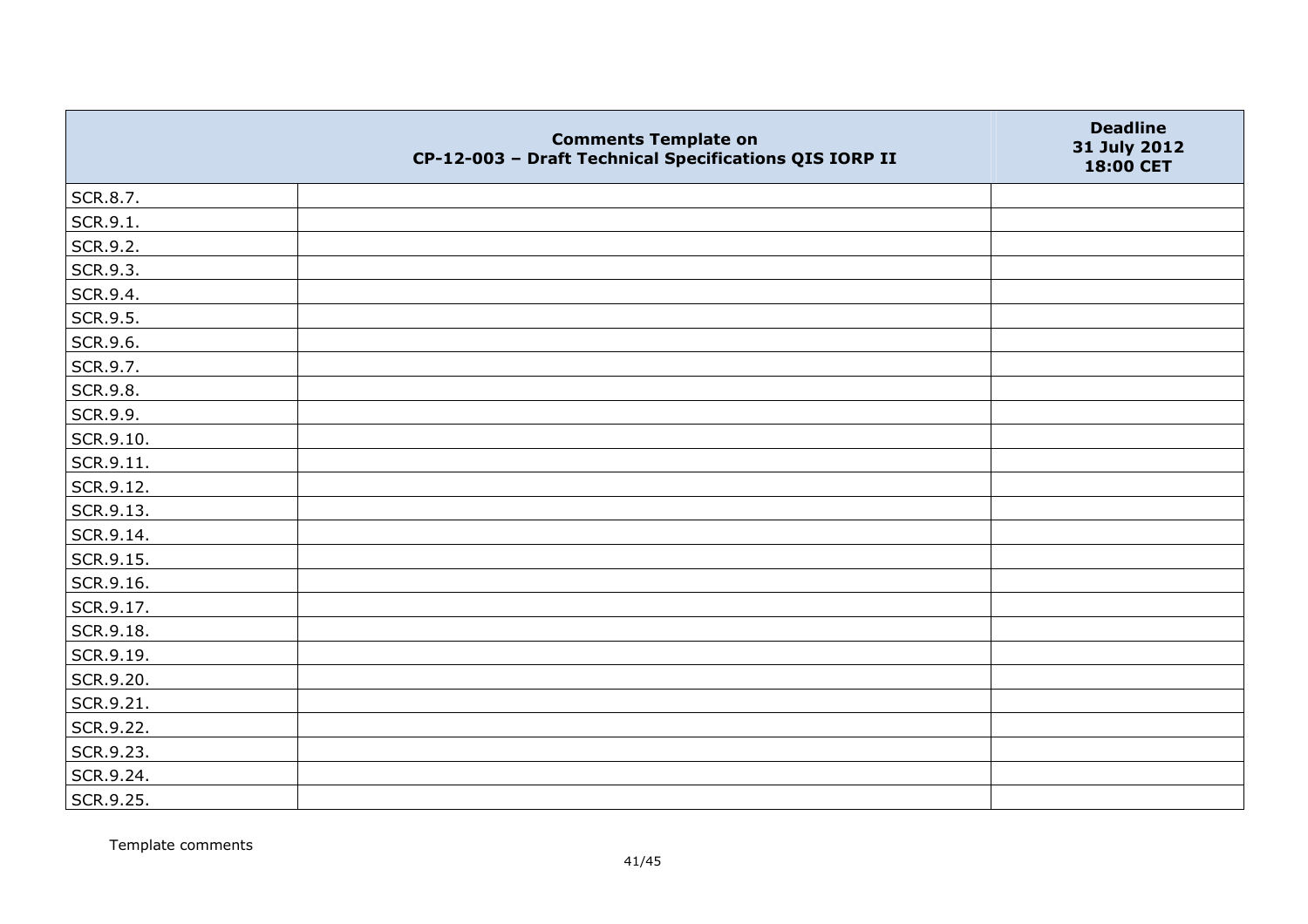|           | <b>Comments Template on</b><br>CP-12-003 - Draft Technical Specifications QIS IORP II | <b>Deadline</b><br>31 July 2012<br>18:00 CET |
|-----------|---------------------------------------------------------------------------------------|----------------------------------------------|
| SCR.8.7.  |                                                                                       |                                              |
| SCR.9.1.  |                                                                                       |                                              |
| SCR.9.2.  |                                                                                       |                                              |
| SCR.9.3.  |                                                                                       |                                              |
| SCR.9.4.  |                                                                                       |                                              |
| SCR.9.5.  |                                                                                       |                                              |
| SCR.9.6.  |                                                                                       |                                              |
| SCR.9.7.  |                                                                                       |                                              |
| SCR.9.8.  |                                                                                       |                                              |
| SCR.9.9.  |                                                                                       |                                              |
| SCR.9.10. |                                                                                       |                                              |
| SCR.9.11. |                                                                                       |                                              |
| SCR.9.12. |                                                                                       |                                              |
| SCR.9.13. |                                                                                       |                                              |
| SCR.9.14. |                                                                                       |                                              |
| SCR.9.15. |                                                                                       |                                              |
| SCR.9.16. |                                                                                       |                                              |
| SCR.9.17. |                                                                                       |                                              |
| SCR.9.18. |                                                                                       |                                              |
| SCR.9.19. |                                                                                       |                                              |
| SCR.9.20. |                                                                                       |                                              |
| SCR.9.21. |                                                                                       |                                              |
| SCR.9.22. |                                                                                       |                                              |
| SCR.9.23. |                                                                                       |                                              |
| SCR.9.24. |                                                                                       |                                              |
| SCR.9.25. |                                                                                       |                                              |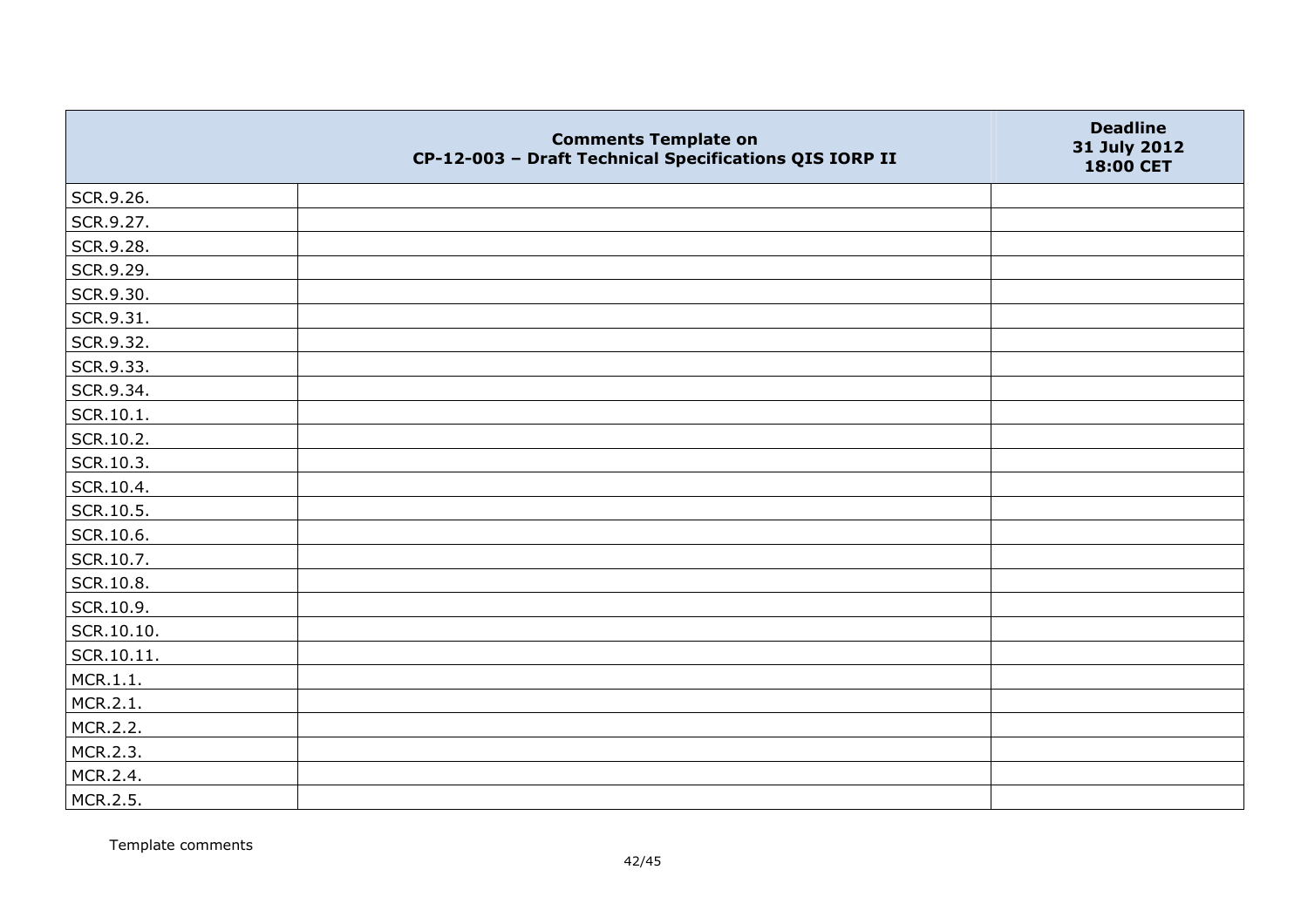|            | <b>Comments Template on</b><br>CP-12-003 - Draft Technical Specifications QIS IORP II | <b>Deadline</b><br>31 July 2012<br>18:00 CET |
|------------|---------------------------------------------------------------------------------------|----------------------------------------------|
| SCR.9.26.  |                                                                                       |                                              |
| SCR.9.27.  |                                                                                       |                                              |
| SCR.9.28.  |                                                                                       |                                              |
| SCR.9.29.  |                                                                                       |                                              |
| SCR.9.30.  |                                                                                       |                                              |
| SCR.9.31.  |                                                                                       |                                              |
| SCR.9.32.  |                                                                                       |                                              |
| SCR.9.33.  |                                                                                       |                                              |
| SCR.9.34.  |                                                                                       |                                              |
| SCR.10.1.  |                                                                                       |                                              |
| SCR.10.2.  |                                                                                       |                                              |
| SCR.10.3.  |                                                                                       |                                              |
| SCR.10.4.  |                                                                                       |                                              |
| SCR.10.5.  |                                                                                       |                                              |
| SCR.10.6.  |                                                                                       |                                              |
| SCR.10.7.  |                                                                                       |                                              |
| SCR.10.8.  |                                                                                       |                                              |
| SCR.10.9.  |                                                                                       |                                              |
| SCR.10.10. |                                                                                       |                                              |
| SCR.10.11. |                                                                                       |                                              |
| MCR.1.1.   |                                                                                       |                                              |
| MCR.2.1.   |                                                                                       |                                              |
| MCR.2.2.   |                                                                                       |                                              |
| MCR.2.3.   |                                                                                       |                                              |
| MCR.2.4.   |                                                                                       |                                              |
| MCR.2.5.   |                                                                                       |                                              |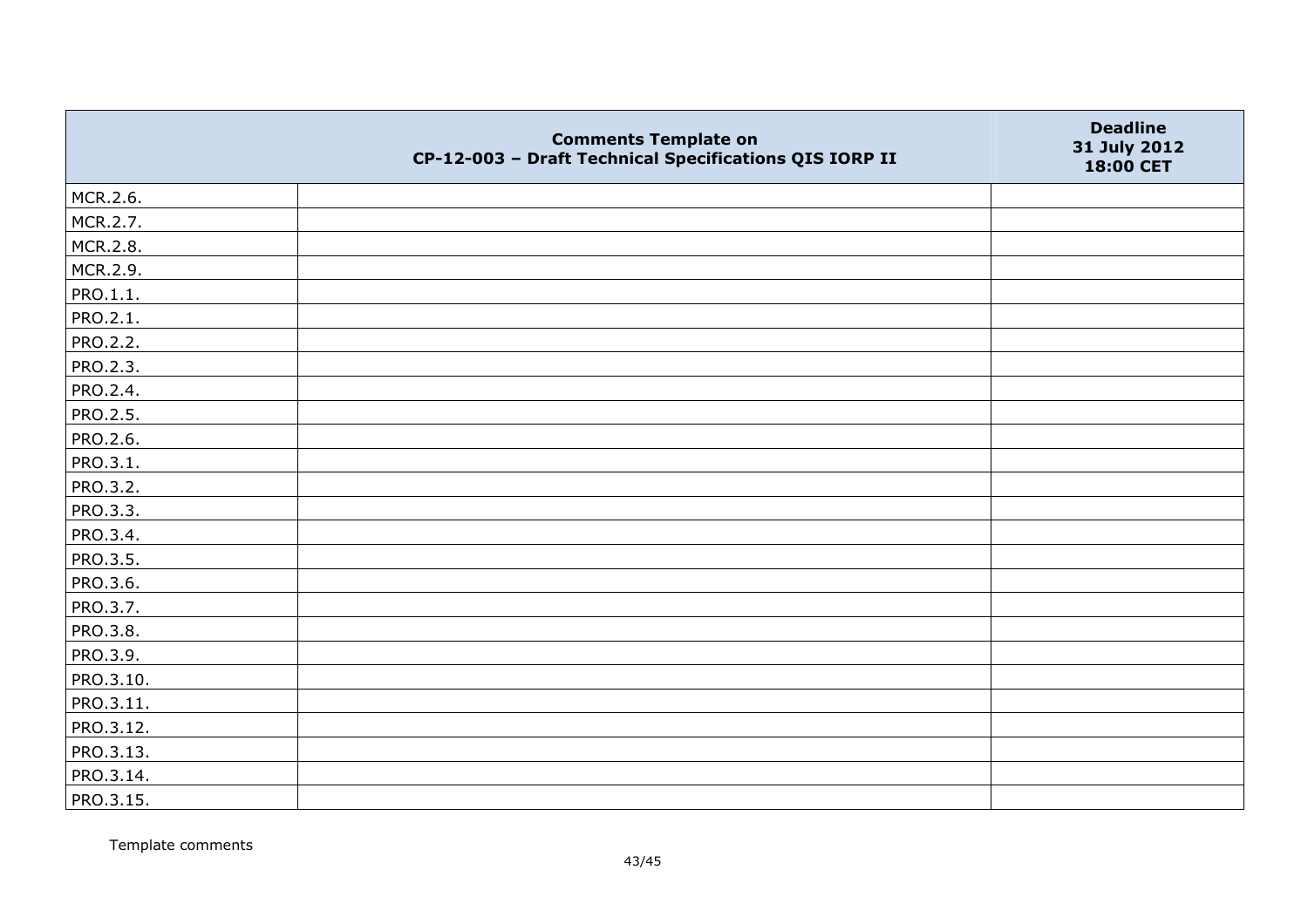|                 | <b>Comments Template on</b><br>CP-12-003 - Draft Technical Specifications QIS IORP II | <b>Deadline</b><br>31 July 2012<br>18:00 CET |
|-----------------|---------------------------------------------------------------------------------------|----------------------------------------------|
| MCR.2.6.        |                                                                                       |                                              |
| MCR.2.7.        |                                                                                       |                                              |
| MCR.2.8.        |                                                                                       |                                              |
| MCR.2.9.        |                                                                                       |                                              |
| PRO.1.1.        |                                                                                       |                                              |
| PRO.2.1.        |                                                                                       |                                              |
| PRO.2.2.        |                                                                                       |                                              |
| <b>PRO.2.3.</b> |                                                                                       |                                              |
| PRO.2.4.        |                                                                                       |                                              |
| PRO.2.5.        |                                                                                       |                                              |
| <b>PRO.2.6.</b> |                                                                                       |                                              |
| PRO.3.1.        |                                                                                       |                                              |
| <b>PRO.3.2.</b> |                                                                                       |                                              |
| PRO.3.3.        |                                                                                       |                                              |
| PRO.3.4.        |                                                                                       |                                              |
| PRO.3.5.        |                                                                                       |                                              |
| PRO.3.6.        |                                                                                       |                                              |
| PRO.3.7.        |                                                                                       |                                              |
| PRO.3.8.        |                                                                                       |                                              |
| PRO.3.9.        |                                                                                       |                                              |
| PRO.3.10.       |                                                                                       |                                              |
| PRO.3.11.       |                                                                                       |                                              |
| PRO.3.12.       |                                                                                       |                                              |
| PRO.3.13.       |                                                                                       |                                              |
| PRO.3.14.       |                                                                                       |                                              |
| PRO.3.15.       |                                                                                       |                                              |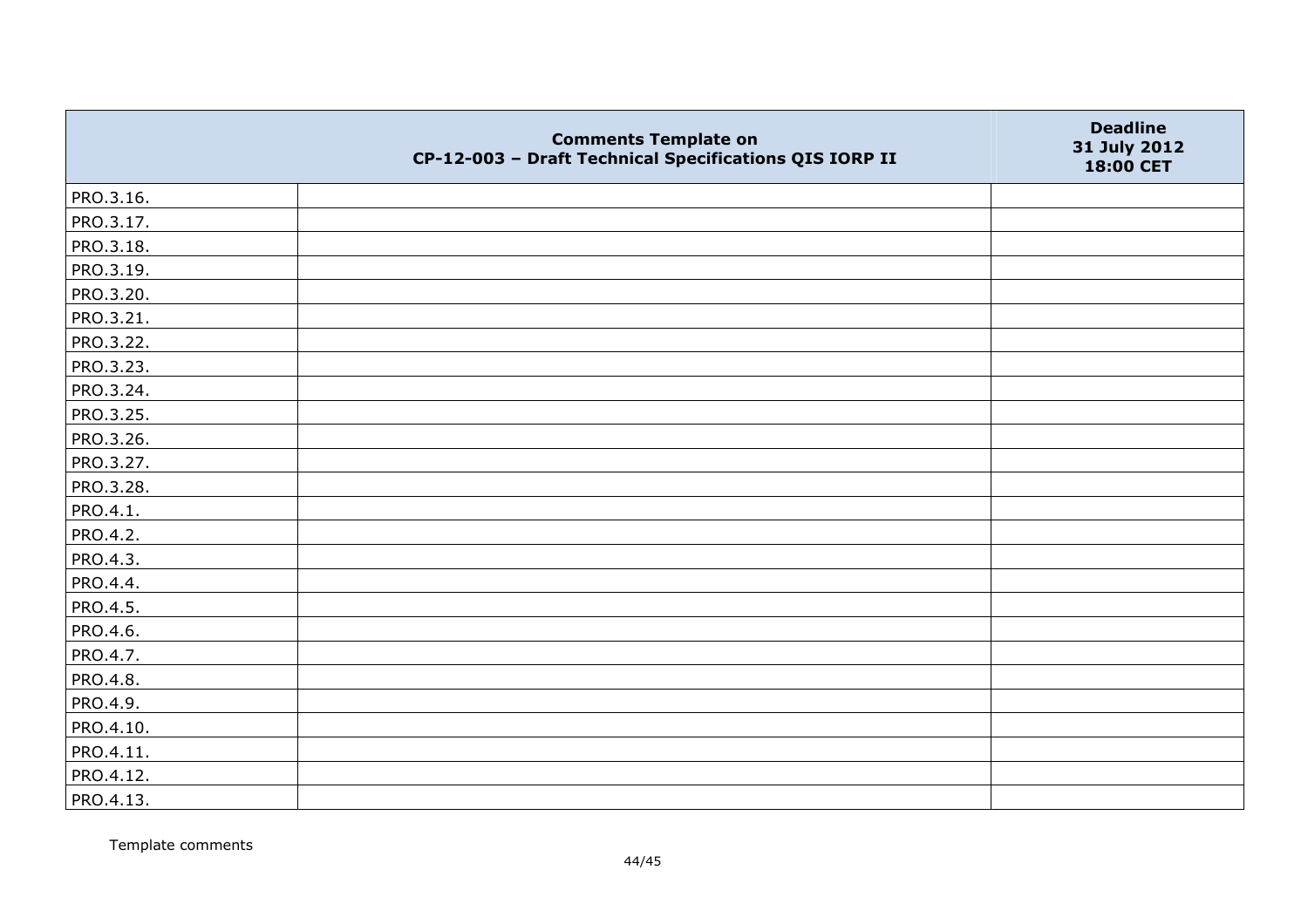|           | <b>Comments Template on</b><br>CP-12-003 - Draft Technical Specifications QIS IORP II | <b>Deadline</b><br>31 July 2012<br>18:00 CET |
|-----------|---------------------------------------------------------------------------------------|----------------------------------------------|
| PRO.3.16. |                                                                                       |                                              |
| PRO.3.17. |                                                                                       |                                              |
| PRO.3.18. |                                                                                       |                                              |
| PRO.3.19. |                                                                                       |                                              |
| PRO.3.20. |                                                                                       |                                              |
| PRO.3.21. |                                                                                       |                                              |
| PRO.3.22. |                                                                                       |                                              |
| PRO.3.23. |                                                                                       |                                              |
| PRO.3.24. |                                                                                       |                                              |
| PRO.3.25. |                                                                                       |                                              |
| PRO.3.26. |                                                                                       |                                              |
| PRO.3.27. |                                                                                       |                                              |
| PRO.3.28. |                                                                                       |                                              |
| PRO.4.1.  |                                                                                       |                                              |
| PRO.4.2.  |                                                                                       |                                              |
| PRO.4.3.  |                                                                                       |                                              |
| PRO.4.4.  |                                                                                       |                                              |
| PRO.4.5.  |                                                                                       |                                              |
| PRO.4.6.  |                                                                                       |                                              |
| PRO.4.7.  |                                                                                       |                                              |
| PRO.4.8.  |                                                                                       |                                              |
| PRO.4.9.  |                                                                                       |                                              |
| PRO.4.10. |                                                                                       |                                              |
| PRO.4.11. |                                                                                       |                                              |
| PRO.4.12. |                                                                                       |                                              |
| PRO.4.13. |                                                                                       |                                              |